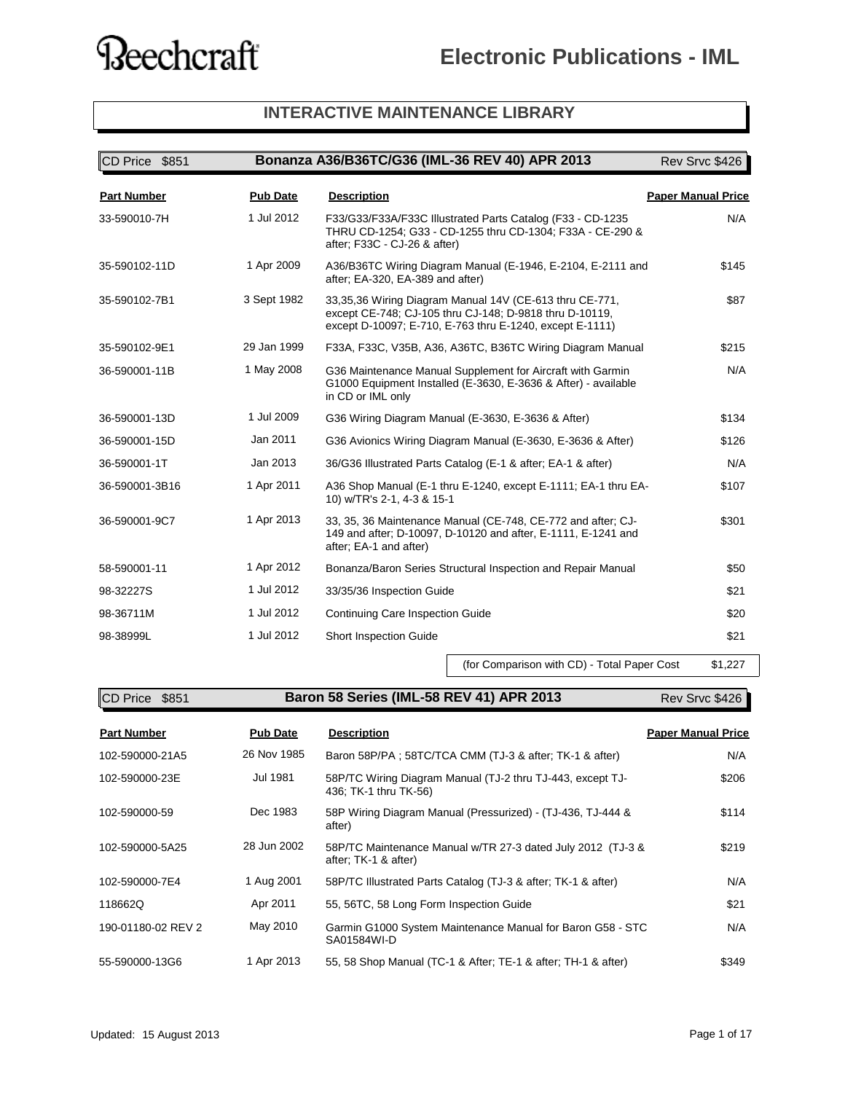#### **INTERACTIVE MAINTENANCE LIBRARY**

| CD Price \$851     |                 | Bonanza A36/B36TC/G36 (IML-36 REV 40) APR 2013                                                                                                                                 | Rev Srvc \$426            |
|--------------------|-----------------|--------------------------------------------------------------------------------------------------------------------------------------------------------------------------------|---------------------------|
| <b>Part Number</b> | <b>Pub Date</b> | <b>Description</b>                                                                                                                                                             | <b>Paper Manual Price</b> |
| 33-590010-7H       | 1 Jul 2012      | F33/G33/F33A/F33C Illustrated Parts Catalog (F33 - CD-1235<br>THRU CD-1254; G33 - CD-1255 thru CD-1304; F33A - CE-290 &<br>after; F33C - CJ-26 & after)                        | N/A                       |
| 35-590102-11D      | 1 Apr 2009      | A36/B36TC Wiring Diagram Manual (E-1946, E-2104, E-2111 and<br>after; EA-320, EA-389 and after)                                                                                | \$145                     |
| 35-590102-7B1      | 3 Sept 1982     | 33,35,36 Wiring Diagram Manual 14V (CE-613 thru CE-771,<br>except CE-748; CJ-105 thru CJ-148; D-9818 thru D-10119,<br>except D-10097; E-710, E-763 thru E-1240, except E-1111) | \$87                      |
| 35-590102-9E1      | 29 Jan 1999     | F33A, F33C, V35B, A36, A36TC, B36TC Wiring Diagram Manual                                                                                                                      | \$215                     |
| 36-590001-11B      | 1 May 2008      | G36 Maintenance Manual Supplement for Aircraft with Garmin<br>G1000 Equipment Installed (E-3630, E-3636 & After) - available<br>in CD or IML only                              | N/A                       |
| 36-590001-13D      | 1 Jul 2009      | G36 Wiring Diagram Manual (E-3630, E-3636 & After)                                                                                                                             | \$134                     |
| 36-590001-15D      | Jan 2011        | G36 Avionics Wiring Diagram Manual (E-3630, E-3636 & After)                                                                                                                    | \$126                     |
| 36-590001-1T       | Jan 2013        | 36/G36 Illustrated Parts Catalog (E-1 & after; EA-1 & after)                                                                                                                   | N/A                       |
| 36-590001-3B16     | 1 Apr 2011      | A36 Shop Manual (E-1 thru E-1240, except E-1111; EA-1 thru EA-<br>10) w/TR's 2-1, 4-3 & 15-1                                                                                   | \$107                     |
| 36-590001-9C7      | 1 Apr 2013      | 33, 35, 36 Maintenance Manual (CE-748, CE-772 and after; CJ-<br>149 and after; D-10097, D-10120 and after, E-1111, E-1241 and<br>after; EA-1 and after)                        | \$301                     |
| 58-590001-11       | 1 Apr 2012      | Bonanza/Baron Series Structural Inspection and Repair Manual                                                                                                                   | \$50                      |
| 98-32227S          | 1 Jul 2012      | 33/35/36 Inspection Guide                                                                                                                                                      | \$21                      |
| 98-36711M          | 1 Jul 2012      | Continuing Care Inspection Guide                                                                                                                                               | \$20                      |
| 98-38999L          | 1 Jul 2012      | <b>Short Inspection Guide</b>                                                                                                                                                  | \$21                      |

(for Comparison with CD) - Total Paper Cost \$1,227

**CD Price \$851 Baron 58 Series (IML-58 REV 41) APR 2013** Rev Srvc \$426

| <b>Part Number</b> | <b>Pub Date</b> | <b>Description</b>                                                                  | <b>Paper Manual Price</b> |
|--------------------|-----------------|-------------------------------------------------------------------------------------|---------------------------|
| 102-590000-21A5    | 26 Nov 1985     | Baron 58P/PA; 58TC/TCA CMM (TJ-3 & after; TK-1 & after)                             | N/A                       |
| 102-590000-23E     | Jul 1981        | 58P/TC Wiring Diagram Manual (TJ-2 thru TJ-443, except TJ-<br>436: TK-1 thru TK-56) | \$206                     |
| 102-590000-59      | Dec 1983        | 58P Wiring Diagram Manual (Pressurized) - (TJ-436, TJ-444 &<br>after)               | \$114                     |
| 102-590000-5A25    | 28 Jun 2002     | 58P/TC Maintenance Manual w/TR 27-3 dated July 2012 (TJ-3 &<br>after; TK-1 & after) | \$219                     |
| 102-590000-7E4     | 1 Aug 2001      | 58P/TC Illustrated Parts Catalog (TJ-3 & after: TK-1 & after)                       | N/A                       |
| 118662Q            | Apr 2011        | 55, 56TC, 58 Long Form Inspection Guide                                             | \$21                      |
| 190-01180-02 REV 2 | May 2010        | Garmin G1000 System Maintenance Manual for Baron G58 - STC<br>SA01584WI-D           | N/A                       |
| 55-590000-13G6     | 1 Apr 2013      | 55, 58 Shop Manual (TC-1 & After; TE-1 & after; TH-1 & after)                       | \$349                     |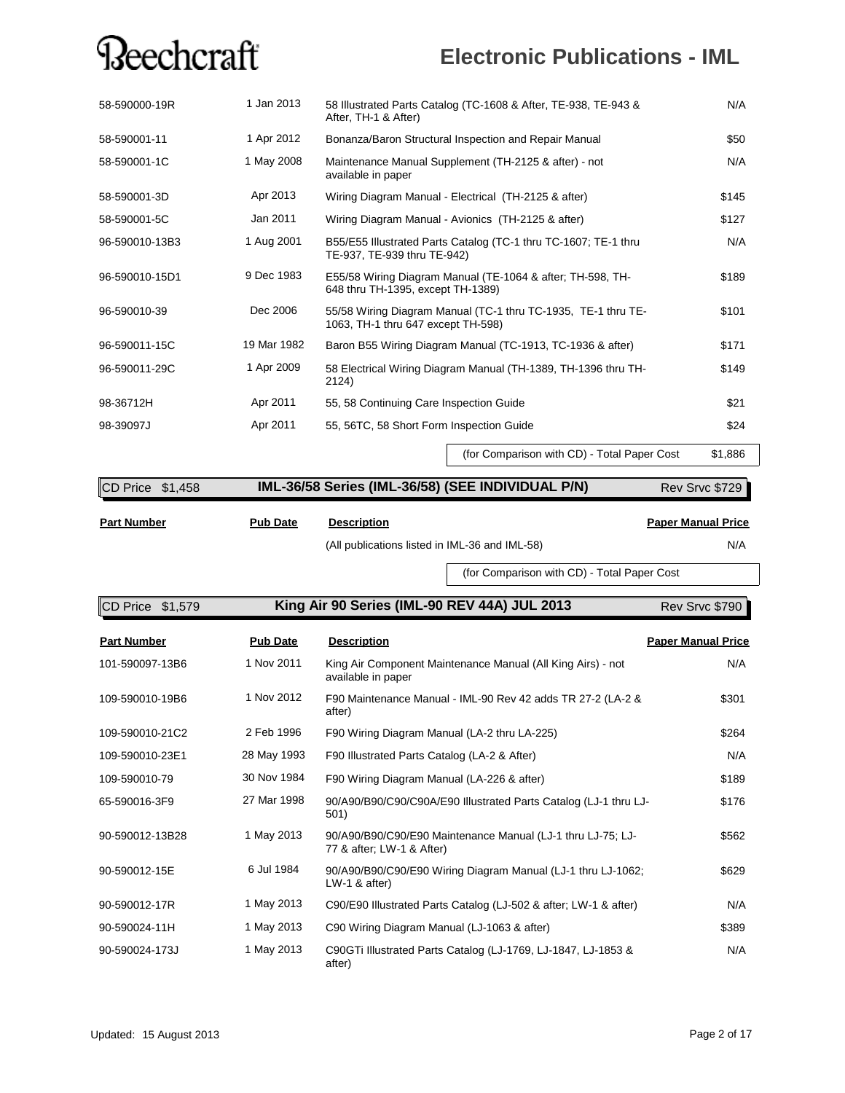### **Electronic Publications - IML**

| 58-590000-19R  | 1 Jan 2013  | 58 Illustrated Parts Catalog (TC-1608 & After, TE-938, TE-943 &<br>After, TH-1 & After)             | N/A   |
|----------------|-------------|-----------------------------------------------------------------------------------------------------|-------|
| 58-590001-11   | 1 Apr 2012  | Bonanza/Baron Structural Inspection and Repair Manual                                               | \$50  |
| 58-590001-1C   | 1 May 2008  | Maintenance Manual Supplement (TH-2125 & after) - not<br>available in paper                         | N/A   |
| 58-590001-3D   | Apr 2013    | Wiring Diagram Manual - Electrical (TH-2125 & after)                                                | \$145 |
| 58-590001-5C   | Jan 2011    | Wiring Diagram Manual - Avionics (TH-2125 & after)                                                  | \$127 |
| 96-590010-13B3 | 1 Aug 2001  | B55/E55 Illustrated Parts Catalog (TC-1 thru TC-1607; TE-1 thru<br>TE-937, TE-939 thru TE-942)      | N/A   |
| 96-590010-15D1 | 9 Dec 1983  | E55/58 Wiring Diagram Manual (TE-1064 & after; TH-598, TH-<br>648 thru TH-1395, except TH-1389)     | \$189 |
| 96-590010-39   | Dec 2006    | 55/58 Wiring Diagram Manual (TC-1 thru TC-1935, TE-1 thru TE-<br>1063, TH-1 thru 647 except TH-598) | \$101 |
| 96-590011-15C  | 19 Mar 1982 | Baron B55 Wiring Diagram Manual (TC-1913, TC-1936 & after)                                          | \$171 |
| 96-590011-29C  | 1 Apr 2009  | 58 Electrical Wiring Diagram Manual (TH-1389, TH-1396 thru TH-<br>2124)                             | \$149 |
| 98-36712H      | Apr 2011    | 55, 58 Continuing Care Inspection Guide                                                             | \$21  |
| 98-39097J      | Apr 2011    | 55, 56TC, 58 Short Form Inspection Guide                                                            | \$24  |

(for Comparison with CD) - Total Paper Cost \$1,886

| CD Price \$1,458 | IML-36/58 Series (IML-36/58) (SEE INDIVIDUAL P/N) | Rev Srvc \$729 |
|------------------|---------------------------------------------------|----------------|
|                  |                                                   |                |

**Part Number Pub Date Description**

**Paper Manual Price**

(All publications listed in IML-36 and IML-58) N/A

(for Comparison with CD) - Total Paper Cost

| King Air 90 Series (IML-90 REV 44A) JUL 2013<br>CD Price \$1,579 |                 |                                                                                          | Rev Srvc \$790            |
|------------------------------------------------------------------|-----------------|------------------------------------------------------------------------------------------|---------------------------|
| <b>Part Number</b>                                               | <b>Pub Date</b> | <b>Description</b>                                                                       | <b>Paper Manual Price</b> |
| 101-590097-13B6                                                  | 1 Nov 2011      | King Air Component Maintenance Manual (All King Airs) - not<br>available in paper        | N/A                       |
| 109-590010-19B6                                                  | 1 Nov 2012      | F90 Maintenance Manual - IML-90 Rev 42 adds TR 27-2 (LA-2 &<br>after)                    | \$301                     |
| 109-590010-21C2                                                  | 2 Feb 1996      | F90 Wiring Diagram Manual (LA-2 thru LA-225)                                             | \$264                     |
| 109-590010-23E1                                                  | 28 May 1993     | F90 Illustrated Parts Catalog (LA-2 & After)                                             | N/A                       |
| 109-590010-79                                                    | 30 Nov 1984     | F90 Wiring Diagram Manual (LA-226 & after)                                               | \$189                     |
| 65-590016-3F9                                                    | 27 Mar 1998     | 90/A90/B90/C90/C90A/E90 Illustrated Parts Catalog (LJ-1 thru LJ-<br>501)                 | \$176                     |
| 90-590012-13B28                                                  | 1 May 2013      | 90/A90/B90/C90/E90 Maintenance Manual (LJ-1 thru LJ-75; LJ-<br>77 & after; LW-1 & After) | \$562                     |
| 90-590012-15E                                                    | 6 Jul 1984      | 90/A90/B90/C90/E90 Wiring Diagram Manual (LJ-1 thru LJ-1062;<br>$LW-1$ & after)          | \$629                     |
| 90-590012-17R                                                    | 1 May 2013      | C90/E90 Illustrated Parts Catalog (LJ-502 & after; LW-1 & after)                         | N/A                       |
| 90-590024-11H                                                    | 1 May 2013      | C90 Wiring Diagram Manual (LJ-1063 & after)                                              | \$389                     |
| 90-590024-173J                                                   | 1 May 2013      | C90GTi Illustrated Parts Catalog (LJ-1769, LJ-1847, LJ-1853 &<br>after)                  | N/A                       |

Updated: 15 August 2013 Page 2 of 17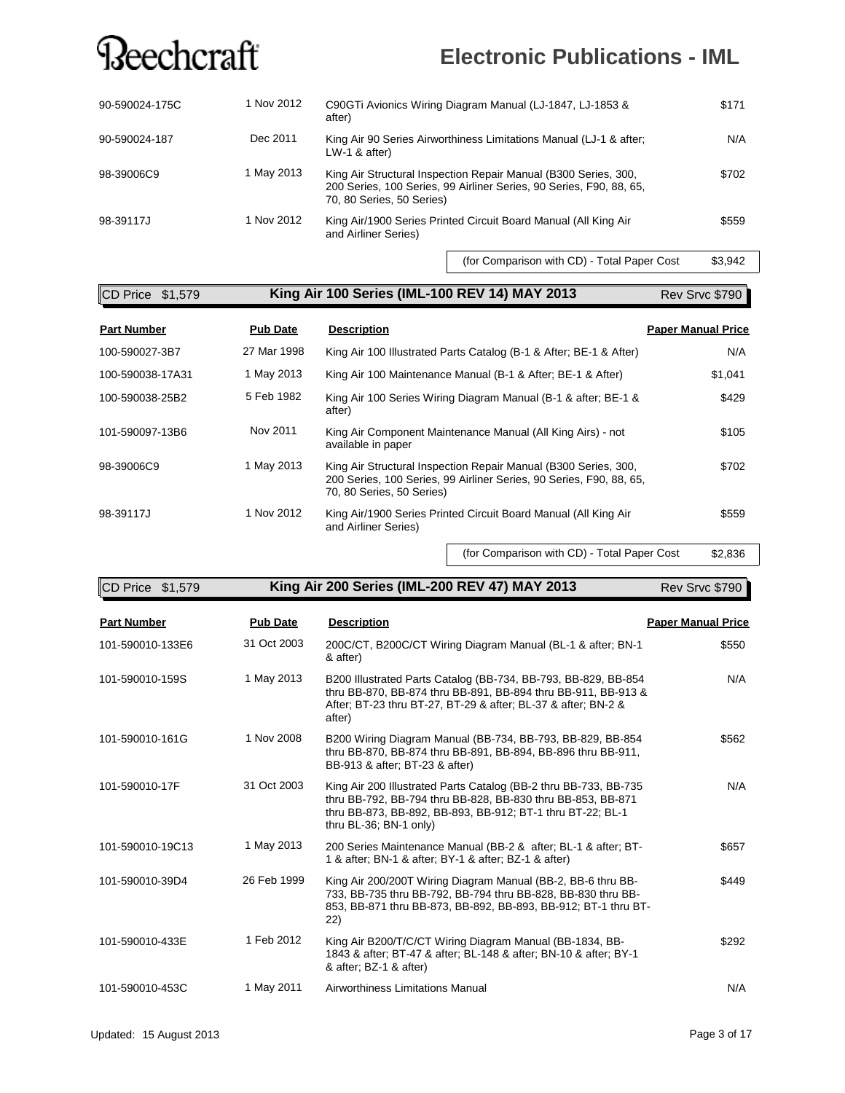### **Electronic Publications - IML**

| 90-590024-175C | 1 Nov 2012 | C90GTi Avionics Wiring Diagram Manual (LJ-1847, LJ-1853 &<br>after)                                                                                                 | \$171 |
|----------------|------------|---------------------------------------------------------------------------------------------------------------------------------------------------------------------|-------|
| 90-590024-187  | Dec 2011   | King Air 90 Series Airworthiness Limitations Manual (LJ-1 & after:<br>$LW-1$ & after)                                                                               | N/A   |
| 98-39006C9     | 1 May 2013 | King Air Structural Inspection Repair Manual (B300 Series, 300,<br>200 Series, 100 Series, 99 Airliner Series, 90 Series, F90, 88, 65,<br>70, 80 Series, 50 Series) | \$702 |
| 98-39117J      | 1 Nov 2012 | King Air/1900 Series Printed Circuit Board Manual (All King Air<br>and Airliner Series)                                                                             | \$559 |

(for Comparison with CD) - Total Paper Cost \$3,942

#### **King Air 100 Series (IML-100 REV 14) MAY 2013 King Air 100 Series** CD Price \$1,579 Rev Srvc \$790

| <b>Part Number</b> | <b>Pub Date</b> | <b>Description</b>                                                                                                                                                  | <b>Paper Manual Price</b> |
|--------------------|-----------------|---------------------------------------------------------------------------------------------------------------------------------------------------------------------|---------------------------|
| 100-590027-3B7     | 27 Mar 1998     | King Air 100 Illustrated Parts Catalog (B-1 & After: BE-1 & After)                                                                                                  | N/A                       |
| 100-590038-17A31   | 1 May 2013      | King Air 100 Maintenance Manual (B-1 & After: BE-1 & After)                                                                                                         | \$1.041                   |
| 100-590038-25B2    | 5 Feb 1982      | King Air 100 Series Wiring Diagram Manual (B-1 & after: BE-1 &<br>after)                                                                                            | \$429                     |
| 101-590097-13B6    | Nov 2011        | King Air Component Maintenance Manual (All King Airs) - not<br>available in paper                                                                                   | \$105                     |
| 98-39006C9         | 1 May 2013      | King Air Structural Inspection Repair Manual (B300 Series, 300,<br>200 Series, 100 Series, 99 Airliner Series, 90 Series, F90, 88, 65,<br>70, 80 Series, 50 Series) | \$702                     |
| 98-39117J          | 1 Nov 2012      | King Air/1900 Series Printed Circuit Board Manual (All King Air<br>and Airliner Series)                                                                             | \$559                     |

(for Comparison with CD) - Total Paper Cost \$2,836

| CD Price \$1,579 | King Air 200 Series (IML-200 REV 47) MAY 2013 | Rev Srvc \$790 |
|------------------|-----------------------------------------------|----------------|

| <b>Part Number</b> | <b>Pub Date</b> | <b>Description</b>                                                                                                                                                                                                      | <b>Paper Manual Price</b> |
|--------------------|-----------------|-------------------------------------------------------------------------------------------------------------------------------------------------------------------------------------------------------------------------|---------------------------|
| 101-590010-133E6   | 31 Oct 2003     | 200C/CT, B200C/CT Wiring Diagram Manual (BL-1 & after; BN-1<br>& after)                                                                                                                                                 | \$550                     |
| 101-590010-159S    | 1 May 2013      | B200 Illustrated Parts Catalog (BB-734, BB-793, BB-829, BB-854<br>thru BB-870, BB-874 thru BB-891, BB-894 thru BB-911, BB-913 &<br>After: BT-23 thru BT-27, BT-29 & after: BL-37 & after: BN-2 &<br>after)              | N/A                       |
| 101-590010-161G    | 1 Nov 2008      | B200 Wiring Diagram Manual (BB-734, BB-793, BB-829, BB-854<br>thru BB-870, BB-874 thru BB-891, BB-894, BB-896 thru BB-911,<br>BB-913 & after: BT-23 & after)                                                            | \$562                     |
| 101-590010-17F     | 31 Oct 2003     | King Air 200 Illustrated Parts Catalog (BB-2 thru BB-733, BB-735<br>thru BB-792, BB-794 thru BB-828, BB-830 thru BB-853, BB-871<br>thru BB-873, BB-892, BB-893, BB-912; BT-1 thru BT-22; BL-1<br>thru BL-36; BN-1 only) | N/A                       |
| 101-590010-19C13   | 1 May 2013      | 200 Series Maintenance Manual (BB-2 & after; BL-1 & after; BT-<br>1 & after; BN-1 & after; BY-1 & after; BZ-1 & after)                                                                                                  | \$657                     |
| 101-590010-39D4    | 26 Feb 1999     | King Air 200/200T Wiring Diagram Manual (BB-2, BB-6 thru BB-<br>733. BB-735 thru BB-792. BB-794 thru BB-828. BB-830 thru BB-<br>853, BB-871 thru BB-873, BB-892, BB-893, BB-912; BT-1 thru BT-<br>(22)                  | \$449                     |
| 101-590010-433E    | 1 Feb 2012      | King Air B200/T/C/CT Wiring Diagram Manual (BB-1834, BB-<br>1843 & after; BT-47 & after; BL-148 & after; BN-10 & after; BY-1<br>& after; BZ-1 & after)                                                                  | \$292                     |
| 101-590010-453C    | 1 May 2011      | Airworthiness Limitations Manual                                                                                                                                                                                        | N/A                       |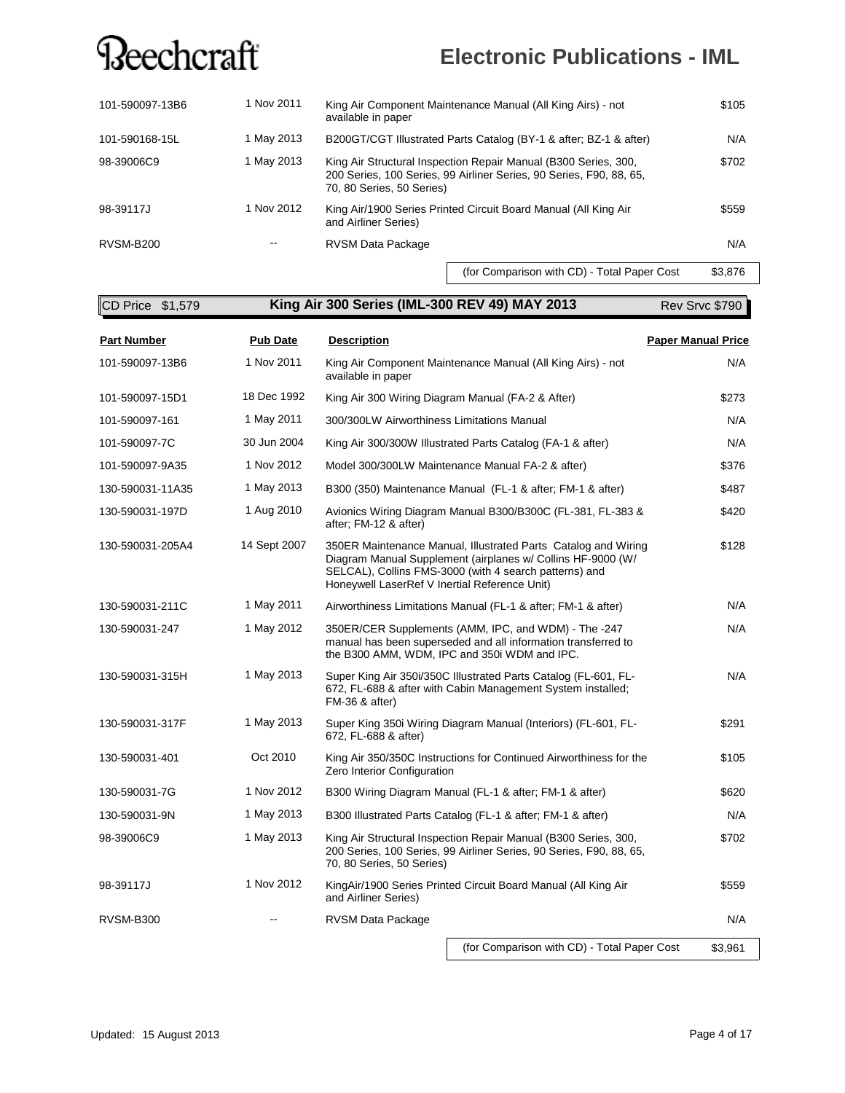### **Electronic Publications - IML**

| 101-590097-13B6  | 1 Nov 2011 | King Air Component Maintenance Manual (All King Airs) - not<br>available in paper                                                                                   | \$105 |
|------------------|------------|---------------------------------------------------------------------------------------------------------------------------------------------------------------------|-------|
| 101-590168-15L   | 1 May 2013 | B200GT/CGT Illustrated Parts Catalog (BY-1 & after; BZ-1 & after)                                                                                                   | N/A   |
| 98-39006C9       | 1 May 2013 | King Air Structural Inspection Repair Manual (B300 Series, 300,<br>200 Series, 100 Series, 99 Airliner Series, 90 Series, F90, 88, 65,<br>70, 80 Series, 50 Series) | \$702 |
| 98-39117J        | 1 Nov 2012 | King Air/1900 Series Printed Circuit Board Manual (All King Air<br>and Airliner Series)                                                                             | \$559 |
| <b>RVSM-B200</b> |            | RVSM Data Package                                                                                                                                                   | N/A   |
|                  |            |                                                                                                                                                                     |       |

(for Comparison with CD) - Total Paper Cost \$3,876

**King Air 300 Series (IML-300 REV 49) MAY 2013 King Air 300 Series** CD Price \$1,579 Rev Srvc \$790

| <b>Part Number</b> | <b>Pub Date</b> | <b>Description</b>                                                                                                                                                                                                                       | <b>Paper Manual Price</b> |
|--------------------|-----------------|------------------------------------------------------------------------------------------------------------------------------------------------------------------------------------------------------------------------------------------|---------------------------|
| 101-590097-13B6    | 1 Nov 2011      | King Air Component Maintenance Manual (All King Airs) - not<br>available in paper                                                                                                                                                        | N/A                       |
| 101-590097-15D1    | 18 Dec 1992     | King Air 300 Wiring Diagram Manual (FA-2 & After)                                                                                                                                                                                        | \$273                     |
| 101-590097-161     | 1 May 2011      | 300/300LW Airworthiness Limitations Manual                                                                                                                                                                                               | N/A                       |
| 101-590097-7C      | 30 Jun 2004     | King Air 300/300W Illustrated Parts Catalog (FA-1 & after)                                                                                                                                                                               | N/A                       |
| 101-590097-9A35    | 1 Nov 2012      | Model 300/300LW Maintenance Manual FA-2 & after)                                                                                                                                                                                         | \$376                     |
| 130-590031-11A35   | 1 May 2013      | B300 (350) Maintenance Manual (FL-1 & after; FM-1 & after)                                                                                                                                                                               | \$487                     |
| 130-590031-197D    | 1 Aug 2010      | Avionics Wiring Diagram Manual B300/B300C (FL-381, FL-383 &<br>after; FM-12 & after)                                                                                                                                                     | \$420                     |
| 130-590031-205A4   | 14 Sept 2007    | 350ER Maintenance Manual, Illustrated Parts Catalog and Wiring<br>Diagram Manual Supplement (airplanes w/ Collins HF-9000 (W/<br>SELCAL), Collins FMS-3000 (with 4 search patterns) and<br>Honeywell LaserRef V Inertial Reference Unit) | \$128                     |
| 130-590031-211C    | 1 May 2011      | Airworthiness Limitations Manual (FL-1 & after; FM-1 & after)                                                                                                                                                                            | N/A                       |
| 130-590031-247     | 1 May 2012      | 350ER/CER Supplements (AMM, IPC, and WDM) - The -247<br>manual has been superseded and all information transferred to<br>the B300 AMM, WDM, IPC and 350i WDM and IPC.                                                                    | N/A                       |
| 130-590031-315H    | 1 May 2013      | Super King Air 350i/350C Illustrated Parts Catalog (FL-601, FL-<br>672, FL-688 & after with Cabin Management System installed;<br>FM-36 & after)                                                                                         | N/A                       |
| 130-590031-317F    | 1 May 2013      | Super King 350i Wiring Diagram Manual (Interiors) (FL-601, FL-<br>672, FL-688 & after)                                                                                                                                                   | \$291                     |
| 130-590031-401     | Oct 2010        | King Air 350/350C Instructions for Continued Airworthiness for the<br>Zero Interior Configuration                                                                                                                                        | \$105                     |
| 130-590031-7G      | 1 Nov 2012      | B300 Wiring Diagram Manual (FL-1 & after: FM-1 & after)                                                                                                                                                                                  | \$620                     |
| 130-590031-9N      | 1 May 2013      | B300 Illustrated Parts Catalog (FL-1 & after; FM-1 & after)                                                                                                                                                                              | N/A                       |
| 98-39006C9         | 1 May 2013      | King Air Structural Inspection Repair Manual (B300 Series, 300,<br>200 Series, 100 Series, 99 Airliner Series, 90 Series, F90, 88, 65,<br>70, 80 Series, 50 Series)                                                                      | \$702                     |
| 98-39117J          | 1 Nov 2012      | KingAir/1900 Series Printed Circuit Board Manual (All King Air<br>and Airliner Series)                                                                                                                                                   |                           |
| <b>RVSM-B300</b>   |                 | RVSM Data Package                                                                                                                                                                                                                        | N/A                       |
|                    |                 | (for Comparison with CD) - Total Paper Cost                                                                                                                                                                                              | \$3,961                   |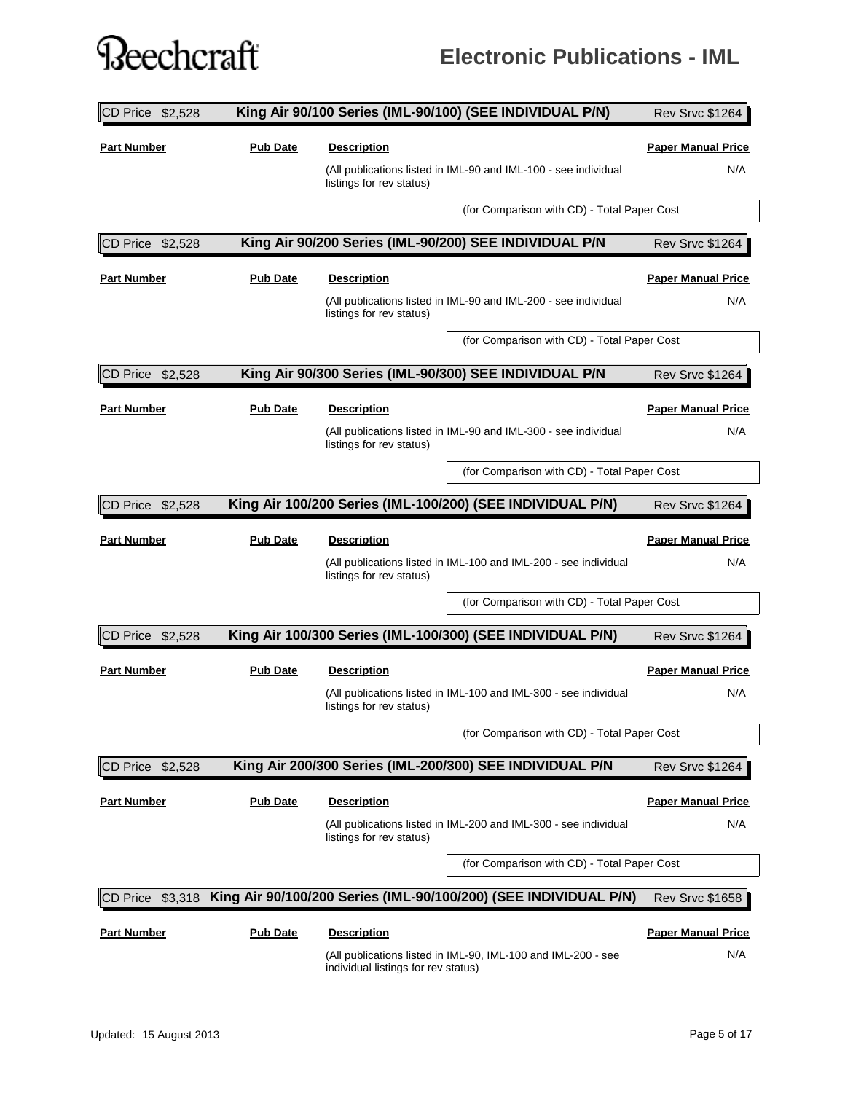### **Electronic Publications - IML**

| CD Price \$2,528     |                 |                                     | King Air 90/100 Series (IML-90/100) (SEE INDIVIDUAL P/N)         | <b>Rev Srvc \$1264</b>    |
|----------------------|-----------------|-------------------------------------|------------------------------------------------------------------|---------------------------|
| <b>Part Number</b>   | <b>Pub Date</b> | <b>Description</b>                  |                                                                  | <b>Paper Manual Price</b> |
|                      |                 | listings for rev status)            | (All publications listed in IML-90 and IML-100 - see individual  | N/A                       |
|                      |                 |                                     | (for Comparison with CD) - Total Paper Cost                      |                           |
| CD Price \$2,528     |                 |                                     | King Air 90/200 Series (IML-90/200) SEE INDIVIDUAL P/N           | <b>Rev Srvc \$1264</b>    |
| <b>Part Number</b>   | <b>Pub Date</b> | <b>Description</b>                  |                                                                  | <b>Paper Manual Price</b> |
|                      |                 | listings for rev status)            | (All publications listed in IML-90 and IML-200 - see individual  | N/A                       |
|                      |                 |                                     | (for Comparison with CD) - Total Paper Cost                      |                           |
| CD Price \$2,528     |                 |                                     | King Air 90/300 Series (IML-90/300) SEE INDIVIDUAL P/N           | <b>Rev Srvc \$1264</b>    |
| <b>Part Number</b>   | <b>Pub Date</b> | <b>Description</b>                  |                                                                  | <b>Paper Manual Price</b> |
|                      |                 | listings for rev status)            | (All publications listed in IML-90 and IML-300 - see individual  | N/A                       |
|                      |                 |                                     | (for Comparison with CD) - Total Paper Cost                      |                           |
| $ CD$ Price $$2,528$ |                 |                                     | King Air 100/200 Series (IML-100/200) (SEE INDIVIDUAL P/N)       | <b>Rev Srvc \$1264</b>    |
| <b>Part Number</b>   | <b>Pub Date</b> | <b>Description</b>                  |                                                                  | <b>Paper Manual Price</b> |
|                      |                 | listings for rev status)            | (All publications listed in IML-100 and IML-200 - see individual | N/A                       |
|                      |                 |                                     | (for Comparison with CD) - Total Paper Cost                      |                           |
| CD Price \$2,528     |                 |                                     | King Air 100/300 Series (IML-100/300) (SEE INDIVIDUAL P/N)       | <b>Rev Srvc \$1264</b>    |
| <b>Part Number</b>   | <b>Pub Date</b> | <b>Description</b>                  |                                                                  | <b>Paper Manual Price</b> |
|                      |                 | listings for rev status)            | (All publications listed in IML-100 and IML-300 - see individual | N/A                       |
|                      |                 |                                     | (for Comparison with CD) - Total Paper Cost                      |                           |
| CD Price<br>\$2,528  |                 |                                     | King Air 200/300 Series (IML-200/300) SEE INDIVIDUAL P/N         | <b>Rev Srvc \$1264</b>    |
| <b>Part Number</b>   | <b>Pub Date</b> | <u>Description</u>                  |                                                                  | <b>Paper Manual Price</b> |
|                      |                 | listings for rev status)            | (All publications listed in IML-200 and IML-300 - see individual | N/A                       |
|                      |                 |                                     | (for Comparison with CD) - Total Paper Cost                      |                           |
| CD Price<br>\$3,318  |                 |                                     | King Air 90/100/200 Series (IML-90/100/200) (SEE INDIVIDUAL P/N) | <b>Rev Srvc \$1658</b>    |
| <b>Part Number</b>   | <b>Pub Date</b> | <b>Description</b>                  |                                                                  | <b>Paper Manual Price</b> |
|                      |                 | individual listings for rev status) | (All publications listed in IML-90, IML-100 and IML-200 - see    | N/A                       |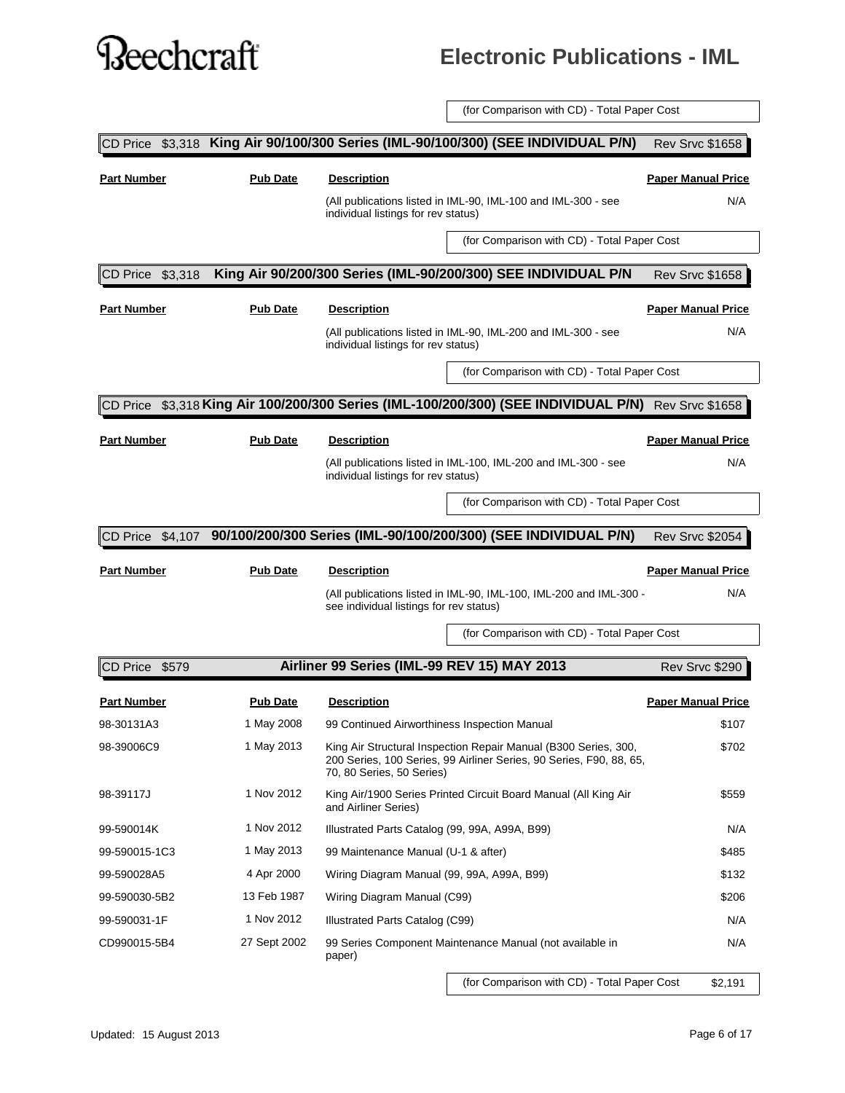#### **Electronic Publications - IML**

(for Comparison with CD) - Total Paper Cost

| CD Price           |                 | \$3,318 King Air 90/100/300 Series (IML-90/100/300) (SEE INDIVIDUAL P/N)                                                                                            | <b>Rev Srvc \$1658</b>           |
|--------------------|-----------------|---------------------------------------------------------------------------------------------------------------------------------------------------------------------|----------------------------------|
| <b>Part Number</b> | <b>Pub Date</b> | <b>Description</b><br>(All publications listed in IML-90, IML-100 and IML-300 - see<br>individual listings for rev status)                                          | <b>Paper Manual Price</b><br>N/A |
|                    |                 | (for Comparison with CD) - Total Paper Cost                                                                                                                         |                                  |
|                    |                 |                                                                                                                                                                     |                                  |
| CD Price \$3,318   |                 | King Air 90/200/300 Series (IML-90/200/300) SEE INDIVIDUAL P/N                                                                                                      | <b>Rev Srvc \$1658</b>           |
| <b>Part Number</b> | <b>Pub Date</b> | <b>Description</b>                                                                                                                                                  | <b>Paper Manual Price</b>        |
|                    |                 | (All publications listed in IML-90, IML-200 and IML-300 - see<br>individual listings for rev status)                                                                | N/A                              |
|                    |                 | (for Comparison with CD) - Total Paper Cost                                                                                                                         |                                  |
|                    |                 | CD Price \$3,318 King Air 100/200/300 Series (IML-100/200/300) (SEE INDIVIDUAL P/N) Rev Srvc \$1658                                                                 |                                  |
| <b>Part Number</b> | <b>Pub Date</b> | <b>Description</b>                                                                                                                                                  | <b>Paper Manual Price</b>        |
|                    |                 | (All publications listed in IML-100, IML-200 and IML-300 - see<br>individual listings for rev status)                                                               | N/A                              |
|                    |                 | (for Comparison with CD) - Total Paper Cost                                                                                                                         |                                  |
| CD Price \$4,107   |                 | 90/100/200/300 Series (IML-90/100/200/300) (SEE INDIVIDUAL P/N)                                                                                                     | <b>Rev Srvc \$2054</b>           |
|                    |                 |                                                                                                                                                                     |                                  |
| <b>Part Number</b> | <b>Pub Date</b> | <b>Description</b>                                                                                                                                                  | <b>Paper Manual Price</b>        |
|                    |                 | (All publications listed in IML-90, IML-100, IML-200 and IML-300 -<br>see individual listings for rev status)                                                       | N/A                              |
|                    |                 | (for Comparison with CD) - Total Paper Cost                                                                                                                         |                                  |
| CD Price \$579     |                 | Airliner 99 Series (IML-99 REV 15) MAY 2013                                                                                                                         | Rev Srvc \$290                   |
| <b>Part Number</b> | <b>Pub Date</b> | <b>Description</b>                                                                                                                                                  | <b>Paper Manual Price</b>        |
| 98-30131A3         | 1 May 2008      | 99 Continued Airworthiness Inspection Manual                                                                                                                        | \$107                            |
| 98-39006C9         | 1 May 2013      | King Air Structural Inspection Repair Manual (B300 Series, 300,<br>200 Series, 100 Series, 99 Airliner Series, 90 Series, F90, 88, 65,<br>70, 80 Series, 50 Series) | \$702                            |
| 98-39117J          | 1 Nov 2012      | King Air/1900 Series Printed Circuit Board Manual (All King Air<br>and Airliner Series)                                                                             | \$559                            |
| 99-590014K         | 1 Nov 2012      | Illustrated Parts Catalog (99, 99A, A99A, B99)                                                                                                                      | N/A                              |
| 99-590015-1C3      | 1 May 2013      | 99 Maintenance Manual (U-1 & after)                                                                                                                                 | \$485                            |
| 99-590028A5        | 4 Apr 2000      | Wiring Diagram Manual (99, 99A, A99A, B99)                                                                                                                          | \$132                            |
| 99-590030-5B2      | 13 Feb 1987     | Wiring Diagram Manual (C99)                                                                                                                                         | \$206                            |
| 99-590031-1F       | 1 Nov 2012      | Illustrated Parts Catalog (C99)                                                                                                                                     | N/A                              |
| CD990015-5B4       | 27 Sept 2002    | 99 Series Component Maintenance Manual (not available in<br>paper)                                                                                                  | N/A                              |
|                    |                 |                                                                                                                                                                     |                                  |

(for Comparison with CD) - Total Paper Cost \$2,191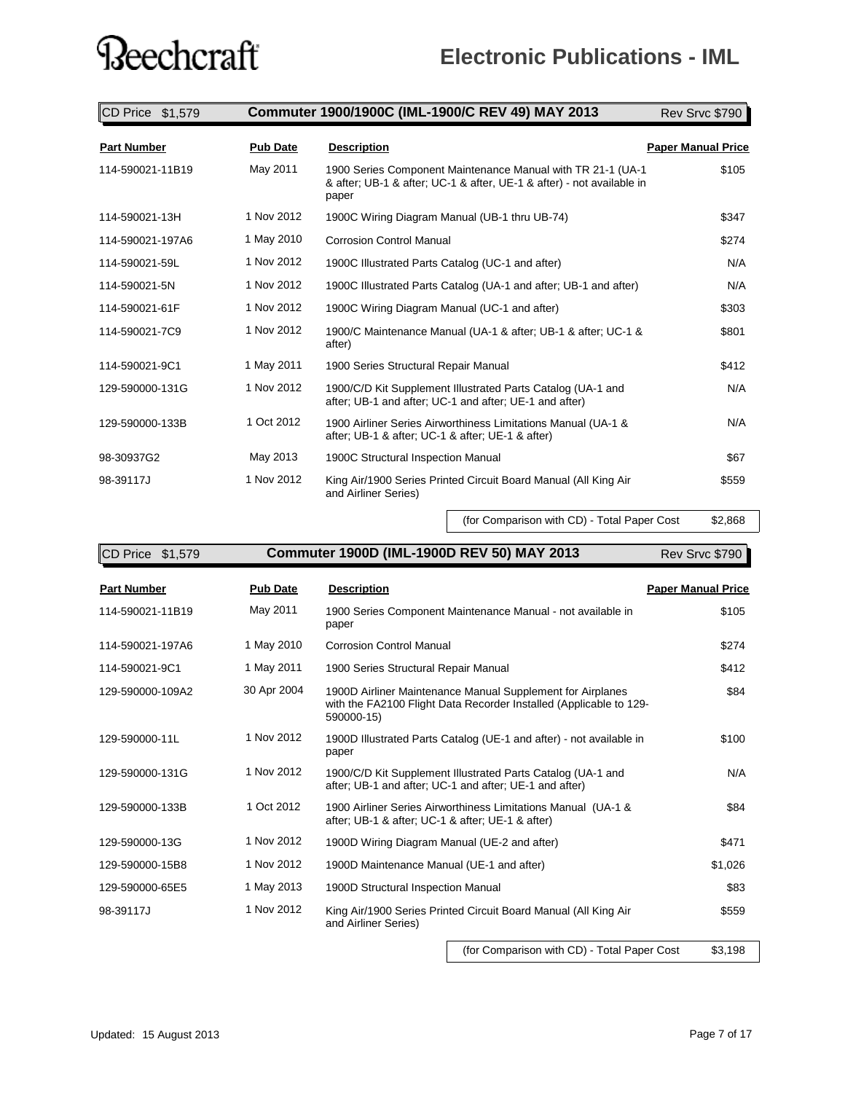| CD Price \$1,579   |                 | Commuter 1900/1900C (IML-1900/C REV 49) MAY 2013                                                                                               | Rev Srvc \$790            |
|--------------------|-----------------|------------------------------------------------------------------------------------------------------------------------------------------------|---------------------------|
| <b>Part Number</b> | <b>Pub Date</b> | <b>Description</b>                                                                                                                             | <b>Paper Manual Price</b> |
| 114-590021-11B19   | May 2011        | 1900 Series Component Maintenance Manual with TR 21-1 (UA-1)<br>& after; UB-1 & after; UC-1 & after, UE-1 & after) - not available in<br>paper | \$105                     |
| 114-590021-13H     | 1 Nov 2012      | 1900C Wiring Diagram Manual (UB-1 thru UB-74)                                                                                                  | \$347                     |
| 114-590021-197A6   | 1 May 2010      | <b>Corrosion Control Manual</b>                                                                                                                | \$274                     |
| 114-590021-59L     | 1 Nov 2012      | 1900C Illustrated Parts Catalog (UC-1 and after)                                                                                               | N/A                       |
| 114-590021-5N      | 1 Nov 2012      | 1900C Illustrated Parts Catalog (UA-1 and after; UB-1 and after)                                                                               | N/A                       |
| 114-590021-61F     | 1 Nov 2012      | 1900C Wiring Diagram Manual (UC-1 and after)                                                                                                   | \$303                     |
| 114-590021-7C9     | 1 Nov 2012      | 1900/C Maintenance Manual (UA-1 & after; UB-1 & after; UC-1 &<br>after)                                                                        | \$801                     |
| 114-590021-9C1     | 1 May 2011      | 1900 Series Structural Repair Manual                                                                                                           | \$412                     |
| 129-590000-131G    | 1 Nov 2012      | 1900/C/D Kit Supplement Illustrated Parts Catalog (UA-1 and<br>after; UB-1 and after; UC-1 and after; UE-1 and after)                          | N/A                       |
| 129-590000-133B    | 1 Oct 2012      | 1900 Airliner Series Airworthiness Limitations Manual (UA-1 &<br>after; UB-1 & after; UC-1 & after; UE-1 & after)                              | N/A                       |
| 98-30937G2         | May 2013        | 1900C Structural Inspection Manual                                                                                                             | \$67                      |
| 98-39117J          | 1 Nov 2012      | King Air/1900 Series Printed Circuit Board Manual (All King Air<br>and Airliner Series)                                                        | \$559                     |

(for Comparison with CD) - Total Paper Cost \$2,868

| CD Price \$1,579   |                 | Commuter 1900D (IML-1900D REV 50) MAY 2013                                                                                                     | Rev Srvc \$790            |
|--------------------|-----------------|------------------------------------------------------------------------------------------------------------------------------------------------|---------------------------|
| <b>Part Number</b> | <b>Pub Date</b> | <b>Description</b>                                                                                                                             | <b>Paper Manual Price</b> |
| 114-590021-11B19   | May 2011        | 1900 Series Component Maintenance Manual - not available in<br>paper                                                                           | \$105                     |
| 114-590021-197A6   | 1 May 2010      | <b>Corrosion Control Manual</b>                                                                                                                | \$274                     |
| 114-590021-9C1     | 1 May 2011      | 1900 Series Structural Repair Manual                                                                                                           | \$412                     |
| 129-590000-109A2   | 30 Apr 2004     | 1900D Airliner Maintenance Manual Supplement for Airplanes<br>with the FA2100 Flight Data Recorder Installed (Applicable to 129-<br>590000-15) | \$84                      |
| 129-590000-11L     | 1 Nov 2012      | 1900D Illustrated Parts Catalog (UE-1 and after) - not available in<br>paper                                                                   | \$100                     |
| 129-590000-131G    | 1 Nov 2012      | 1900/C/D Kit Supplement Illustrated Parts Catalog (UA-1 and<br>after; UB-1 and after; UC-1 and after; UE-1 and after)                          | N/A                       |
| 129-590000-133B    | 1 Oct 2012      | 1900 Airliner Series Airworthiness Limitations Manual (UA-1 &<br>after; UB-1 & after; UC-1 & after; UE-1 & after)                              | \$84                      |
| 129-590000-13G     | 1 Nov 2012      | 1900D Wiring Diagram Manual (UE-2 and after)                                                                                                   | \$471                     |
| 129-590000-15B8    | 1 Nov 2012      | 1900D Maintenance Manual (UE-1 and after)                                                                                                      | \$1,026                   |
| 129-590000-65E5    | 1 May 2013      | 1900D Structural Inspection Manual                                                                                                             | \$83                      |
| 98-39117J          | 1 Nov 2012      | King Air/1900 Series Printed Circuit Board Manual (All King Air<br>and Airliner Series)                                                        | \$559                     |
|                    |                 |                                                                                                                                                |                           |

**Commuter 1900D (IML-1900D REV 50) MAY 2013 Commuter 1900D**

(for Comparison with CD) - Total Paper Cost \$3,198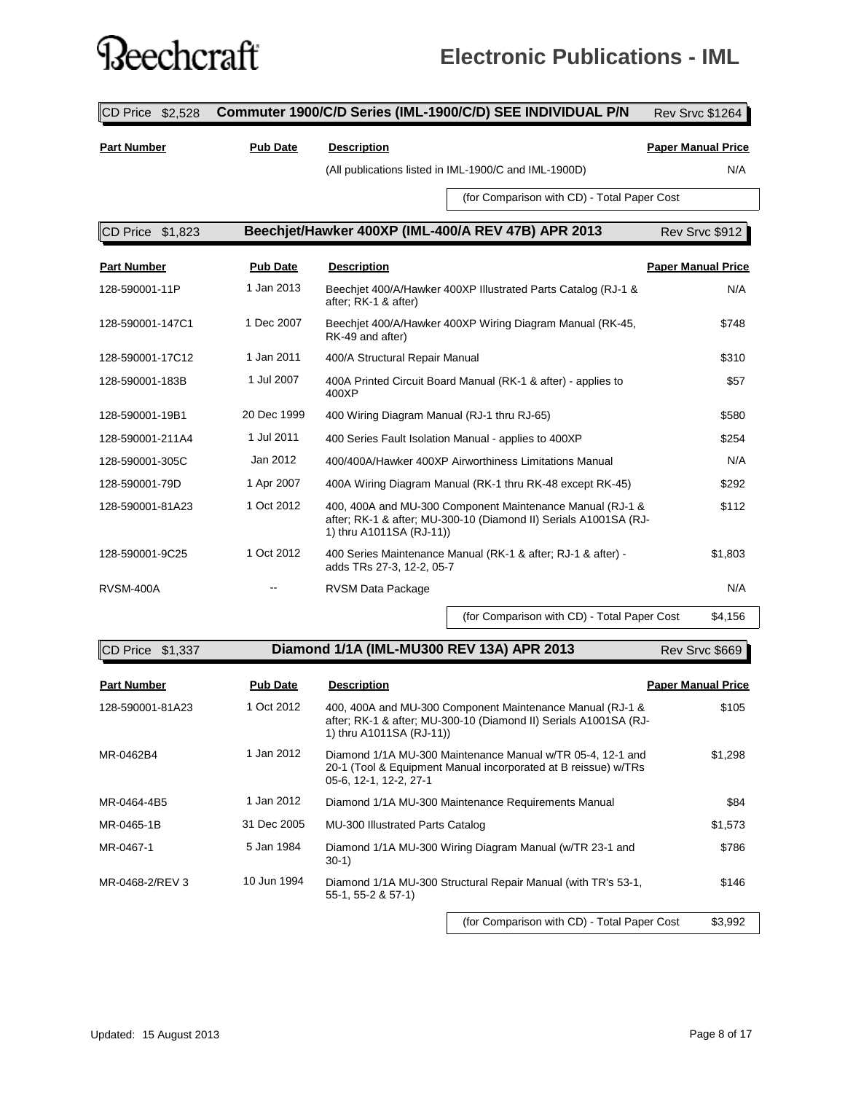### ?eechcraft

### **Electronic Publications - IML**

CD Price \$2,528 **Commuter 1900/C/D Series (IML-1900/C/D) SEE INDIVIDUAL P/N** Rev Srvc \$1264 **Part Number Pub Date Description Paper Manual Price** (All publications listed in IML-1900/C and IML-1900D) N/A (for Comparison with CD) - Total Paper Cost CD Price \$1,823 **Beechjet/Hawker 400XP (IML-400/A REV 47B) APR 2013** Rev Srvc \$912 **Part Number Pub Date Description Paper Manual Price** 128-590001-11P Beechjet 400/A/Hawker 400XP Illustrated Parts Catalog (RJ-1 & 1 Jan 2013 N/A after; RK-1 & after) 128-590001-147C1 1 Dec 2007 Beechjet 400/A/Hawker 400XP Wiring Diagram Manual (RK-45, \$748 RK-49 and after) 128-590001-17C12 1 Jan 2011 400/A Structural Repair Manual \$310 128-590001-183B 1 Jul 2007 400A Printed Circuit Board Manual (RK-1 & after) - applies to \$57 400XP 128-590001-19B1 20 Dec 1999 400 Wiring Diagram Manual (RJ-1 thru RJ-65) \$580 128-590001-211A4 1 Jul 2011 400 Series Fault Isolation Manual - applies to 400XP \$254 128-590001-305C Jan 2012 400/400A/Hawker 400XP Airworthiness Limitations Manual N/A 128-590001-79D 1 Apr 2007 400A Wiring Diagram Manual (RK-1 thru RK-48 except RK-45) \$292 128-590001-81A23 1 Oct 2012 400, 400A and MU-300 Component Maintenance Manual (RJ-1 & \$112 after; RK-1 & after; MU-300-10 (Diamond II) Serials A1001SA (RJ-1) thru A1011SA (RJ-11)) 128-590001-9C25 1 Oct 2012 400 Series Maintenance Manual (RK-1 & after; RJ-1 & after) - \$1,803 adds TRs 27-3, 12-2, 05-7 RVSM-400A -- RVSM Data Package N/A -- RVSM Data Package N/A (for Comparison with CD) - Total Paper Cost \$4,156

| $\mathbb{C}\mathsf{D}$ Price $$1,337$ |                 | Diamond 1/1A (IML-MU300 REV 13A) APR 2013                                                                                                                 | Rev Srvc \$669            |
|---------------------------------------|-----------------|-----------------------------------------------------------------------------------------------------------------------------------------------------------|---------------------------|
| <b>Part Number</b>                    | <b>Pub Date</b> | <b>Description</b>                                                                                                                                        | <b>Paper Manual Price</b> |
| 128-590001-81A23                      | 1 Oct 2012      | 400, 400A and MU-300 Component Maintenance Manual (RJ-1 &<br>after; RK-1 & after; MU-300-10 (Diamond II) Serials A1001SA (RJ-<br>1) thru A1011SA (RJ-11)) | \$105                     |
| MR-0462B4                             | 1 Jan 2012      | Diamond 1/1A MU-300 Maintenance Manual w/TR 05-4, 12-1 and<br>20-1 (Tool & Equipment Manual incorporated at B reissue) w/TRs<br>05-6, 12-1, 12-2, 27-1    | \$1,298                   |
| MR-0464-4B5                           | 1 Jan 2012      | Diamond 1/1A MU-300 Maintenance Requirements Manual                                                                                                       | \$84                      |
| MR-0465-1B                            | 31 Dec 2005     | MU-300 Illustrated Parts Catalog                                                                                                                          | \$1,573                   |
| MR-0467-1                             | 5 Jan 1984      | Diamond 1/1A MU-300 Wiring Diagram Manual (w/TR 23-1 and<br>$30-1)$                                                                                       | \$786                     |
| MR-0468-2/REV 3                       | 10 Jun 1994     | Diamond 1/1A MU-300 Structural Repair Manual (with TR's 53-1,<br>$55-1, 55-2 & 57-1$                                                                      | \$146                     |
|                                       |                 |                                                                                                                                                           |                           |

(for Comparison with CD) - Total Paper Cost \$3,992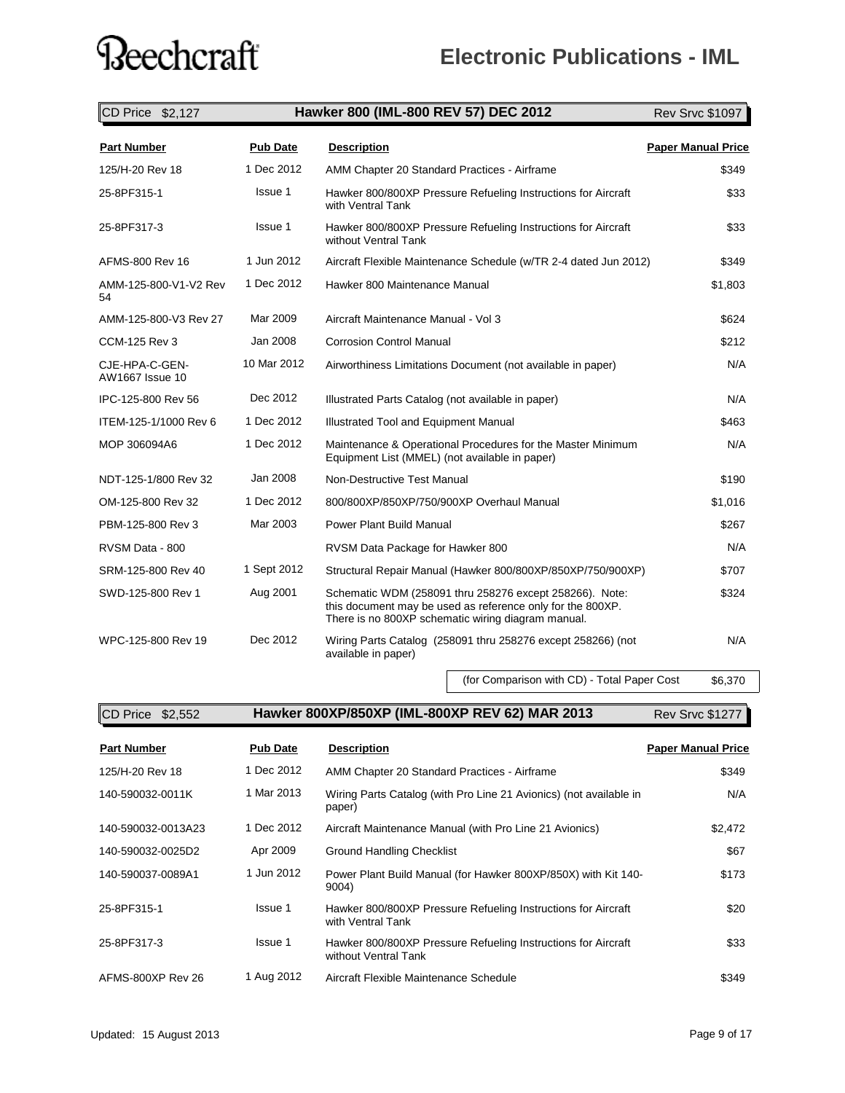### **Electronic Publications - IML**

| CD Price \$2,127                  |                 | Hawker 800 (IML-800 REV 57) DEC 2012                                                                                                                                        | <b>Rev Srvc \$1097</b>    |
|-----------------------------------|-----------------|-----------------------------------------------------------------------------------------------------------------------------------------------------------------------------|---------------------------|
| <b>Part Number</b>                | <b>Pub Date</b> | <b>Description</b>                                                                                                                                                          | <b>Paper Manual Price</b> |
| 125/H-20 Rev 18                   | 1 Dec 2012      | AMM Chapter 20 Standard Practices - Airframe                                                                                                                                | \$349                     |
| 25-8PF315-1                       | Issue 1         | Hawker 800/800XP Pressure Refueling Instructions for Aircraft<br>with Ventral Tank                                                                                          | \$33                      |
| 25-8PF317-3                       | Issue 1         | Hawker 800/800XP Pressure Refueling Instructions for Aircraft<br>without Ventral Tank                                                                                       | \$33                      |
| AFMS-800 Rev 16                   | 1 Jun 2012      | Aircraft Flexible Maintenance Schedule (w/TR 2-4 dated Jun 2012)                                                                                                            | \$349                     |
| AMM-125-800-V1-V2 Rev<br>54       | 1 Dec 2012      | Hawker 800 Maintenance Manual                                                                                                                                               | \$1,803                   |
| AMM-125-800-V3 Rev 27             | Mar 2009        | Aircraft Maintenance Manual - Vol 3                                                                                                                                         | \$624                     |
| CCM-125 Rev 3                     | Jan 2008        | <b>Corrosion Control Manual</b>                                                                                                                                             | \$212                     |
| CJE-HPA-C-GEN-<br>AW1667 Issue 10 | 10 Mar 2012     | Airworthiness Limitations Document (not available in paper)                                                                                                                 | N/A                       |
| IPC-125-800 Rev 56                | Dec 2012        | Illustrated Parts Catalog (not available in paper)                                                                                                                          | N/A                       |
| ITEM-125-1/1000 Rev 6             | 1 Dec 2012      | Illustrated Tool and Equipment Manual                                                                                                                                       | \$463                     |
| MOP 306094A6                      | 1 Dec 2012      | Maintenance & Operational Procedures for the Master Minimum<br>Equipment List (MMEL) (not available in paper)                                                               | N/A                       |
| NDT-125-1/800 Rev 32              | Jan 2008        | Non-Destructive Test Manual                                                                                                                                                 | \$190                     |
| OM-125-800 Rev 32                 | 1 Dec 2012      | 800/800XP/850XP/750/900XP Overhaul Manual                                                                                                                                   | \$1,016                   |
| PBM-125-800 Rev 3                 | Mar 2003        | <b>Power Plant Build Manual</b>                                                                                                                                             | \$267                     |
| RVSM Data - 800                   |                 | RVSM Data Package for Hawker 800                                                                                                                                            | N/A                       |
| SRM-125-800 Rev 40                | 1 Sept 2012     | Structural Repair Manual (Hawker 800/800XP/850XP/750/900XP)                                                                                                                 | \$707                     |
| SWD-125-800 Rev 1                 | Aug 2001        | Schematic WDM (258091 thru 258276 except 258266). Note:<br>this document may be used as reference only for the 800XP.<br>There is no 800XP schematic wiring diagram manual. | \$324                     |
| WPC-125-800 Rev 19                | Dec 2012        | Wiring Parts Catalog (258091 thru 258276 except 258266) (not<br>available in paper)                                                                                         | N/A                       |

(for Comparison with CD) - Total Paper Cost \$6,370

CD Price \$2,552 **Hawker 800XP/850XP (IML-800XP REV 62) MAR 2013** Rev Srvc \$1277

| <b>Rev Srvc \$1277</b> |  |
|------------------------|--|
|------------------------|--|

| <b>Part Number</b> | <b>Pub Date</b> | <b>Description</b>                                                                    | <b>Paper Manual Price</b> |
|--------------------|-----------------|---------------------------------------------------------------------------------------|---------------------------|
| 125/H-20 Rev 18    | 1 Dec 2012      | AMM Chapter 20 Standard Practices - Airframe                                          | \$349                     |
| 140-590032-0011K   | 1 Mar 2013      | Wiring Parts Catalog (with Pro Line 21 Avionics) (not available in<br>paper)          | N/A                       |
| 140-590032-0013A23 | 1 Dec 2012      | Aircraft Maintenance Manual (with Pro Line 21 Avionics)                               | \$2,472                   |
| 140-590032-0025D2  | Apr 2009        | <b>Ground Handling Checklist</b>                                                      | \$67                      |
| 140-590037-0089A1  | 1 Jun 2012      | Power Plant Build Manual (for Hawker 800XP/850X) with Kit 140-<br>9004)               | \$173                     |
| 25-8PF315-1        | Issue 1         | Hawker 800/800XP Pressure Refueling Instructions for Aircraft<br>with Ventral Tank    | \$20                      |
| 25-8PF317-3        | Issue 1         | Hawker 800/800XP Pressure Refueling Instructions for Aircraft<br>without Ventral Tank | \$33                      |
| AFMS-800XP Rev 26  | 1 Aug 2012      | Aircraft Flexible Maintenance Schedule                                                | \$349                     |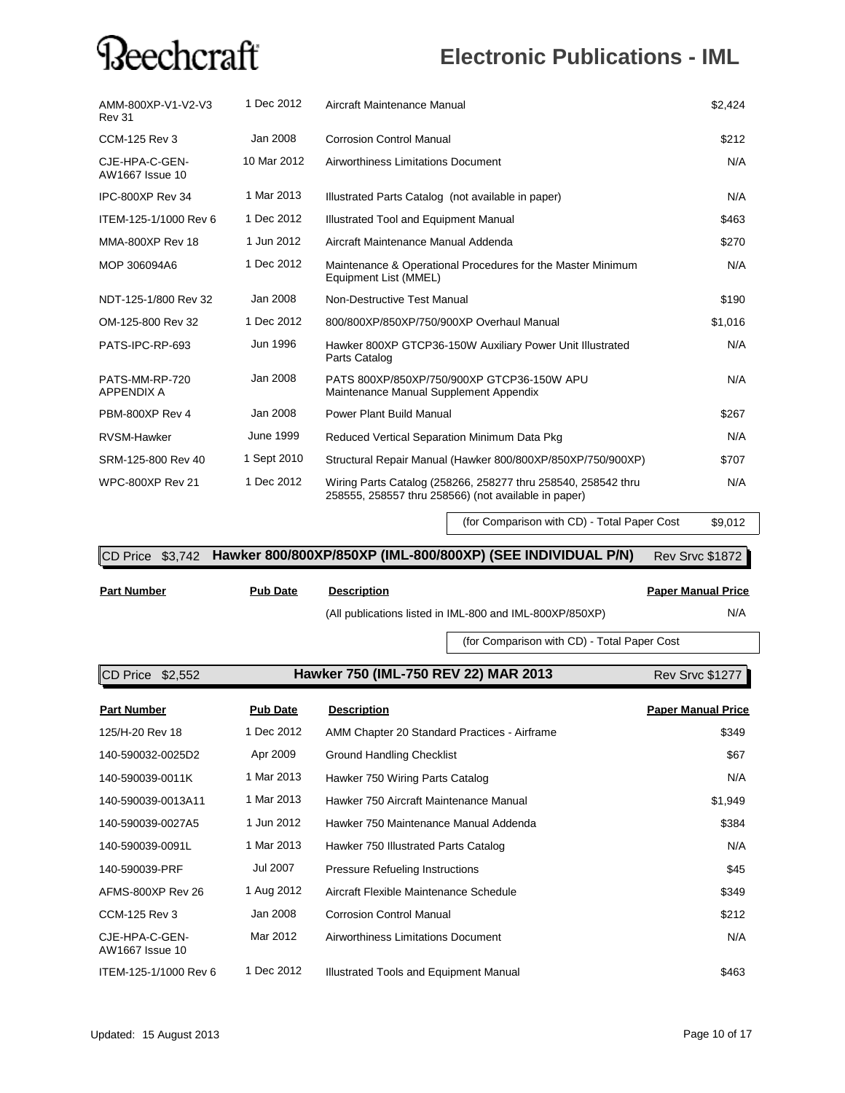### **Electronic Publications - IML**

| AMM-800XP-V1-V2-V3<br><b>Rev 31</b> | 1 Dec 2012  | Aircraft Maintenance Manual                                                                                           | \$2,424 |
|-------------------------------------|-------------|-----------------------------------------------------------------------------------------------------------------------|---------|
| CCM-125 Rev 3                       | Jan 2008    | Corrosion Control Manual                                                                                              | \$212   |
| CJE-HPA-C-GEN-<br>AW1667 Issue 10   | 10 Mar 2012 | Airworthiness Limitations Document                                                                                    | N/A     |
| IPC-800XP Rev 34                    | 1 Mar 2013  | Illustrated Parts Catalog (not available in paper)                                                                    | N/A     |
| ITEM-125-1/1000 Rev 6               | 1 Dec 2012  | Illustrated Tool and Equipment Manual                                                                                 | \$463   |
| <b>MMA-800XP Rev 18</b>             | 1 Jun 2012  | Aircraft Maintenance Manual Addenda                                                                                   | \$270   |
| MOP 306094A6                        | 1 Dec 2012  | Maintenance & Operational Procedures for the Master Minimum<br>Equipment List (MMEL)                                  | N/A     |
| NDT-125-1/800 Rev 32                | Jan 2008    | Non-Destructive Test Manual                                                                                           | \$190   |
| OM-125-800 Rev 32                   | 1 Dec 2012  | 800/800XP/850XP/750/900XP Overhaul Manual                                                                             | \$1,016 |
| PATS-IPC-RP-693                     | Jun 1996    | Hawker 800XP GTCP36-150W Auxiliary Power Unit Illustrated<br>Parts Catalog                                            | N/A     |
| PATS-MM-RP-720<br><b>APPENDIX A</b> | Jan 2008    | PATS 800XP/850XP/750/900XP GTCP36-150W APU<br>Maintenance Manual Supplement Appendix                                  | N/A     |
| PBM-800XP Rev 4                     | Jan 2008    | <b>Power Plant Build Manual</b>                                                                                       | \$267   |
| <b>RVSM-Hawker</b>                  | June 1999   | Reduced Vertical Separation Minimum Data Pkg                                                                          | N/A     |
| SRM-125-800 Rev 40                  | 1 Sept 2010 | Structural Repair Manual (Hawker 800/800XP/850XP/750/900XP)                                                           | \$707   |
| <b>WPC-800XP Rev 21</b>             | 1 Dec 2012  | Wiring Parts Catalog (258266, 258277 thru 258540, 258542 thru<br>258555, 258557 thru 258566) (not available in paper) | N/A     |

(for Comparison with CD) - Total Paper Cost \$9,012

#### CD Price \$3,742 Hawker 800/800XP/850XP (IML-800/800XP) (SEE INDIVIDUAL P/N) Rev Srvc \$1872

**Part Number Pub Date Description**

(All publications listed in IML-800 and IML-800XP/850XP) N/A

#### **Paper Manual Price**

(for Comparison with CD) - Total Paper Cost

**CD Price \$2,552 Hawker 750 (IML-750 REV 22) MAR 2013** Rev Srvc \$1277

| <b>Part Number</b>                | <b>Pub Date</b> | <b>Description</b>                           | <b>Paper Manual Price</b> |
|-----------------------------------|-----------------|----------------------------------------------|---------------------------|
| 125/H-20 Rev 18                   | 1 Dec 2012      | AMM Chapter 20 Standard Practices - Airframe | \$349                     |
| 140-590032-0025D2                 | Apr 2009        | <b>Ground Handling Checklist</b>             | \$67                      |
| 140-590039-0011K                  | 1 Mar 2013      | Hawker 750 Wiring Parts Catalog              | N/A                       |
| 140-590039-0013A11                | 1 Mar 2013      | Hawker 750 Aircraft Maintenance Manual       | \$1,949                   |
| 140-590039-0027A5                 | 1 Jun 2012      | Hawker 750 Maintenance Manual Addenda        | \$384                     |
| 140-590039-0091L                  | 1 Mar 2013      | Hawker 750 Illustrated Parts Catalog         | N/A                       |
| 140-590039-PRF                    | Jul 2007        | <b>Pressure Refueling Instructions</b>       | \$45                      |
| AFMS-800XP Rev 26                 | 1 Aug 2012      | Aircraft Flexible Maintenance Schedule       | \$349                     |
| CCM-125 Rev 3                     | Jan 2008        | <b>Corrosion Control Manual</b>              | \$212                     |
| CJE-HPA-C-GEN-<br>AW1667 Issue 10 | Mar 2012        | Airworthiness Limitations Document           | N/A                       |
| ITEM-125-1/1000 Rev 6             | 1 Dec 2012      | Illustrated Tools and Equipment Manual       | \$463                     |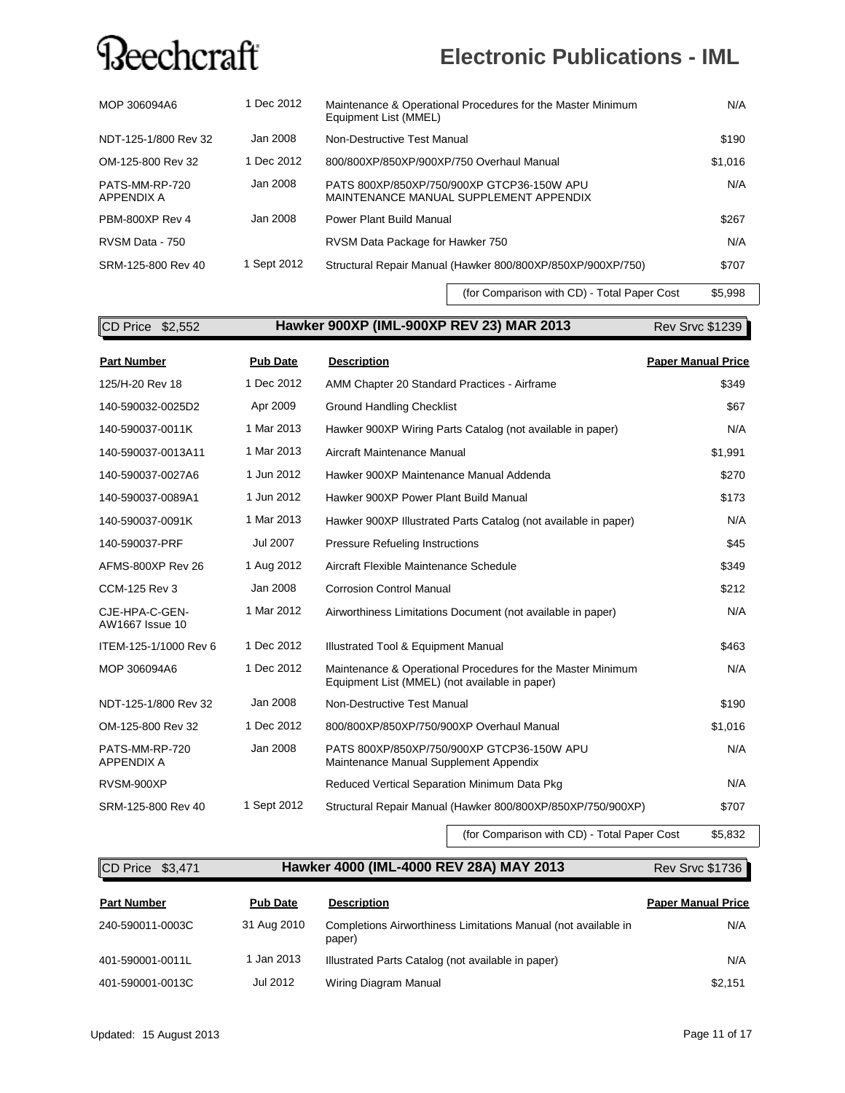### **Electronic Publications - IML**

| MOP 306094A6                 | 1 Dec 2012  | Maintenance & Operational Procedures for the Master Minimum<br>Equipment List (MMEL) | N/A     |
|------------------------------|-------------|--------------------------------------------------------------------------------------|---------|
| NDT-125-1/800 Rev 32         | Jan 2008    | Non-Destructive Test Manual                                                          | \$190   |
| OM-125-800 Rev 32            | 1 Dec 2012  | 800/800XP/850XP/900XP/750 Overhaul Manual                                            | \$1,016 |
| PATS-MM-RP-720<br>APPENDIX A | Jan 2008    | PATS 800XP/850XP/750/900XP GTCP36-150W APU<br>MAINTENANCE MANUAL SUPPLEMENT APPENDIX | N/A     |
| PBM-800XP Rev 4              | Jan 2008    | Power Plant Build Manual                                                             | \$267   |
| RVSM Data - 750              |             | RVSM Data Package for Hawker 750                                                     | N/A     |
| SRM-125-800 Rev 40           | 1 Sept 2012 | Structural Repair Manual (Hawker 800/800XP/850XP/900XP/750)                          | \$707   |

(for Comparison with CD) - Total Paper Cost \$5,998

| CD Price \$2,552                    |                 | Hawker 900XP (IML-900XP REV 23) MAR 2013                                                                      | Rev Srvc \$1239           |
|-------------------------------------|-----------------|---------------------------------------------------------------------------------------------------------------|---------------------------|
| <b>Part Number</b>                  | <b>Pub Date</b> | <b>Description</b>                                                                                            | <b>Paper Manual Price</b> |
| 125/H-20 Rev 18                     | 1 Dec 2012      | AMM Chapter 20 Standard Practices - Airframe                                                                  | \$349                     |
| 140-590032-0025D2                   | Apr 2009        | <b>Ground Handling Checklist</b>                                                                              | \$67                      |
| 140-590037-0011K                    | 1 Mar 2013      | Hawker 900XP Wiring Parts Catalog (not available in paper)                                                    | N/A                       |
| 140-590037-0013A11                  | 1 Mar 2013      | Aircraft Maintenance Manual                                                                                   | \$1,991                   |
| 140-590037-0027A6                   | 1 Jun 2012      | Hawker 900XP Maintenance Manual Addenda                                                                       | \$270                     |
| 140-590037-0089A1                   | 1 Jun 2012      | Hawker 900XP Power Plant Build Manual                                                                         | \$173                     |
| 140-590037-0091K                    | 1 Mar 2013      | Hawker 900XP Illustrated Parts Catalog (not available in paper)                                               | N/A                       |
| 140-590037-PRF                      | Jul 2007        | <b>Pressure Refueling Instructions</b>                                                                        | \$45                      |
| AFMS-800XP Rev 26                   | 1 Aug 2012      | Aircraft Flexible Maintenance Schedule                                                                        | \$349                     |
| <b>CCM-125 Rev 3</b>                | Jan 2008        | <b>Corrosion Control Manual</b>                                                                               | \$212                     |
| CJE-HPA-C-GEN-<br>AW1667 Issue 10   | 1 Mar 2012      | Airworthiness Limitations Document (not available in paper)                                                   | N/A                       |
| ITEM-125-1/1000 Rev 6               | 1 Dec 2012      | Illustrated Tool & Equipment Manual                                                                           | \$463                     |
| MOP 306094A6                        | 1 Dec 2012      | Maintenance & Operational Procedures for the Master Minimum<br>Equipment List (MMEL) (not available in paper) | N/A                       |
| NDT-125-1/800 Rev 32                | Jan 2008        | Non-Destructive Test Manual                                                                                   | \$190                     |
| OM-125-800 Rev 32                   | 1 Dec 2012      | 800/800XP/850XP/750/900XP Overhaul Manual                                                                     | \$1,016                   |
| PATS-MM-RP-720<br><b>APPENDIX A</b> | Jan 2008        | PATS 800XP/850XP/750/900XP GTCP36-150W APU<br>Maintenance Manual Supplement Appendix                          | N/A                       |
| RVSM-900XP                          |                 | Reduced Vertical Separation Minimum Data Pkg                                                                  | N/A                       |
| SRM-125-800 Rev 40                  | 1 Sept 2012     | Structural Repair Manual (Hawker 800/800XP/850XP/750/900XP)                                                   | \$707                     |
|                                     |                 | (for Comparison with CD) - Total Paper Cost                                                                   | \$5,832                   |

#### **CD Price \$3,471 <b>Hawker 4000 (IML-4000 REV 28A) MAY 2013** Rev Srvc \$1736

#### **Part Number Pub Date Description Paper Manual Price** 240-590011-0003C and 31 Aug 2010 Completions Airworthiness Limitations Manual (not available in and SNA paper) 401-590001-0011L 1 Jan 2013 Illustrated Parts Catalog (not available in paper) N/A 401-590001-0013C Jul 2012 Wiring Diagram Manual \$2,151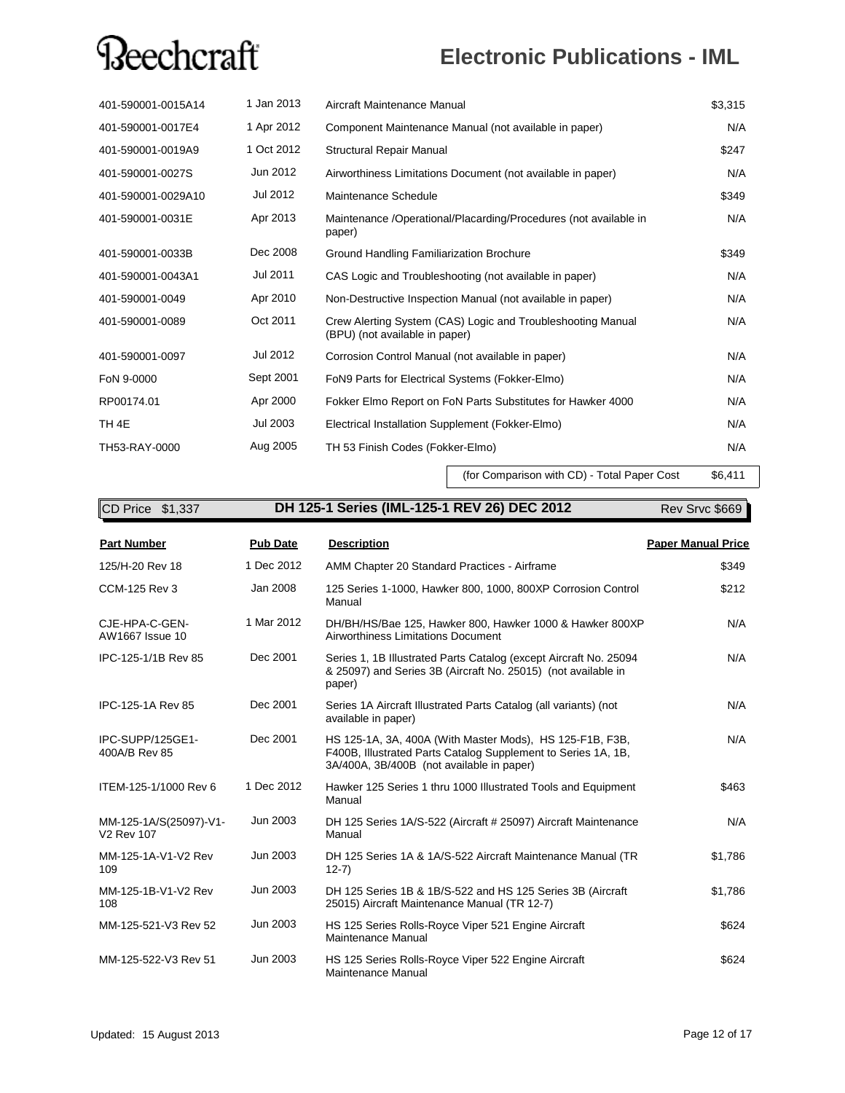### **Electronic Publications - IML**

| 401-590001-0015A14 | 1 Jan 2013 | Aircraft Maintenance Manual                                                                   | \$3,315 |
|--------------------|------------|-----------------------------------------------------------------------------------------------|---------|
| 401-590001-0017E4  | 1 Apr 2012 | Component Maintenance Manual (not available in paper)                                         | N/A     |
| 401-590001-0019A9  | 1 Oct 2012 | Structural Repair Manual                                                                      | \$247   |
| 401-590001-0027S   | Jun 2012   | Airworthiness Limitations Document (not available in paper)                                   | N/A     |
| 401-590001-0029A10 | Jul 2012   | Maintenance Schedule                                                                          | \$349   |
| 401-590001-0031E   | Apr 2013   | Maintenance / Operational/Placarding/Procedures (not available in<br>paper)                   | N/A     |
| 401-590001-0033B   | Dec 2008   | Ground Handling Familiarization Brochure                                                      | \$349   |
| 401-590001-0043A1  | Jul 2011   | CAS Logic and Troubleshooting (not available in paper)                                        | N/A     |
| 401-590001-0049    | Apr 2010   | Non-Destructive Inspection Manual (not available in paper)                                    | N/A     |
| 401-590001-0089    | Oct 2011   | Crew Alerting System (CAS) Logic and Troubleshooting Manual<br>(BPU) (not available in paper) | N/A     |
| 401-590001-0097    | Jul 2012   | Corrosion Control Manual (not available in paper)                                             | N/A     |
| FoN 9-0000         | Sept 2001  | FoN9 Parts for Electrical Systems (Fokker-Elmo)                                               | N/A     |
| RP00174.01         | Apr 2000   | Fokker Elmo Report on FoN Parts Substitutes for Hawker 4000                                   | N/A     |
| TH <sub>4E</sub>   | Jul 2003   | Electrical Installation Supplement (Fokker-Elmo)                                              | N/A     |
| TH53-RAY-0000      | Aug 2005   | TH 53 Finish Codes (Fokker-Elmo)                                                              | N/A     |

(for Comparison with CD) - Total Paper Cost \$6,411

| CD Price \$1,337                            |                 | DH 125-1 Series (IML-125-1 REV 26) DEC 2012                                                                                                                            | Rev Srvc \$669            |
|---------------------------------------------|-----------------|------------------------------------------------------------------------------------------------------------------------------------------------------------------------|---------------------------|
| <b>Part Number</b>                          | <b>Pub Date</b> | <b>Description</b>                                                                                                                                                     | <b>Paper Manual Price</b> |
| 125/H-20 Rev 18                             | 1 Dec 2012      | AMM Chapter 20 Standard Practices - Airframe                                                                                                                           | \$349                     |
| <b>CCM-125 Rev 3</b>                        | Jan 2008        | 125 Series 1-1000, Hawker 800, 1000, 800XP Corrosion Control<br>Manual                                                                                                 | \$212                     |
| CJE-HPA-C-GEN-<br>AW1667 Issue 10           | 1 Mar 2012      | DH/BH/HS/Bae 125, Hawker 800, Hawker 1000 & Hawker 800XP<br>Airworthiness Limitations Document                                                                         | N/A                       |
| IPC-125-1/1B Rev 85                         | Dec 2001        | Series 1, 1B Illustrated Parts Catalog (except Aircraft No. 25094<br>& 25097) and Series 3B (Aircraft No. 25015) (not available in<br>paper)                           | N/A                       |
| IPC-125-1A Rev 85                           | Dec 2001        | Series 1A Aircraft Illustrated Parts Catalog (all variants) (not<br>available in paper)                                                                                | N/A                       |
| IPC-SUPP/125GE1-<br>400A/B Rev 85           | Dec 2001        | HS 125-1A, 3A, 400A (With Master Mods), HS 125-F1B, F3B,<br>F400B, Illustrated Parts Catalog Supplement to Series 1A, 1B,<br>3A/400A, 3B/400B (not available in paper) | N/A                       |
| ITEM-125-1/1000 Rev 6                       | 1 Dec 2012      | Hawker 125 Series 1 thru 1000 Illustrated Tools and Equipment<br>Manual                                                                                                | \$463                     |
| MM-125-1A/S(25097)-V1-<br><b>V2 Rev 107</b> | Jun 2003        | DH 125 Series 1A/S-522 (Aircraft # 25097) Aircraft Maintenance<br>Manual                                                                                               | N/A                       |
| MM-125-1A-V1-V2 Rev<br>109                  | Jun 2003        | DH 125 Series 1A & 1A/S-522 Aircraft Maintenance Manual (TR<br>$12-7)$                                                                                                 | \$1,786                   |
| MM-125-1B-V1-V2 Rev<br>108                  | Jun 2003        | DH 125 Series 1B & 1B/S-522 and HS 125 Series 3B (Aircraft<br>25015) Aircraft Maintenance Manual (TR 12-7)                                                             | \$1,786                   |
| MM-125-521-V3 Rev 52                        | Jun 2003        | HS 125 Series Rolls-Royce Viper 521 Engine Aircraft<br>Maintenance Manual                                                                                              | \$624                     |
| MM-125-522-V3 Rev 51                        | Jun 2003        | HS 125 Series Rolls-Royce Viper 522 Engine Aircraft<br>Maintenance Manual                                                                                              | \$624                     |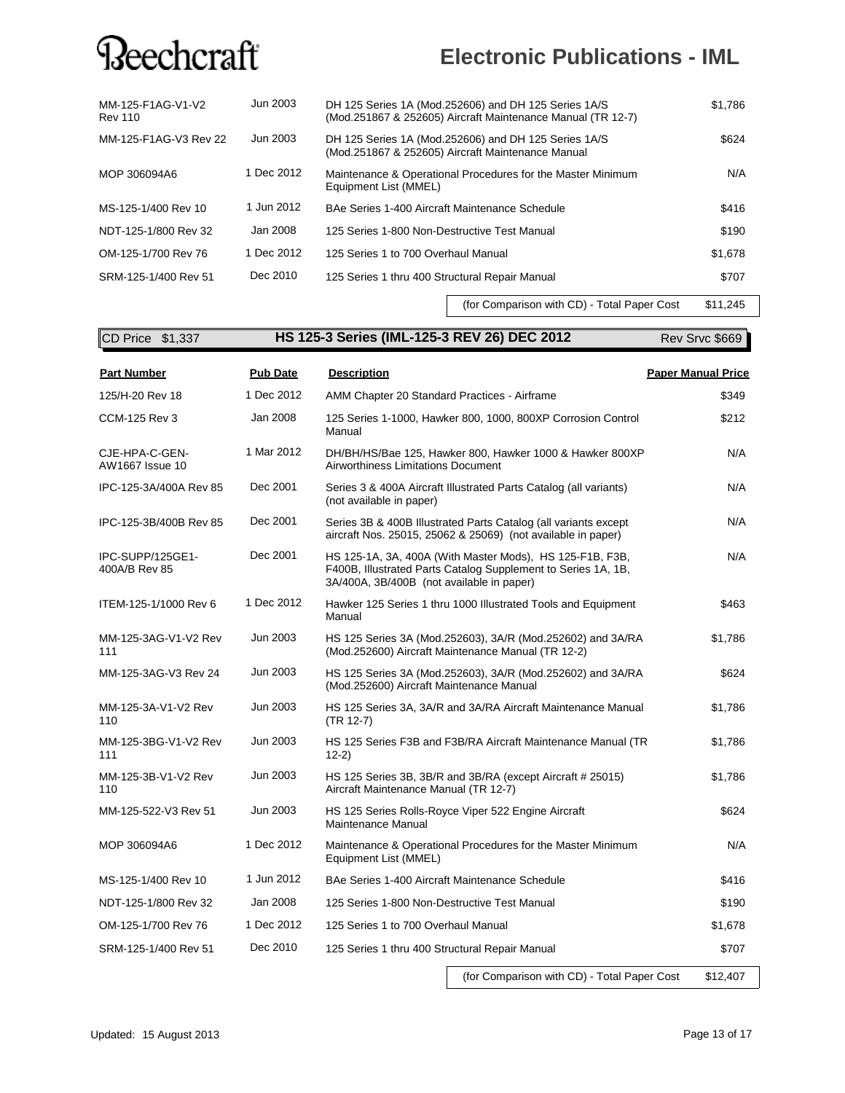### **Electronic Publications - IML**

| MM-125-F1AG-V1-V2<br><b>Rev 110</b> | Jun 2003   | DH 125 Series 1A (Mod.252606) and DH 125 Series 1A/S<br>(Mod.251867 & 252605) Aircraft Maintenance Manual (TR 12-7) | \$1,786 |
|-------------------------------------|------------|---------------------------------------------------------------------------------------------------------------------|---------|
| MM-125-F1AG-V3 Rev 22               | Jun 2003   | DH 125 Series 1A (Mod.252606) and DH 125 Series 1A/S<br>(Mod.251867 & 252605) Aircraft Maintenance Manual           | \$624   |
| MOP 306094A6                        | 1 Dec 2012 | Maintenance & Operational Procedures for the Master Minimum<br>Equipment List (MMEL)                                | N/A     |
| MS-125-1/400 Rev 10                 | 1 Jun 2012 | BAe Series 1-400 Aircraft Maintenance Schedule                                                                      | \$416   |
| NDT-125-1/800 Rev 32                | Jan 2008   | 125 Series 1-800 Non-Destructive Test Manual                                                                        | \$190   |
| OM-125-1/700 Rev 76                 | 1 Dec 2012 | 125 Series 1 to 700 Overhaul Manual                                                                                 | \$1,678 |
| SRM-125-1/400 Rev 51                | Dec 2010   | 125 Series 1 thru 400 Structural Repair Manual                                                                      | \$707   |

(for Comparison with CD) - Total Paper Cost \$11,245

**CD Price \$1,337 <b>HS 125-3 Series (IML-125-3 REV 26) DEC 2012** Rev Srvc \$669

| <b>Part Number</b>                | <b>Pub Date</b> | <b>Description</b>                                                                                                                                                     | <b>Paper Manual Price</b> |
|-----------------------------------|-----------------|------------------------------------------------------------------------------------------------------------------------------------------------------------------------|---------------------------|
| 125/H-20 Rev 18                   | 1 Dec 2012      | AMM Chapter 20 Standard Practices - Airframe                                                                                                                           | \$349                     |
| <b>CCM-125 Rev 3</b>              | Jan 2008        | 125 Series 1-1000, Hawker 800, 1000, 800XP Corrosion Control<br>Manual                                                                                                 | \$212                     |
| CJE-HPA-C-GEN-<br>AW1667 Issue 10 | 1 Mar 2012      | DH/BH/HS/Bae 125, Hawker 800, Hawker 1000 & Hawker 800XP<br>Airworthiness Limitations Document                                                                         | N/A                       |
| IPC-125-3A/400A Rev 85            | Dec 2001        | Series 3 & 400A Aircraft Illustrated Parts Catalog (all variants)<br>(not available in paper)                                                                          | N/A                       |
| IPC-125-3B/400B Rev 85            | Dec 2001        | Series 3B & 400B Illustrated Parts Catalog (all variants except<br>aircraft Nos. 25015, 25062 & 25069) (not available in paper)                                        | N/A                       |
| IPC-SUPP/125GE1-<br>400A/B Rev 85 | Dec 2001        | HS 125-1A, 3A, 400A (With Master Mods), HS 125-F1B, F3B,<br>F400B, Illustrated Parts Catalog Supplement to Series 1A, 1B,<br>3A/400A, 3B/400B (not available in paper) | N/A                       |
| ITEM-125-1/1000 Rev 6             | 1 Dec 2012      | Hawker 125 Series 1 thru 1000 Illustrated Tools and Equipment<br>Manual                                                                                                | \$463                     |
| MM-125-3AG-V1-V2 Rev<br>111       | Jun 2003        | HS 125 Series 3A (Mod.252603), 3A/R (Mod.252602) and 3A/RA<br>(Mod.252600) Aircraft Maintenance Manual (TR 12-2)                                                       | \$1,786                   |
| MM-125-3AG-V3 Rev 24              | Jun 2003        | HS 125 Series 3A (Mod.252603), 3A/R (Mod.252602) and 3A/RA<br>(Mod.252600) Aircraft Maintenance Manual                                                                 | \$624                     |
| MM-125-3A-V1-V2 Rev<br>110        | Jun 2003        | HS 125 Series 3A, 3A/R and 3A/RA Aircraft Maintenance Manual<br>(TR 12-7)                                                                                              | \$1,786                   |
| MM-125-3BG-V1-V2 Rev<br>111       | Jun 2003        | HS 125 Series F3B and F3B/RA Aircraft Maintenance Manual (TR<br>$12-2)$                                                                                                | \$1,786                   |
| MM-125-3B-V1-V2 Rev<br>110        | Jun 2003        | HS 125 Series 3B, 3B/R and 3B/RA (except Aircraft # 25015)<br>Aircraft Maintenance Manual (TR 12-7)                                                                    | \$1,786                   |
| MM-125-522-V3 Rev 51              | Jun 2003        | HS 125 Series Rolls-Royce Viper 522 Engine Aircraft<br>Maintenance Manual                                                                                              | \$624                     |
| MOP 306094A6                      | 1 Dec 2012      | Maintenance & Operational Procedures for the Master Minimum<br>Equipment List (MMEL)                                                                                   | N/A                       |
| MS-125-1/400 Rev 10               | 1 Jun 2012      | BAe Series 1-400 Aircraft Maintenance Schedule                                                                                                                         | \$416                     |
| NDT-125-1/800 Rev 32              | Jan 2008        | 125 Series 1-800 Non-Destructive Test Manual                                                                                                                           | \$190                     |
| OM-125-1/700 Rev 76               | 1 Dec 2012      | 125 Series 1 to 700 Overhaul Manual                                                                                                                                    | \$1,678                   |
| SRM-125-1/400 Rev 51              | Dec 2010        | 125 Series 1 thru 400 Structural Repair Manual                                                                                                                         | \$707                     |
|                                   |                 |                                                                                                                                                                        |                           |

(for Comparison with CD) - Total Paper Cost \$12,407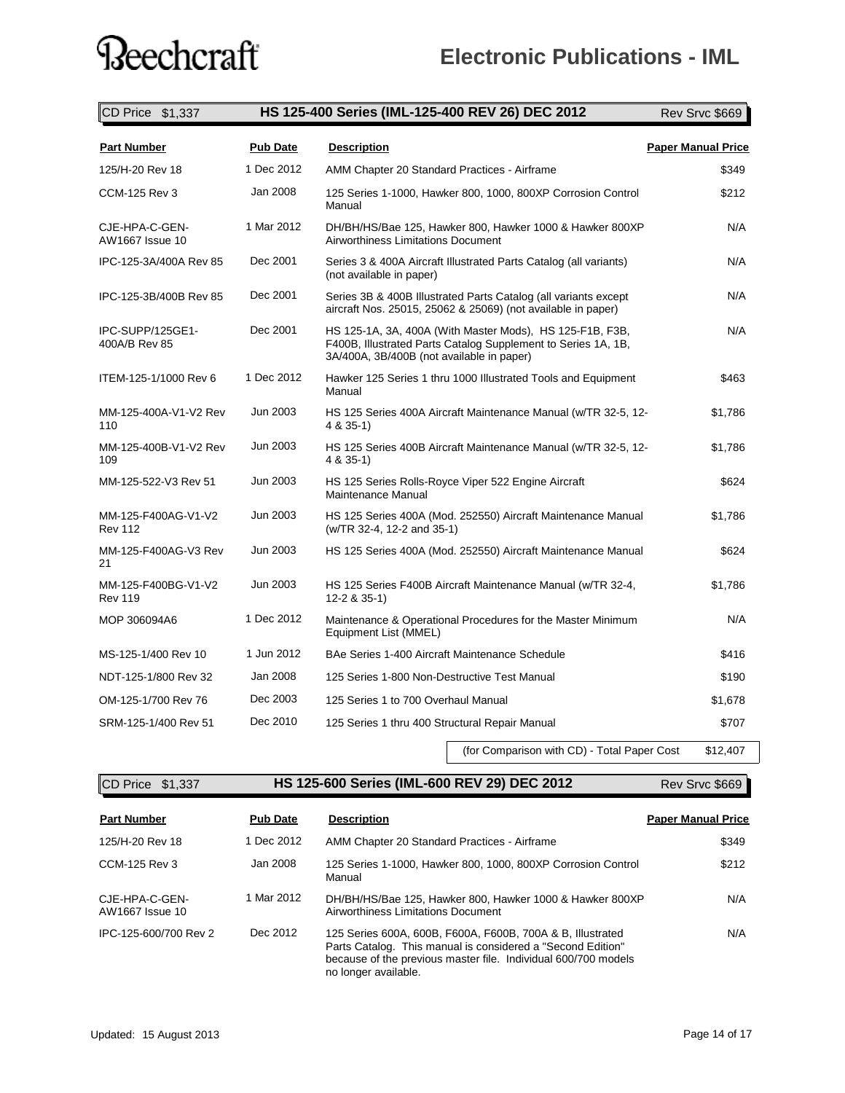| CD Price \$1,337                      | HS 125-400 Series (IML-125-400 REV 26) DEC 2012 |                                                                                                                                                                        |                           |
|---------------------------------------|-------------------------------------------------|------------------------------------------------------------------------------------------------------------------------------------------------------------------------|---------------------------|
| <b>Part Number</b>                    | <b>Pub Date</b>                                 | <b>Description</b>                                                                                                                                                     | <b>Paper Manual Price</b> |
| 125/H-20 Rev 18                       | 1 Dec 2012                                      | AMM Chapter 20 Standard Practices - Airframe                                                                                                                           | \$349                     |
| <b>CCM-125 Rev 3</b>                  | Jan 2008                                        | 125 Series 1-1000, Hawker 800, 1000, 800XP Corrosion Control<br>Manual                                                                                                 | \$212                     |
| CJE-HPA-C-GEN-<br>AW1667 Issue 10     | 1 Mar 2012                                      | DH/BH/HS/Bae 125, Hawker 800, Hawker 1000 & Hawker 800XP<br><b>Airworthiness Limitations Document</b>                                                                  | N/A                       |
| IPC-125-3A/400A Rev 85                | Dec 2001                                        | Series 3 & 400A Aircraft Illustrated Parts Catalog (all variants)<br>(not available in paper)                                                                          | N/A                       |
| IPC-125-3B/400B Rev 85                | Dec 2001                                        | Series 3B & 400B Illustrated Parts Catalog (all variants except<br>aircraft Nos. 25015, 25062 & 25069) (not available in paper)                                        | N/A                       |
| IPC-SUPP/125GE1-<br>400A/B Rev 85     | Dec 2001                                        | HS 125-1A, 3A, 400A (With Master Mods), HS 125-F1B, F3B,<br>F400B, Illustrated Parts Catalog Supplement to Series 1A, 1B,<br>3A/400A, 3B/400B (not available in paper) | N/A                       |
| ITEM-125-1/1000 Rev 6                 | 1 Dec 2012                                      | Hawker 125 Series 1 thru 1000 Illustrated Tools and Equipment<br>Manual                                                                                                | \$463                     |
| MM-125-400A-V1-V2 Rev<br>110          | Jun 2003                                        | HS 125 Series 400A Aircraft Maintenance Manual (w/TR 32-5, 12-<br>4 & 35-1)                                                                                            | \$1,786                   |
| MM-125-400B-V1-V2 Rev<br>109          | Jun 2003                                        | HS 125 Series 400B Aircraft Maintenance Manual (w/TR 32-5, 12-<br>4 & 35-1)                                                                                            | \$1,786                   |
| MM-125-522-V3 Rev 51                  | Jun 2003                                        | HS 125 Series Rolls-Royce Viper 522 Engine Aircraft<br>Maintenance Manual                                                                                              | \$624                     |
| MM-125-F400AG-V1-V2<br><b>Rev 112</b> | Jun 2003                                        | HS 125 Series 400A (Mod. 252550) Aircraft Maintenance Manual<br>(w/TR 32-4, 12-2 and 35-1)                                                                             | \$1,786                   |
| MM-125-F400AG-V3 Rev<br>21            | Jun 2003                                        | HS 125 Series 400A (Mod. 252550) Aircraft Maintenance Manual                                                                                                           | \$624                     |
| MM-125-F400BG-V1-V2<br><b>Rev 119</b> | Jun 2003                                        | HS 125 Series F400B Aircraft Maintenance Manual (w/TR 32-4,<br>12-2 & 35-1)                                                                                            | \$1,786                   |
| MOP 306094A6                          | 1 Dec 2012                                      | Maintenance & Operational Procedures for the Master Minimum<br>Equipment List (MMEL)                                                                                   | N/A                       |
| MS-125-1/400 Rev 10                   | 1 Jun 2012                                      | BAe Series 1-400 Aircraft Maintenance Schedule                                                                                                                         | \$416                     |
| NDT-125-1/800 Rev 32                  | Jan 2008                                        | 125 Series 1-800 Non-Destructive Test Manual                                                                                                                           | \$190                     |
| OM-125-1/700 Rev 76                   | Dec 2003                                        | 125 Series 1 to 700 Overhaul Manual                                                                                                                                    | \$1,678                   |
| SRM-125-1/400 Rev 51                  | Dec 2010                                        | 125 Series 1 thru 400 Structural Repair Manual                                                                                                                         | \$707                     |
|                                       |                                                 | (for Comparison with CD) - Total Paper Cost                                                                                                                            | \$12,407                  |

 $\frac{1}{2}$ 

**CD Price \$1,337 <b>HS 125-600 Series (IML-600 REV 29) DEC 2012** Rev Srvc \$669

| <b>Part Number</b>                | <b>Pub Date</b> | <b>Description</b>                                                                                                                                                                                                  | <b>Paper Manual Price</b> |
|-----------------------------------|-----------------|---------------------------------------------------------------------------------------------------------------------------------------------------------------------------------------------------------------------|---------------------------|
| 125/H-20 Rev 18                   | 1 Dec 2012      | AMM Chapter 20 Standard Practices - Airframe                                                                                                                                                                        | \$349                     |
| CCM-125 Rev 3                     | Jan 2008        | 125 Series 1-1000, Hawker 800, 1000, 800XP Corrosion Control<br>Manual                                                                                                                                              | \$212                     |
| CJE-HPA-C-GEN-<br>AW1667 Issue 10 | 1 Mar 2012      | DH/BH/HS/Bae 125, Hawker 800, Hawker 1000 & Hawker 800XP<br>Airworthiness Limitations Document                                                                                                                      | N/A                       |
| IPC-125-600/700 Rev 2             | Dec 2012        | 125 Series 600A, 600B, F600A, F600B, 700A & B, Illustrated<br>Parts Catalog. This manual is considered a "Second Edition"<br>because of the previous master file. Individual 600/700 models<br>no longer available. | N/A                       |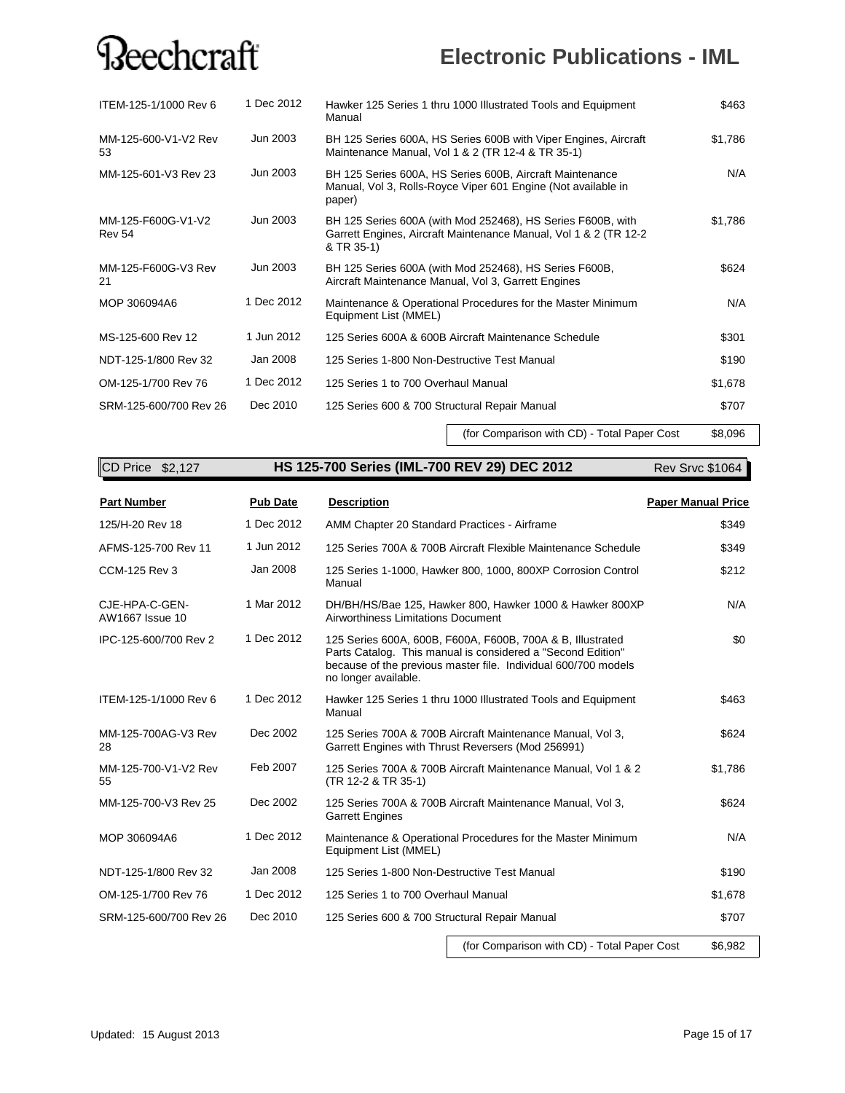### **Electronic Publications - IML**

| ITEM-125-1/1000 Rev 6               | 1 Dec 2012 | Hawker 125 Series 1 thru 1000 Illustrated Tools and Equipment<br>Manual                                                                        |         |
|-------------------------------------|------------|------------------------------------------------------------------------------------------------------------------------------------------------|---------|
| MM-125-600-V1-V2 Rev<br>53          | Jun 2003   | BH 125 Series 600A, HS Series 600B with Viper Engines, Aircraft<br>Maintenance Manual, Vol 1 & 2 (TR 12-4 & TR 35-1)                           | \$1,786 |
| MM-125-601-V3 Rev 23                | Jun 2003   | BH 125 Series 600A, HS Series 600B, Aircraft Maintenance<br>Manual, Vol 3, Rolls-Royce Viper 601 Engine (Not available in<br>paper)            | N/A     |
| MM-125-F600G-V1-V2<br><b>Rev 54</b> | Jun 2003   | BH 125 Series 600A (with Mod 252468), HS Series F600B, with<br>Garrett Engines, Aircraft Maintenance Manual, Vol 1 & 2 (TR 12-2)<br>& TR 35-1) | \$1,786 |
| MM-125-F600G-V3 Rev<br>21           | Jun 2003   | BH 125 Series 600A (with Mod 252468), HS Series F600B,<br>Aircraft Maintenance Manual, Vol 3, Garrett Engines                                  | \$624   |
| MOP 306094A6                        | 1 Dec 2012 | Maintenance & Operational Procedures for the Master Minimum<br>Equipment List (MMEL)                                                           | N/A     |
| MS-125-600 Rev 12                   | 1 Jun 2012 | 125 Series 600A & 600B Aircraft Maintenance Schedule                                                                                           | \$301   |
| NDT-125-1/800 Rev 32                | Jan 2008   | 125 Series 1-800 Non-Destructive Test Manual                                                                                                   | \$190   |
| OM-125-1/700 Rev 76                 | 1 Dec 2012 | 125 Series 1 to 700 Overhaul Manual                                                                                                            | \$1,678 |
| SRM-125-600/700 Rev 26              | Dec 2010   | 125 Series 600 & 700 Structural Repair Manual                                                                                                  | \$707   |

(for Comparison with CD) - Total Paper Cost \$8,096

| CD Price \$2,127                  |                 | HS 125-700 Series (IML-700 REV 29) DEC 2012                                                                                                                                                                         | Rev Srvc \$1064           |
|-----------------------------------|-----------------|---------------------------------------------------------------------------------------------------------------------------------------------------------------------------------------------------------------------|---------------------------|
| <b>Part Number</b>                | <b>Pub Date</b> | <b>Description</b>                                                                                                                                                                                                  | <b>Paper Manual Price</b> |
| 125/H-20 Rev 18                   | 1 Dec 2012      | AMM Chapter 20 Standard Practices - Airframe                                                                                                                                                                        | \$349                     |
| AFMS-125-700 Rev 11               | 1 Jun 2012      | 125 Series 700A & 700B Aircraft Flexible Maintenance Schedule                                                                                                                                                       | \$349                     |
| <b>CCM-125 Rev 3</b>              | Jan 2008        | 125 Series 1-1000, Hawker 800, 1000, 800XP Corrosion Control<br>Manual                                                                                                                                              | \$212                     |
| CJE-HPA-C-GEN-<br>AW1667 Issue 10 | 1 Mar 2012      | DH/BH/HS/Bae 125, Hawker 800, Hawker 1000 & Hawker 800XP<br>Airworthiness Limitations Document                                                                                                                      | N/A                       |
| IPC-125-600/700 Rev 2             | 1 Dec 2012      | 125 Series 600A, 600B, F600A, F600B, 700A & B, Illustrated<br>Parts Catalog. This manual is considered a "Second Edition"<br>because of the previous master file. Individual 600/700 models<br>no longer available. | \$0                       |
| ITEM-125-1/1000 Rev 6             | 1 Dec 2012      | Hawker 125 Series 1 thru 1000 Illustrated Tools and Equipment<br>Manual                                                                                                                                             | \$463                     |
| MM-125-700AG-V3 Rev<br>28         | Dec 2002        | 125 Series 700A & 700B Aircraft Maintenance Manual, Vol 3,<br>Garrett Engines with Thrust Reversers (Mod 256991)                                                                                                    | \$624                     |
| MM-125-700-V1-V2 Rev<br>55        | Feb 2007        | 125 Series 700A & 700B Aircraft Maintenance Manual, Vol 1 & 2<br>(TR 12-2 & TR 35-1)                                                                                                                                | \$1,786                   |
| MM-125-700-V3 Rev 25              | Dec 2002        | 125 Series 700A & 700B Aircraft Maintenance Manual, Vol 3,<br><b>Garrett Engines</b>                                                                                                                                | \$624                     |
| MOP 306094A6                      | 1 Dec 2012      | Maintenance & Operational Procedures for the Master Minimum<br>Equipment List (MMEL)                                                                                                                                | N/A                       |
| NDT-125-1/800 Rev 32              | Jan 2008        | 125 Series 1-800 Non-Destructive Test Manual                                                                                                                                                                        | \$190                     |
| OM-125-1/700 Rev 76               | 1 Dec 2012      | 125 Series 1 to 700 Overhaul Manual                                                                                                                                                                                 | \$1,678                   |
| SRM-125-600/700 Rev 26            | Dec 2010        | 125 Series 600 & 700 Structural Repair Manual                                                                                                                                                                       | \$707                     |
|                                   |                 |                                                                                                                                                                                                                     |                           |

(for Comparison with CD) - Total Paper Cost \$6,982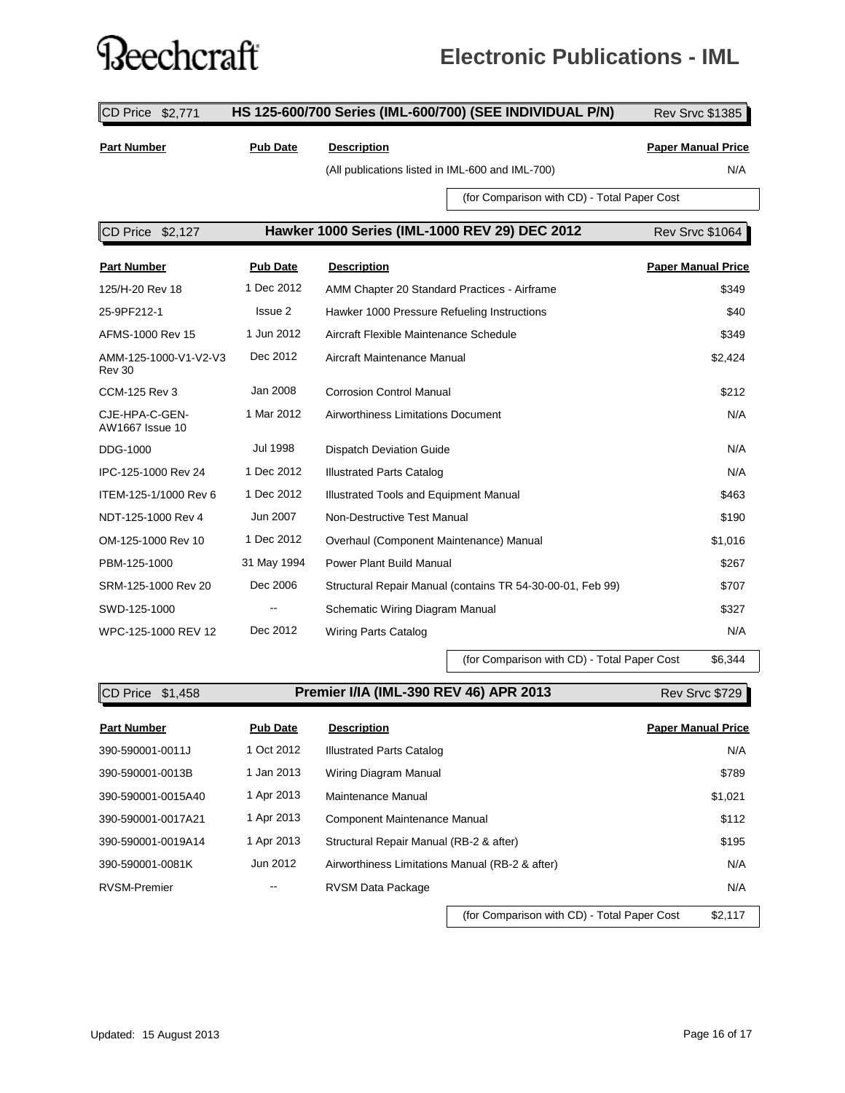### **?**eechcraft

### **Electronic Publications - IML**

**CD Price \$2,771 HS 125-600/700 Series (IML-600/700) (SEE INDIVIDUAL P/N)** Rev Srvc \$1385 **Part Number Pub Date Description Paper Manual Price** (All publications listed in IML-600 and IML-700) N/A (for Comparison with CD) - Total Paper Cost CD Price \$2,127 **Hawker 1000 Series (IML-1000 REV 29) DEC 2012** Rev Srvc \$1064 **Part Number Pub Date Description Paper Manual Price** 125/H-20 Rev 18 1 Dec 2012 AMM Chapter 20 Standard Practices - Airframe \$349 25-9PF212-1 **ISSUE 2** Hawker 1000 Pressure Refueling Instructions **1988** 340 AFMS-1000 Rev 15 1 Jun 2012 Aircraft Flexible Maintenance Schedule 3349 AMM-125-1000-V1-V2-V3 Rev 30 Dec 2012 Aircraft Maintenance Manual \$2,424 CCM-125 Rev 3 Jan 2008 Corrosion Control Manual \$212 CJE-HPA-C-GEN-AW1667 Issue 10 1 Mar 2012 Airworthiness Limitations Document N/A DDG-1000 Jul 1998 Dispatch Deviation Guide N/A IPC-125-1000 Rev 24 1 Dec 2012 Illustrated Parts Catalog N/A ITEM-125-1/1000 Rev 6 1 Dec 2012 Illustrated Tools and Equipment Manual \$463 NDT-125-1000 Rev 4 Jun 2007 Non-Destructive Test Manual \$190 OM-125-1000 Rev 10 1 Dec 2012 Overhaul (Component Maintenance) Manual \$1,016 PBM-125-1000 31 May 1994 Power Plant Build Manual \$267 SRM-125-1000 Rev 20 Dec 2006 Structural Repair Manual (contains TR 54-30-00-01, Feb 99) \$707 SWD-125-1000 -- Schematic Wiring Diagram Manual \$327 WPC-125-1000 REV 12 Dec 2012 Wiring Parts Catalog NXA

(for Comparison with CD) - Total Paper Cost \$6,344

| $\mathsf{ICD}$ Price $$1,458$ |                 | <b>Premier I/IA (IML-390 REV 46) APR 2013</b>   | <b>Rev Srvc \$729</b>     |
|-------------------------------|-----------------|-------------------------------------------------|---------------------------|
| <b>Part Number</b>            | <b>Pub Date</b> | <b>Description</b>                              | <b>Paper Manual Price</b> |
| 390-590001-0011J              | 1 Oct 2012      | <b>Illustrated Parts Catalog</b>                | N/A                       |
| 390-590001-0013B              | 1 Jan 2013      | Wiring Diagram Manual                           | \$789                     |
| 390-590001-0015A40            | 1 Apr 2013      | Maintenance Manual                              | \$1,021                   |
| 390-590001-0017A21            | 1 Apr 2013      | Component Maintenance Manual                    | \$112                     |
| 390-590001-0019A14            | 1 Apr 2013      | Structural Repair Manual (RB-2 & after)         | \$195                     |
| 390-590001-0081K              | Jun 2012        | Airworthiness Limitations Manual (RB-2 & after) | N/A                       |
| <b>RVSM-Premier</b>           |                 | <b>RVSM Data Package</b>                        | N/A                       |

**Premier I/IA (IML-390 REV 46) APR 2013 Premier I/IA**

(for Comparison with CD) - Total Paper Cost \$2,117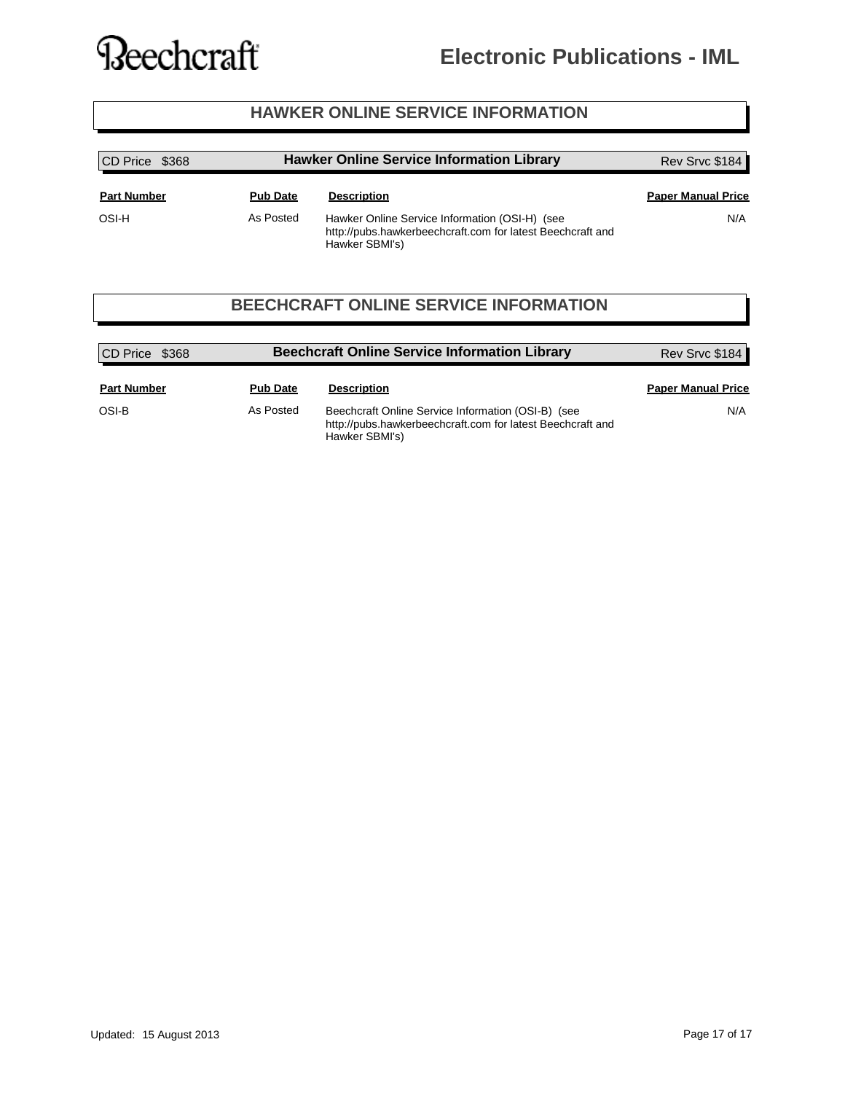#### **Electronic Publications - IML**

#### **HAWKER ONLINE SERVICE INFORMATION**

| CD Price \$368     |                 | <b>Hawker Online Service Information Library</b>                                                                               | Rev Srvc \$184            |  |
|--------------------|-----------------|--------------------------------------------------------------------------------------------------------------------------------|---------------------------|--|
| <b>Part Number</b> | <b>Pub Date</b> | <b>Description</b>                                                                                                             | <b>Paper Manual Price</b> |  |
| OSI-H              | As Posted       | Hawker Online Service Information (OSI-H) (see<br>http://pubs.hawkerbeechcraft.com for latest Beechcraft and<br>Hawker SBMI's) | N/A                       |  |

#### **BEECHCRAFT ONLINE SERVICE INFORMATION**

| CD Price \$368     |                 | <b>Beechcraft Online Service Information Library</b>                                                                               | Rev Srvc \$184            |
|--------------------|-----------------|------------------------------------------------------------------------------------------------------------------------------------|---------------------------|
| <b>Part Number</b> | <b>Pub Date</b> | <b>Description</b>                                                                                                                 | <b>Paper Manual Price</b> |
| OSI-B              | As Posted       | Beechcraft Online Service Information (OSI-B) (see<br>http://pubs.hawkerbeechcraft.com for latest Beechcraft and<br>Hawker SBMI's) | N/A                       |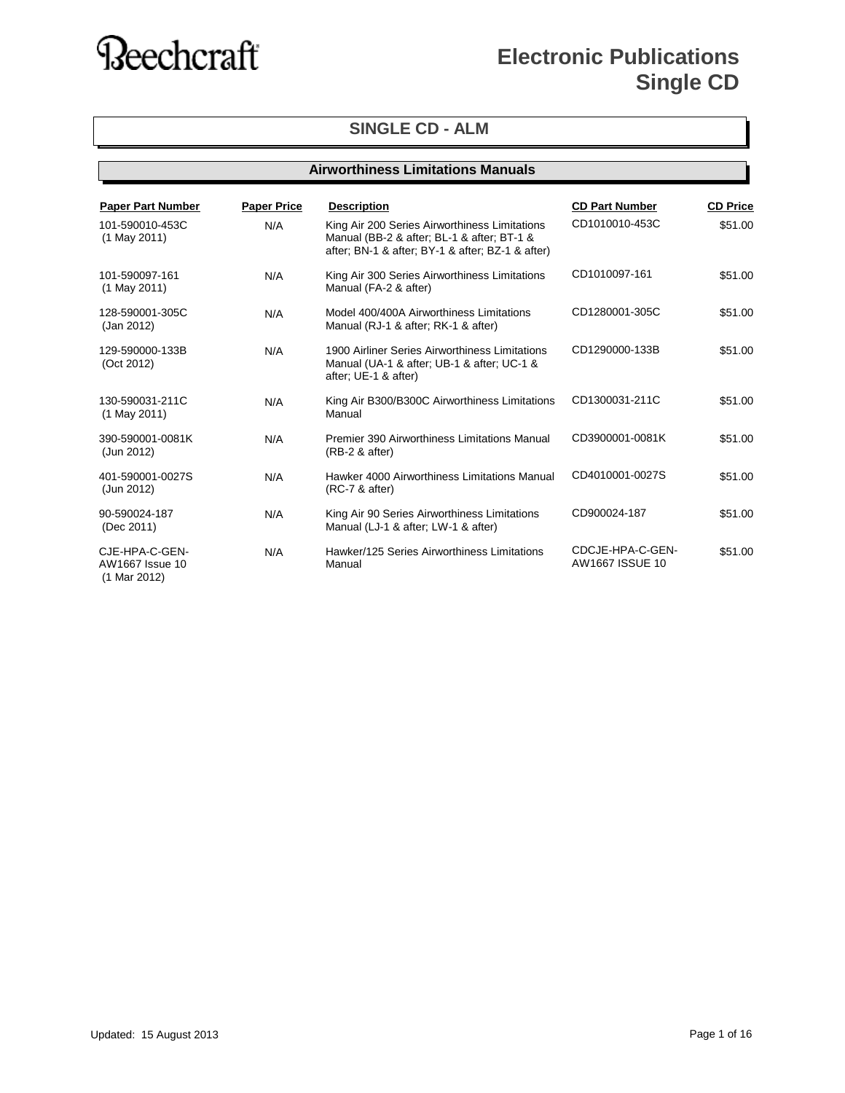### **Electronic Publications Single CD**

#### **SINGLE CD - ALM**

#### **Airworthiness Limitations Manuals**

| <b>Paper Part Number</b>                          | <b>Paper Price</b> | <b>Description</b>                                                                                                                              | <b>CD Part Number</b>               | <b>CD Price</b> |
|---------------------------------------------------|--------------------|-------------------------------------------------------------------------------------------------------------------------------------------------|-------------------------------------|-----------------|
| 101-590010-453C<br>$(1$ May 2011)                 | N/A                | King Air 200 Series Airworthiness Limitations<br>Manual (BB-2 & after; BL-1 & after; BT-1 &<br>after; BN-1 & after; BY-1 & after; BZ-1 & after) | CD1010010-453C                      | \$51.00         |
| 101-590097-161<br>$(1$ May 2011)                  | N/A                | King Air 300 Series Airworthiness Limitations<br>Manual (FA-2 & after)                                                                          | CD1010097-161                       | \$51.00         |
| 128-590001-305C<br>(Jan 2012)                     | N/A                | Model 400/400A Airworthiness Limitations<br>Manual (RJ-1 & after; RK-1 & after)                                                                 | CD1280001-305C                      | \$51.00         |
| 129-590000-133B<br>(Oct 2012)                     | N/A                | 1900 Airliner Series Airworthiness Limitations<br>Manual (UA-1 & after; UB-1 & after; UC-1 &<br>after; UE-1 & after)                            | CD1290000-133B                      | \$51.00         |
| 130-590031-211C<br>$(1$ May 2011)                 | N/A                | King Air B300/B300C Airworthiness Limitations<br>Manual                                                                                         | CD1300031-211C                      | \$51.00         |
| 390-590001-0081K<br>(Jun 2012)                    | N/A                | Premier 390 Airworthiness Limitations Manual<br>$(RB-2 & after)$                                                                                | CD3900001-0081K                     | \$51.00         |
| 401-590001-0027S<br>(Jun 2012)                    | N/A                | Hawker 4000 Airworthiness Limitations Manual<br>(RC-7 & after)                                                                                  | CD4010001-0027S                     | \$51.00         |
| 90-590024-187<br>(Dec 2011)                       | N/A                | King Air 90 Series Airworthiness Limitations<br>Manual (LJ-1 & after; LW-1 & after)                                                             | CD900024-187                        | \$51.00         |
| CJE-HPA-C-GEN-<br>AW1667 Issue 10<br>(1 Mar 2012) | N/A                | Hawker/125 Series Airworthiness Limitations<br>Manual                                                                                           | CDCJE-HPA-C-GEN-<br>AW1667 ISSUE 10 | \$51.00         |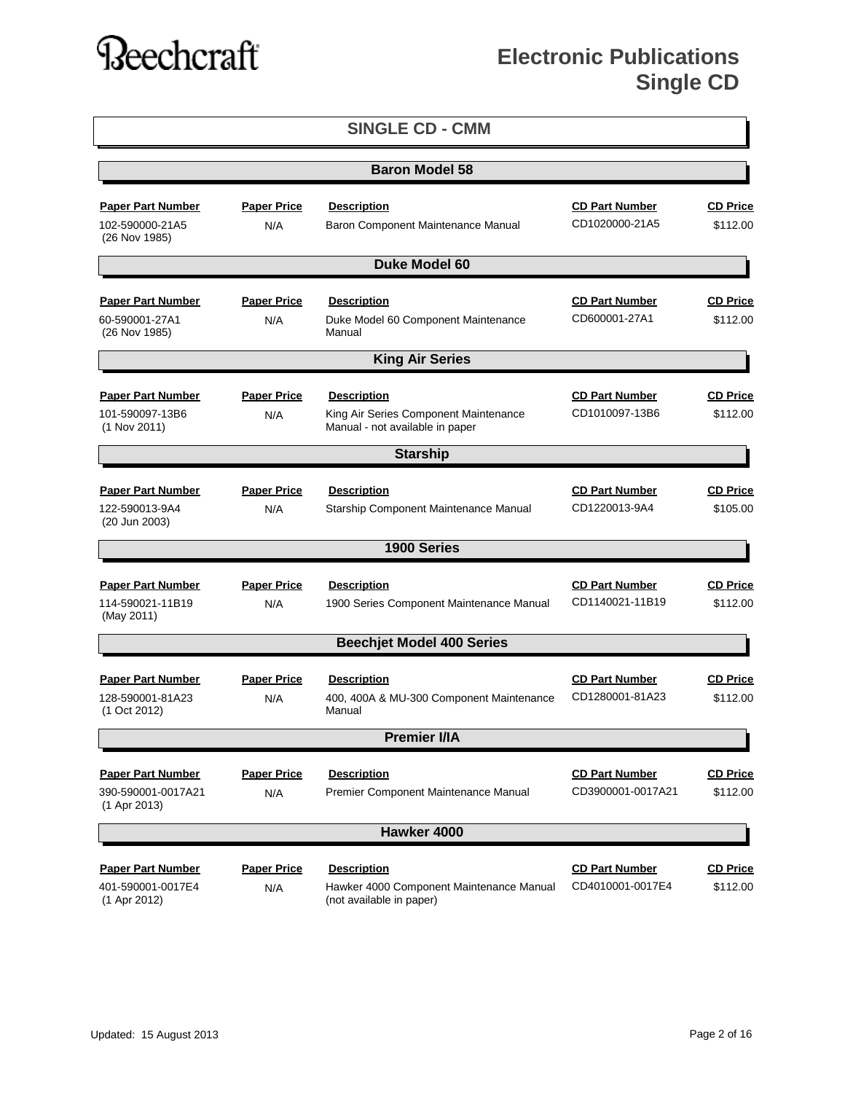|                                    |                    | <b>SINGLE CD - CMM</b>                                                   |                       |                 |
|------------------------------------|--------------------|--------------------------------------------------------------------------|-----------------------|-----------------|
|                                    |                    | <b>Baron Model 58</b>                                                    |                       |                 |
| <b>Paper Part Number</b>           | <b>Paper Price</b> | <b>Description</b>                                                       | <b>CD Part Number</b> | <b>CD Price</b> |
| 102-590000-21A5<br>(26 Nov 1985)   | N/A                | Baron Component Maintenance Manual                                       | CD1020000-21A5        | \$112.00        |
|                                    |                    | <b>Duke Model 60</b>                                                     |                       |                 |
| <b>Paper Part Number</b>           | <b>Paper Price</b> | <b>Description</b>                                                       | <b>CD Part Number</b> | <b>CD Price</b> |
| 60-590001-27A1<br>(26 Nov 1985)    | N/A                | Duke Model 60 Component Maintenance<br>Manual                            | CD600001-27A1         | \$112.00        |
|                                    |                    | <b>King Air Series</b>                                                   |                       |                 |
| <b>Paper Part Number</b>           | <b>Paper Price</b> | <b>Description</b>                                                       | <b>CD Part Number</b> | <b>CD Price</b> |
| 101-590097-13B6<br>(1 Nov 2011)    | N/A                | King Air Series Component Maintenance<br>Manual - not available in paper | CD1010097-13B6        | \$112.00        |
|                                    |                    | <b>Starship</b>                                                          |                       |                 |
| <b>Paper Part Number</b>           | <b>Paper Price</b> | <b>Description</b>                                                       | <b>CD Part Number</b> | <b>CD Price</b> |
| 122-590013-9A4<br>(20 Jun 2003)    | N/A                | Starship Component Maintenance Manual                                    | CD1220013-9A4         | \$105.00        |
|                                    |                    | 1900 Series                                                              |                       |                 |
| <b>Paper Part Number</b>           | <b>Paper Price</b> | <b>Description</b>                                                       | <b>CD Part Number</b> | <b>CD Price</b> |
| 114-590021-11B19<br>(May 2011)     | N/A                | 1900 Series Component Maintenance Manual                                 | CD1140021-11B19       | \$112.00        |
|                                    |                    | <b>Beechjet Model 400 Series</b>                                         |                       |                 |
| <b>Paper Part Number</b>           | <b>Paper Price</b> | <b>Description</b>                                                       | <b>CD Part Number</b> | <b>CD Price</b> |
| 128-590001-81A23<br>(1 Oct 2012)   | N/A                | 400, 400A & MU-300 Component Maintenance<br>Manual                       | CD1280001-81A23       | \$112.00        |
|                                    |                    | <b>Premier I/IA</b>                                                      |                       |                 |
| <b>Paper Part Number</b>           | <b>Paper Price</b> | <b>Description</b>                                                       | <b>CD Part Number</b> | <b>CD Price</b> |
| 390-590001-0017A21<br>(1 Apr 2013) | N/A                | Premier Component Maintenance Manual                                     | CD3900001-0017A21     | \$112.00        |
|                                    |                    | Hawker 4000                                                              |                       |                 |
| <b>Paper Part Number</b>           | <b>Paper Price</b> | <b>Description</b>                                                       | <b>CD Part Number</b> | <b>CD Price</b> |
| 401-590001-0017E4<br>(1 Apr 2012)  | N/A                | Hawker 4000 Component Maintenance Manual<br>(not available in paper)     | CD4010001-0017E4      | \$112.00        |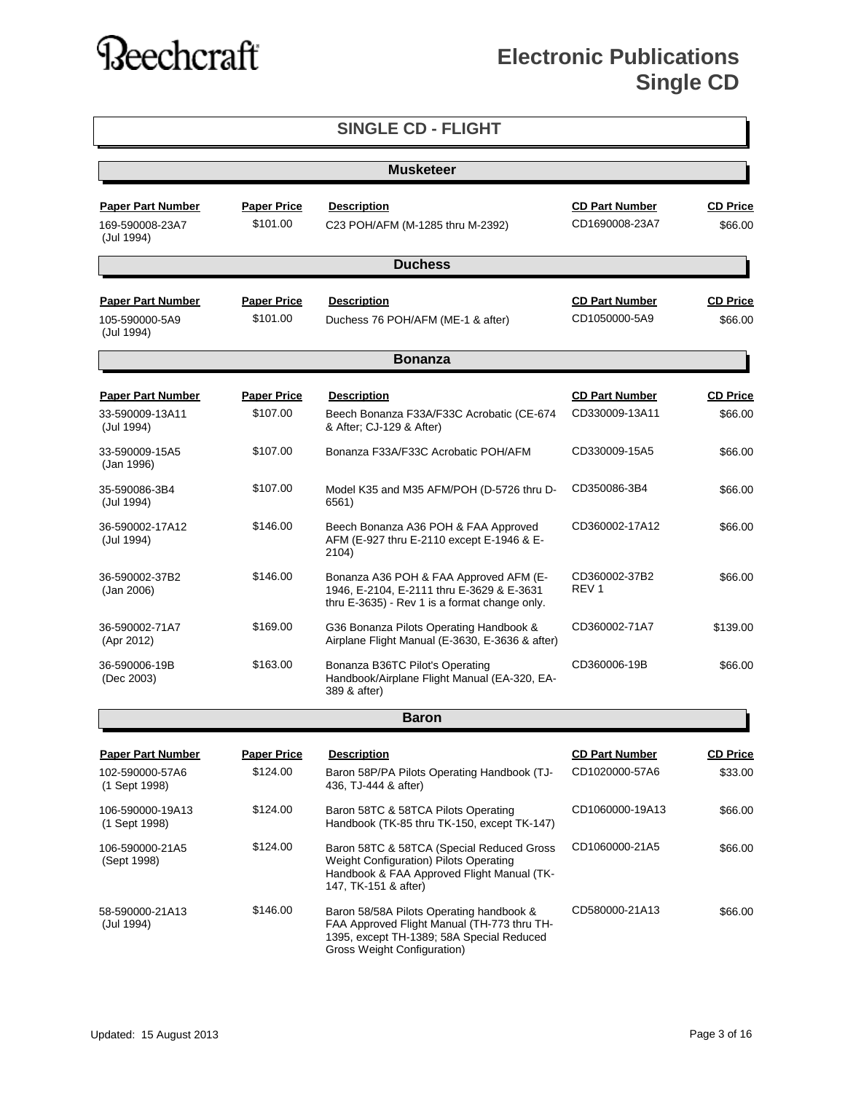|                                                           |                                | <b>SINGLE CD - FLIGHT</b>                                                                                                                                           |                                         |                            |  |  |  |
|-----------------------------------------------------------|--------------------------------|---------------------------------------------------------------------------------------------------------------------------------------------------------------------|-----------------------------------------|----------------------------|--|--|--|
|                                                           | <b>Musketeer</b>               |                                                                                                                                                                     |                                         |                            |  |  |  |
| <b>Paper Part Number</b><br>169-590008-23A7<br>(Jul 1994) | <b>Paper Price</b><br>\$101.00 | <b>Description</b><br>C23 POH/AFM (M-1285 thru M-2392)                                                                                                              | <b>CD Part Number</b><br>CD1690008-23A7 | <b>CD Price</b><br>\$66.00 |  |  |  |
|                                                           |                                | <b>Duchess</b>                                                                                                                                                      |                                         |                            |  |  |  |
| <b>Paper Part Number</b><br>105-590000-5A9<br>(Jul 1994)  | <b>Paper Price</b><br>\$101.00 | <b>Description</b><br>Duchess 76 POH/AFM (ME-1 & after)                                                                                                             | <b>CD Part Number</b><br>CD1050000-5A9  | <b>CD Price</b><br>\$66.00 |  |  |  |
|                                                           |                                | <b>Bonanza</b>                                                                                                                                                      |                                         |                            |  |  |  |
| <b>Paper Part Number</b><br>33-590009-13A11<br>(Jul 1994) | <b>Paper Price</b><br>\$107.00 | <b>Description</b><br>Beech Bonanza F33A/F33C Acrobatic (CE-674<br>& After; CJ-129 & After)                                                                         | <b>CD Part Number</b><br>CD330009-13A11 | <b>CD Price</b><br>\$66.00 |  |  |  |
| 33-590009-15A5<br>(Jan 1996)                              | \$107.00                       | Bonanza F33A/F33C Acrobatic POH/AFM                                                                                                                                 | CD330009-15A5                           | \$66.00                    |  |  |  |
| 35-590086-3B4<br>(Jul 1994)                               | \$107.00                       | Model K35 and M35 AFM/POH (D-5726 thru D-<br>6561)                                                                                                                  | CD350086-3B4                            | \$66.00                    |  |  |  |
| 36-590002-17A12<br>(Jul 1994)                             | \$146.00                       | Beech Bonanza A36 POH & FAA Approved<br>AFM (E-927 thru E-2110 except E-1946 & E-<br>2104)                                                                          | CD360002-17A12                          | \$66.00                    |  |  |  |
| 36-590002-37B2<br>(Jan 2006)                              | \$146.00                       | Bonanza A36 POH & FAA Approved AFM (E-<br>1946, E-2104, E-2111 thru E-3629 & E-3631<br>thru E-3635) - Rev 1 is a format change only.                                | CD360002-37B2<br>REV <sub>1</sub>       | \$66.00                    |  |  |  |
| 36-590002-71A7<br>(Apr 2012)                              | \$169.00                       | G36 Bonanza Pilots Operating Handbook &<br>Airplane Flight Manual (E-3630, E-3636 & after)                                                                          | CD360002-71A7                           | \$139.00                   |  |  |  |
| 36-590006-19B<br>(Dec 2003)                               | \$163.00                       | Bonanza B36TC Pilot's Operating<br>Handbook/Airplane Flight Manual (EA-320, EA-<br>389 & after)                                                                     | CD360006-19B                            | \$66.00                    |  |  |  |
|                                                           |                                | <b>Baron</b>                                                                                                                                                        |                                         |                            |  |  |  |
| <b>Paper Part Number</b>                                  | <b>Paper Price</b>             | <b>Description</b>                                                                                                                                                  | <b>CD Part Number</b>                   | <u>CD Price</u>            |  |  |  |
| 102-590000-57A6<br>(1 Sept 1998)                          | \$124.00                       | Baron 58P/PA Pilots Operating Handbook (TJ-<br>436, TJ-444 & after)                                                                                                 | CD1020000-57A6                          | \$33.00                    |  |  |  |
| 106-590000-19A13<br>(1 Sept 1998)                         | \$124.00                       | Baron 58TC & 58TCA Pilots Operating<br>Handbook (TK-85 thru TK-150, except TK-147)                                                                                  | CD1060000-19A13                         | \$66.00                    |  |  |  |
| 106-590000-21A5<br>(Sept 1998)                            | \$124.00                       | Baron 58TC & 58TCA (Special Reduced Gross<br>Weight Configuration) Pilots Operating<br>Handbook & FAA Approved Flight Manual (TK-<br>147, TK-151 & after)           | CD1060000-21A5                          | \$66.00                    |  |  |  |
| 58-590000-21A13<br>(Jul 1994)                             | \$146.00                       | Baron 58/58A Pilots Operating handbook &<br>FAA Approved Flight Manual (TH-773 thru TH-<br>1395, except TH-1389; 58A Special Reduced<br>Gross Weight Configuration) | CD580000-21A13                          | \$66.00                    |  |  |  |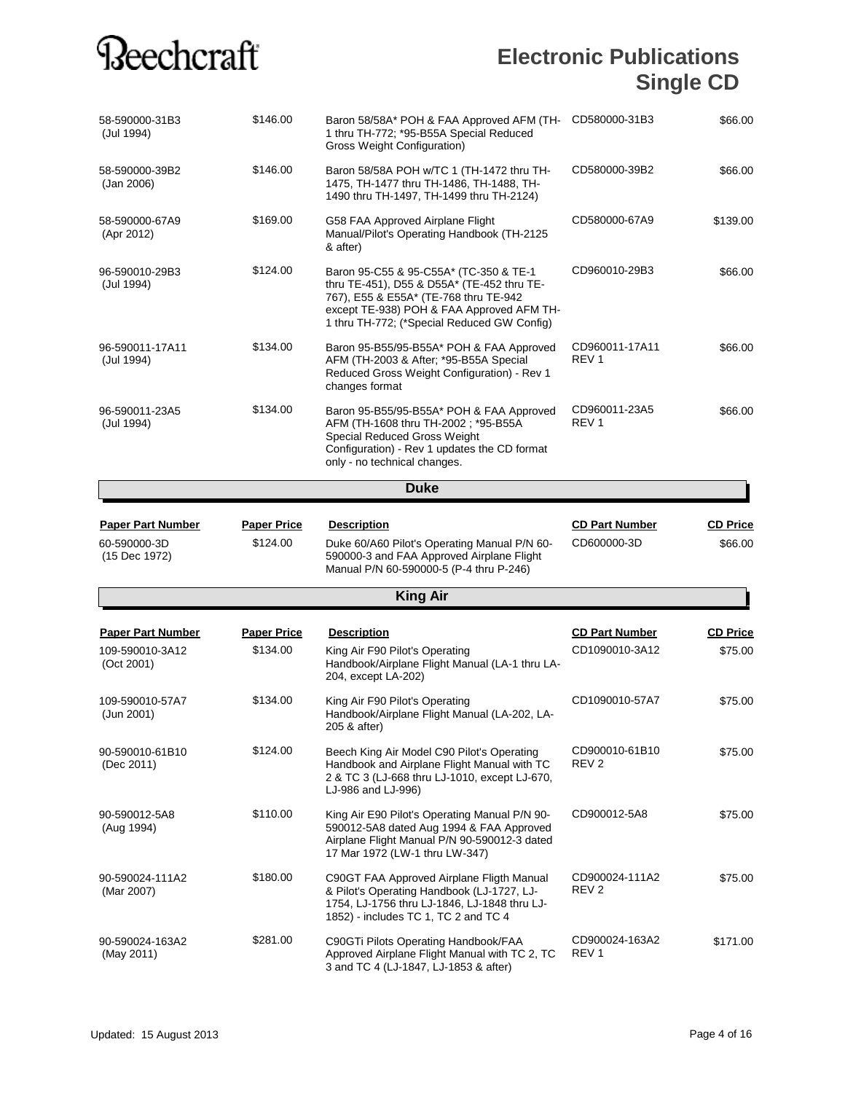| 58-590000-31B3<br>(Jul 1994)  | \$146.00           | Baron 58/58A* POH & FAA Approved AFM (TH-<br>1 thru TH-772; *95-B55A Special Reduced<br>Gross Weight Configuration)                                                                                                       | CD580000-31B3                      | \$66.00         |
|-------------------------------|--------------------|---------------------------------------------------------------------------------------------------------------------------------------------------------------------------------------------------------------------------|------------------------------------|-----------------|
| 58-590000-39B2<br>(Jan 2006)  | \$146.00           | Baron 58/58A POH w/TC 1 (TH-1472 thru TH-<br>1475, TH-1477 thru TH-1486, TH-1488, TH-<br>1490 thru TH-1497, TH-1499 thru TH-2124)                                                                                         | CD580000-39B2                      | \$66.00         |
| 58-590000-67A9<br>(Apr 2012)  | \$169.00           | G58 FAA Approved Airplane Flight<br>Manual/Pilot's Operating Handbook (TH-2125<br>& after)                                                                                                                                | CD580000-67A9                      | \$139.00        |
| 96-590010-29B3<br>(Jul 1994)  | \$124.00           | Baron 95-C55 & 95-C55A* (TC-350 & TE-1<br>thru TE-451), D55 & D55A* (TE-452 thru TE-<br>767), E55 & E55A* (TE-768 thru TE-942<br>except TE-938) POH & FAA Approved AFM TH-<br>1 thru TH-772; (*Special Reduced GW Config) | CD960010-29B3                      | \$66.00         |
| 96-590011-17A11<br>(Jul 1994) | \$134.00           | Baron 95-B55/95-B55A* POH & FAA Approved<br>AFM (TH-2003 & After; *95-B55A Special<br>Reduced Gross Weight Configuration) - Rev 1<br>changes format                                                                       | CD960011-17A11<br>REV <sub>1</sub> | \$66.00         |
| 96-590011-23A5<br>(Jul 1994)  | \$134.00           | Baron 95-B55/95-B55A* POH & FAA Approved<br>AFM (TH-1608 thru TH-2002; *95-B55A<br>Special Reduced Gross Weight<br>Configuration) - Rev 1 updates the CD format<br>only - no technical changes.                           | CD960011-23A5<br>REV <sub>1</sub>  | \$66.00         |
|                               |                    | Duke                                                                                                                                                                                                                      |                                    |                 |
| <b>Paper Part Number</b>      | <b>Paper Price</b> | <b>Description</b>                                                                                                                                                                                                        | <b>CD Part Number</b>              | <b>CD Price</b> |
| 60-590000-3D<br>(15 Dec 1972) | \$124.00           | Duke 60/A60 Pilot's Operating Manual P/N 60-<br>590000-3 and FAA Approved Airplane Flight<br>Manual P/N 60-590000-5 (P-4 thru P-246)                                                                                      | CD600000-3D                        | \$66.00         |
|                               |                    | <b>King Air</b>                                                                                                                                                                                                           |                                    |                 |
| <b>Paper Part Number</b>      | <b>Paper Price</b> | <b>Description</b>                                                                                                                                                                                                        | <b>CD Part Number</b>              | <b>CD Price</b> |
| 109-590010-3A12<br>(Oct 2001) | \$134.00           | King Air F90 Pilot's Operating<br>Handbook/Airplane Flight Manual (LA-1 thru LA-<br>204, except LA-202)                                                                                                                   | CD1090010-3A12                     | \$75.00         |
| 109-590010-57A7<br>(Jun 2001) | \$134.00           | King Air F90 Pilot's Operating<br>Handbook/Airplane Flight Manual (LA-202, LA-<br>205 & after)                                                                                                                            | CD1090010-57A7                     | \$75.00         |
| 90-590010-61B10<br>(Dec 2011) | \$124.00           | Beech King Air Model C90 Pilot's Operating<br>Handbook and Airplane Flight Manual with TC<br>2 & TC 3 (LJ-668 thru LJ-1010, except LJ-670,<br>LJ-986 and LJ-996)                                                          | CD900010-61B10<br>REV 2            | \$75.00         |
| 90-590012-5A8<br>(Aug 1994)   | \$110.00           | King Air E90 Pilot's Operating Manual P/N 90-<br>590012-5A8 dated Aug 1994 & FAA Approved<br>Airplane Flight Manual P/N 90-590012-3 dated<br>17 Mar 1972 (LW-1 thru LW-347)                                               | CD900012-5A8                       | \$75.00         |
| 90-590024-111A2<br>(Mar 2007) | \$180.00           | C90GT FAA Approved Airplane Fligth Manual<br>& Pilot's Operating Handbook (LJ-1727, LJ-<br>1754, LJ-1756 thru LJ-1846, LJ-1848 thru LJ-<br>1852) - includes TC 1, TC 2 and TC 4                                           | CD900024-111A2<br>REV 2            | \$75.00         |
| 90-590024-163A2<br>(May 2011) | \$281.00           | C90GTi Pilots Operating Handbook/FAA<br>Approved Airplane Flight Manual with TC 2, TC<br>3 and TC 4 (LJ-1847, LJ-1853 & after)                                                                                            | CD900024-163A2<br>REV 1            | \$171.00        |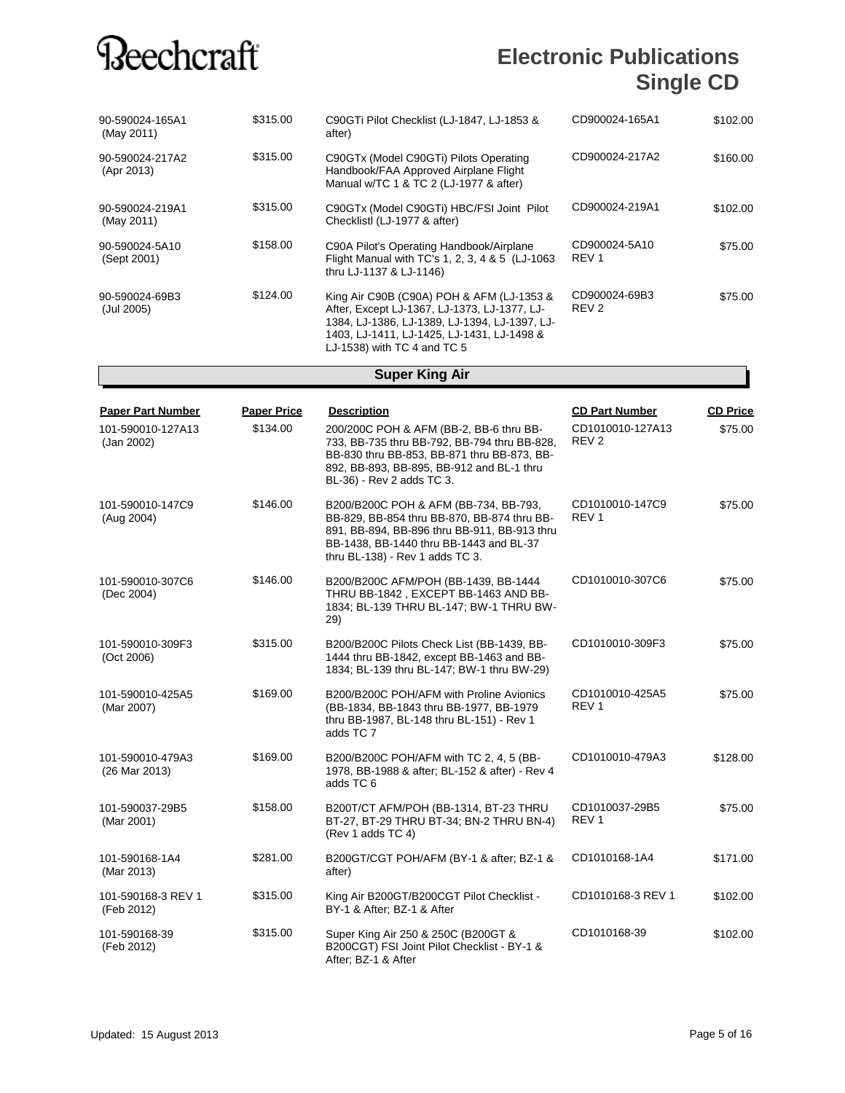### **Electronic Publications Single CD**

| 90-590024-165A1<br>(May 2011) | \$315.00 | C90GTi Pilot Checklist (LJ-1847, LJ-1853 &<br>after)                                                                                                                                                                    | CD900024-165A1                    | \$102.00 |
|-------------------------------|----------|-------------------------------------------------------------------------------------------------------------------------------------------------------------------------------------------------------------------------|-----------------------------------|----------|
| 90-590024-217A2<br>(Apr 2013) | \$315.00 | C90GTx (Model C90GTi) Pilots Operating<br>Handbook/FAA Approved Airplane Flight<br>Manual w/TC 1 & TC 2 (LJ-1977 & after)                                                                                               | CD900024-217A2                    | \$160.00 |
| 90-590024-219A1<br>(May 2011) | \$315.00 | C90GTx (Model C90GTi) HBC/FSI Joint Pilot<br>Checklistl (LJ-1977 & after)                                                                                                                                               | CD900024-219A1                    | \$102.00 |
| 90-590024-5A10<br>(Sept 2001) | \$158.00 | C90A Pilot's Operating Handbook/Airplane<br>Flight Manual with TC's 1, 2, 3, 4 & 5 (LJ-1063)<br>thru LJ-1137 & LJ-1146)                                                                                                 | CD900024-5A10<br>REV <sub>1</sub> | \$75.00  |
| 90-590024-69B3<br>(Jul 2005)  | \$124.00 | King Air C90B (C90A) POH & AFM (LJ-1353 &<br>After, Except LJ-1367, LJ-1373, LJ-1377, LJ-<br>1384, LJ-1386, LJ-1389, LJ-1394, LJ-1397, LJ-<br>1403, LJ-1411, LJ-1425, LJ-1431, LJ-1498 &<br>LJ-1538) with TC 4 and TC 5 | CD900024-69B3<br>REV <sub>2</sub> | \$75.00  |

#### **Super King Air**

| <b>Paper Part Number</b><br>101-590010-127A13<br>(Jan 2002) | <b>Paper Price</b><br>\$134.00 | <b>Description</b><br>200/200C POH & AFM (BB-2, BB-6 thru BB-<br>733, BB-735 thru BB-792, BB-794 thru BB-828,<br>BB-830 thru BB-853, BB-871 thru BB-873, BB-<br>892, BB-893, BB-895, BB-912 and BL-1 thru<br>BL-36) - Rev 2 adds TC 3. | <b>CD Part Number</b><br>CD1010010-127A13<br>REV <sub>2</sub> | <b>CD Price</b><br>\$75.00 |
|-------------------------------------------------------------|--------------------------------|----------------------------------------------------------------------------------------------------------------------------------------------------------------------------------------------------------------------------------------|---------------------------------------------------------------|----------------------------|
| 101-590010-147C9<br>(Aug 2004)                              | \$146.00                       | B200/B200C POH & AFM (BB-734, BB-793,<br>BB-829, BB-854 thru BB-870, BB-874 thru BB-<br>891, BB-894, BB-896 thru BB-911, BB-913 thru<br>BB-1438, BB-1440 thru BB-1443 and BL-37<br>thru BL-138) - Rev 1 adds TC 3.                     | CD1010010-147C9<br>REV <sub>1</sub>                           | \$75.00                    |
| 101-590010-307C6<br>(Dec 2004)                              | \$146.00                       | B200/B200C AFM/POH (BB-1439, BB-1444<br>THRU BB-1842, EXCEPT BB-1463 AND BB-<br>1834; BL-139 THRU BL-147; BW-1 THRU BW-<br>29)                                                                                                         | CD1010010-307C6                                               | \$75.00                    |
| 101-590010-309F3<br>(Oct 2006)                              | \$315.00                       | B200/B200C Pilots Check List (BB-1439, BB-<br>1444 thru BB-1842, except BB-1463 and BB-<br>1834; BL-139 thru BL-147; BW-1 thru BW-29)                                                                                                  | CD1010010-309F3                                               | \$75.00                    |
| 101-590010-425A5<br>(Mar 2007)                              | \$169.00                       | B200/B200C POH/AFM with Proline Avionics<br>(BB-1834, BB-1843 thru BB-1977, BB-1979<br>thru BB-1987, BL-148 thru BL-151) - Rev 1<br>adds TC 7                                                                                          | CD1010010-425A5<br>REV <sub>1</sub>                           | \$75.00                    |
| 101-590010-479A3<br>(26 Mar 2013)                           | \$169.00                       | B200/B200C POH/AFM with TC 2, 4, 5 (BB-<br>1978, BB-1988 & after; BL-152 & after) - Rev 4<br>adds TC 6                                                                                                                                 | CD1010010-479A3                                               | \$128.00                   |
| 101-590037-29B5<br>(Mar 2001)                               | \$158.00                       | B200T/CT AFM/POH (BB-1314, BT-23 THRU<br>BT-27, BT-29 THRU BT-34; BN-2 THRU BN-4)<br>(Rev 1 adds TC 4)                                                                                                                                 | CD1010037-29B5<br>REV <sub>1</sub>                            | \$75.00                    |
| 101-590168-1A4<br>(Mar 2013)                                | \$281.00                       | B200GT/CGT POH/AFM (BY-1 & after; BZ-1 &<br>after)                                                                                                                                                                                     | CD1010168-1A4                                                 | \$171.00                   |
| 101-590168-3 REV 1<br>(Feb 2012)                            | \$315.00                       | King Air B200GT/B200CGT Pilot Checklist -<br>BY-1 & After; BZ-1 & After                                                                                                                                                                | CD1010168-3 REV 1                                             | \$102.00                   |
| 101-590168-39<br>(Feb 2012)                                 | \$315.00                       | Super King Air 250 & 250C (B200GT &<br>B200CGT) FSI Joint Pilot Checklist - BY-1 &<br>After: BZ-1 & After                                                                                                                              | CD1010168-39                                                  | \$102.00                   |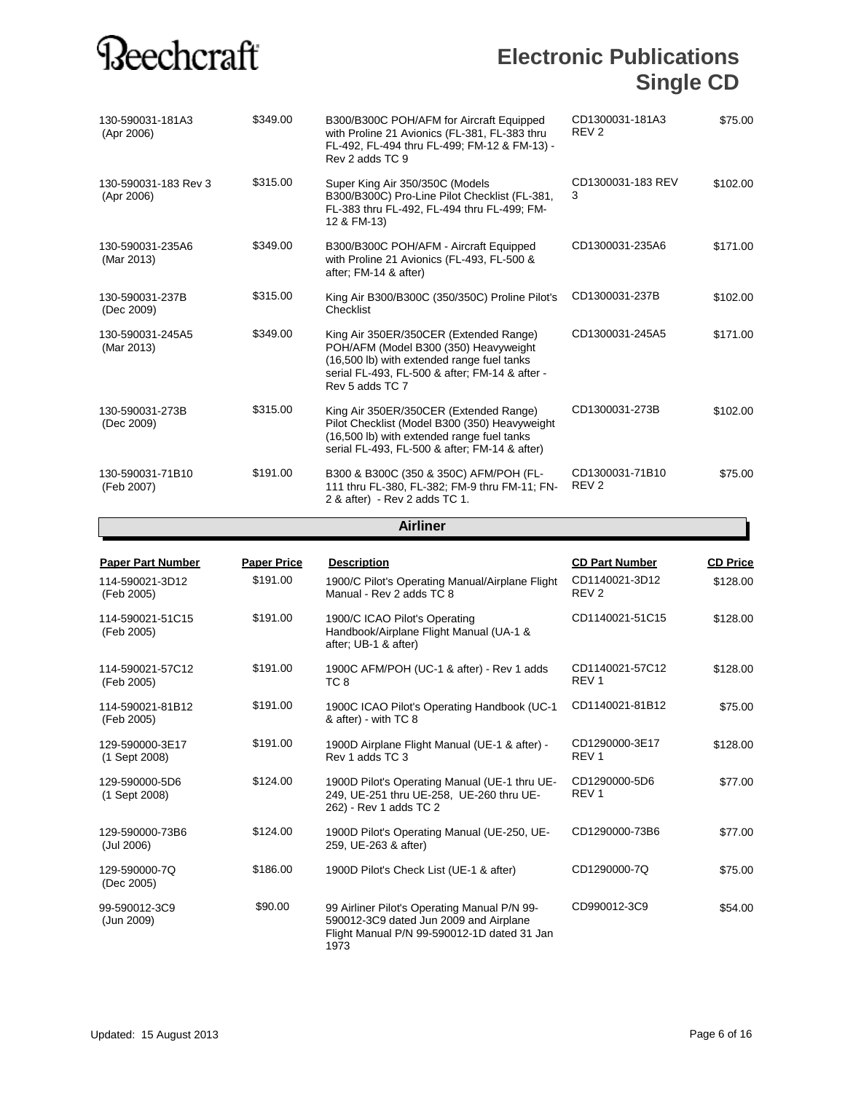| <b>Paper Part Number</b>           | <b>Paper Price</b> | <b>Description</b>                                                                                                                                                                                 | <b>CD Part Number</b>               | <b>CD Price</b> |
|------------------------------------|--------------------|----------------------------------------------------------------------------------------------------------------------------------------------------------------------------------------------------|-------------------------------------|-----------------|
|                                    |                    | <b>Airliner</b>                                                                                                                                                                                    |                                     |                 |
| 130-590031-71B10<br>(Feb 2007)     | \$191.00           | B300 & B300C (350 & 350C) AFM/POH (FL-<br>111 thru FL-380, FL-382; FM-9 thru FM-11; FN-<br>2 & after) - Rev 2 adds TC 1.                                                                           | CD1300031-71B10<br>REV <sub>2</sub> | \$75.00         |
| 130-590031-273B<br>(Dec 2009)      | \$315.00           | King Air 350ER/350CER (Extended Range)<br>Pilot Checklist (Model B300 (350) Heavyweight<br>(16,500 lb) with extended range fuel tanks<br>serial FL-493, FL-500 & after; FM-14 & after)             | CD1300031-273B                      | \$102.00        |
| 130-590031-245A5<br>(Mar 2013)     | \$349.00           | King Air 350ER/350CER (Extended Range)<br>POH/AFM (Model B300 (350) Heavyweight<br>(16,500 lb) with extended range fuel tanks<br>serial FL-493, FL-500 & after; FM-14 & after -<br>Rev 5 adds TC 7 | CD1300031-245A5                     | \$171.00        |
| 130-590031-237B<br>(Dec 2009)      | \$315.00           | King Air B300/B300C (350/350C) Proline Pilot's<br>Checklist                                                                                                                                        | CD1300031-237B                      | \$102.00        |
| 130-590031-235A6<br>(Mar 2013)     | \$349.00           | B300/B300C POH/AFM - Aircraft Equipped<br>with Proline 21 Avionics (FL-493, FL-500 &<br>after; FM-14 & after)                                                                                      | CD1300031-235A6                     | \$171.00        |
| 130-590031-183 Rev 3<br>(Apr 2006) | \$315.00           | Super King Air 350/350C (Models<br>B300/B300C) Pro-Line Pilot Checklist (FL-381,<br>FL-383 thru FL-492, FL-494 thru FL-499; FM-<br>12 & FM-13)                                                     | CD1300031-183 REV<br>3              | \$102.00        |
| 130-590031-181A3<br>(Apr 2006)     | \$349.00           | B300/B300C POH/AFM for Aircraft Equipped<br>with Proline 21 Avionics (FL-381, FL-383 thru<br>FL-492, FL-494 thru FL-499; FM-12 & FM-13) -<br>Rev 2 adds TC 9                                       | CD1300031-181A3<br>REV <sub>2</sub> | \$75.00         |
|                                    |                    |                                                                                                                                                                                                    |                                     |                 |

| <b>Paper Part Number</b>         | <b>Paper Price</b> | <b>Description</b>                                                                                                                            | <b>CD Part Number</b>               | <b>CD Price</b> |
|----------------------------------|--------------------|-----------------------------------------------------------------------------------------------------------------------------------------------|-------------------------------------|-----------------|
| 114-590021-3D12<br>(Feb 2005)    | \$191.00           | 1900/C Pilot's Operating Manual/Airplane Flight<br>Manual - Rev 2 adds TC 8                                                                   | CD1140021-3D12<br>REV <sub>2</sub>  | \$128.00        |
| 114-590021-51C15<br>(Feb 2005)   | \$191.00           | 1900/C ICAO Pilot's Operating<br>Handbook/Airplane Flight Manual (UA-1 &<br>after; UB-1 & after)                                              | CD1140021-51C15                     | \$128.00        |
| 114-590021-57C12<br>(Feb 2005)   | \$191.00           | 1900C AFM/POH (UC-1 & after) - Rev 1 adds<br>TC 8                                                                                             | CD1140021-57C12<br>REV <sub>1</sub> | \$128.00        |
| 114-590021-81B12<br>(Feb 2005)   | \$191.00           | 1900C ICAO Pilot's Operating Handbook (UC-1<br>& after) - with TC 8                                                                           | CD1140021-81B12                     | \$75.00         |
| 129-590000-3E17<br>(1 Sept 2008) | \$191.00           | 1900D Airplane Flight Manual (UE-1 & after) -<br>Rev 1 adds TC 3                                                                              | CD1290000-3E17<br>REV <sub>1</sub>  | \$128.00        |
| 129-590000-5D6<br>(1 Sept 2008)  | \$124.00           | 1900D Pilot's Operating Manual (UE-1 thru UE-<br>249, UE-251 thru UE-258, UE-260 thru UE-<br>262) - Rev 1 adds TC 2                           | CD1290000-5D6<br>REV <sub>1</sub>   | \$77.00         |
| 129-590000-73B6<br>(Jul 2006)    | \$124.00           | 1900D Pilot's Operating Manual (UE-250, UE-<br>259, UE-263 & after)                                                                           | CD1290000-73B6                      | \$77.00         |
| 129-590000-7Q<br>(Dec 2005)      | \$186.00           | 1900D Pilot's Check List (UE-1 & after)                                                                                                       | CD1290000-7Q                        | \$75.00         |
| 99-590012-3C9<br>(Jun 2009)      | \$90.00            | 99 Airliner Pilot's Operating Manual P/N 99-<br>590012-3C9 dated Jun 2009 and Airplane<br>Flight Manual P/N 99-590012-1D dated 31 Jan<br>1973 | CD990012-3C9                        | \$54.00         |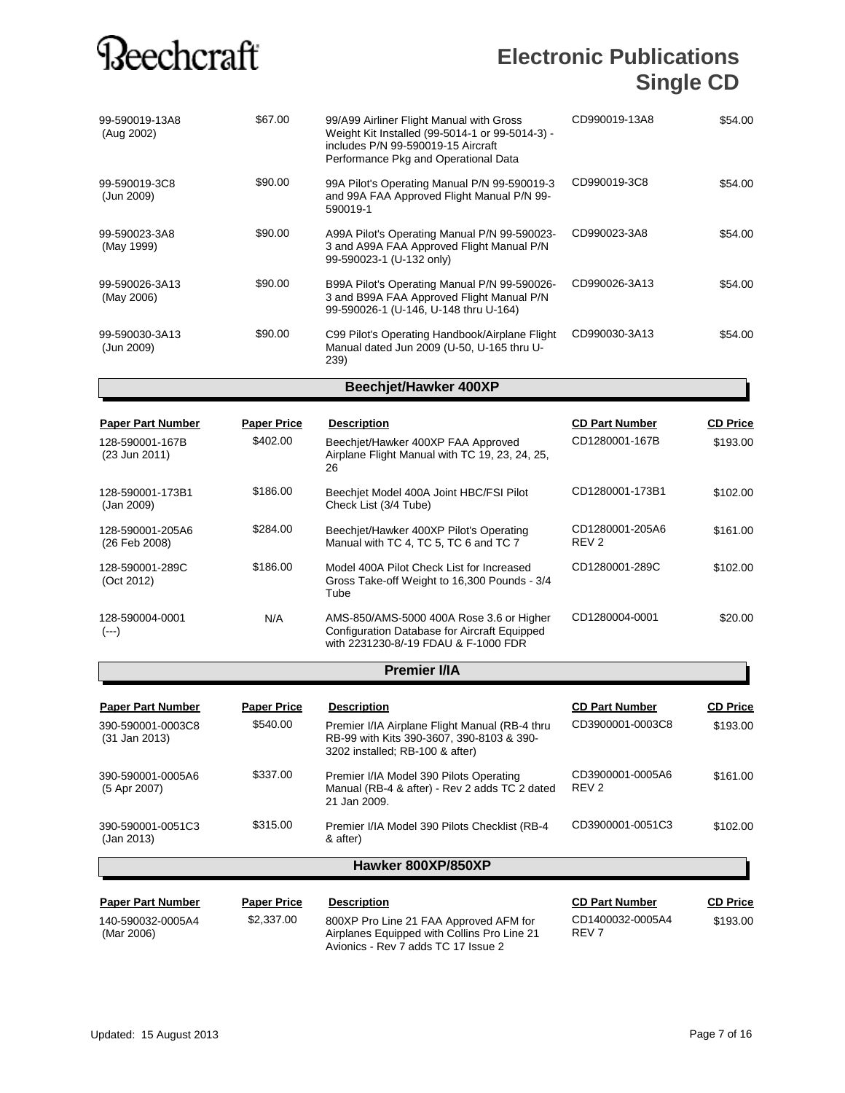### **Electronic Publications Single CD**

| 99-590019-13A8<br>(Aug 2002) | \$67.00 | 99/A99 Airliner Flight Manual with Gross<br>Weight Kit Installed (99-5014-1 or 99-5014-3) -<br>includes P/N 99-590019-15 Aircraft<br>Performance Pkg and Operational Data | CD990019-13A8 | \$54.00 |
|------------------------------|---------|---------------------------------------------------------------------------------------------------------------------------------------------------------------------------|---------------|---------|
| 99-590019-3C8<br>(Jun 2009)  | \$90.00 | 99A Pilot's Operating Manual P/N 99-590019-3<br>and 99A FAA Approved Flight Manual P/N 99-<br>590019-1                                                                    | CD990019-3C8  | \$54.00 |
| 99-590023-3A8<br>(May 1999)  | \$90.00 | A99A Pilot's Operating Manual P/N 99-590023-<br>3 and A99A FAA Approved Flight Manual P/N<br>99-590023-1 (U-132 only)                                                     | CD990023-3A8  | \$54.00 |
| 99-590026-3A13<br>(May 2006) | \$90.00 | B99A Pilot's Operating Manual P/N 99-590026-<br>3 and B99A FAA Approved Flight Manual P/N<br>99-590026-1 (U-146, U-148 thru U-164)                                        | CD990026-3A13 | \$54.00 |
| 99-590030-3A13<br>(Jun 2009) | \$90.00 | C99 Pilot's Operating Handbook/Airplane Flight<br>Manual dated Jun 2009 (U-50, U-165 thru U-<br>239)                                                                      | CD990030-3A13 | \$54.00 |

#### **Beechjet/Hawker 400XP**

| <b>Paper Part Number</b><br>128-590001-167B<br>(23 Jun 2011) | <b>Paper Price</b><br>\$402.00 | <b>Description</b><br>Beechjet/Hawker 400XP FAA Approved<br>Airplane Flight Manual with TC 19, 23, 24, 25,<br>26 | <b>CD Part Number</b><br>CD1280001-167B | <b>CD Price</b><br>\$193.00 |
|--------------------------------------------------------------|--------------------------------|------------------------------------------------------------------------------------------------------------------|-----------------------------------------|-----------------------------|
| 128-590001-173B1<br>(Jan 2009)                               | \$186.00                       | Beechiet Model 400A Joint HBC/FSI Pilot<br>Check List (3/4 Tube)                                                 | CD1280001-173B1                         | \$102.00                    |
| 128-590001-205A6<br>(26 Feb 2008)                            | \$284.00                       | Beechiet/Hawker 400XP Pilot's Operating<br>Manual with TC 4. TC 5. TC 6 and TC 7                                 | CD1280001-205A6<br>REV <sub>2</sub>     | \$161.00                    |
| 128-590001-289C<br>(Oct 2012)                                | \$186.00                       | Model 400A Pilot Check List for Increased<br>Gross Take-off Weight to 16,300 Pounds - 3/4<br>Tube                | CD1280001-289C                          | \$102.00                    |
| 128-590004-0001<br>(---)                                     | N/A                            | AMS-850/AMS-5000 400A Rose 3.6 or Higher<br>Configuration Database for Aircraft Equipped                         | CD1280004-0001                          | \$20.00                     |

#### with 2231230-8/-19 FDAU & F-1000 FDR **Premier I/IA**

|                                                                |                                | Hawker 800XP/850XP                                                                                                                                   |                                           |                             |
|----------------------------------------------------------------|--------------------------------|------------------------------------------------------------------------------------------------------------------------------------------------------|-------------------------------------------|-----------------------------|
| 390-590001-0051C3<br>(Jan 2013)                                | \$315.00                       | Premier I/IA Model 390 Pilots Checklist (RB-4<br>& after)                                                                                            | CD3900001-0051C3                          | \$102.00                    |
| 390-590001-0005A6<br>(5 Apr 2007)                              | \$337.00                       | Premier I/IA Model 390 Pilots Operating<br>Manual (RB-4 & after) - Rev 2 adds TC 2 dated<br>21 Jan 2009.                                             | CD3900001-0005A6<br>REV <sub>2</sub>      | \$161.00                    |
| <b>Paper Part Number</b><br>390-590001-0003C8<br>(31 Jan 2013) | <b>Paper Price</b><br>\$540.00 | <b>Description</b><br>Premier I/IA Airplane Flight Manual (RB-4 thru<br>RB-99 with Kits 390-3607, 390-8103 & 390-<br>3202 installed; RB-100 & after) | <b>CD Part Number</b><br>CD3900001-0003C8 | <b>CD Price</b><br>\$193.00 |

| 140-590032-0005A4<br>(Mar 2006) | \$2,337,00 | 800XP Pro Line 21 FAA Approved AFM for<br>Airplanes Equipped with Collins Pro Line 21<br>Avionics - Rev 7 adds TC 17 Issue 2 | CD1400032-0005A4<br>REV 7 | \$193.00 |
|---------------------------------|------------|------------------------------------------------------------------------------------------------------------------------------|---------------------------|----------|
|                                 |            |                                                                                                                              |                           |          |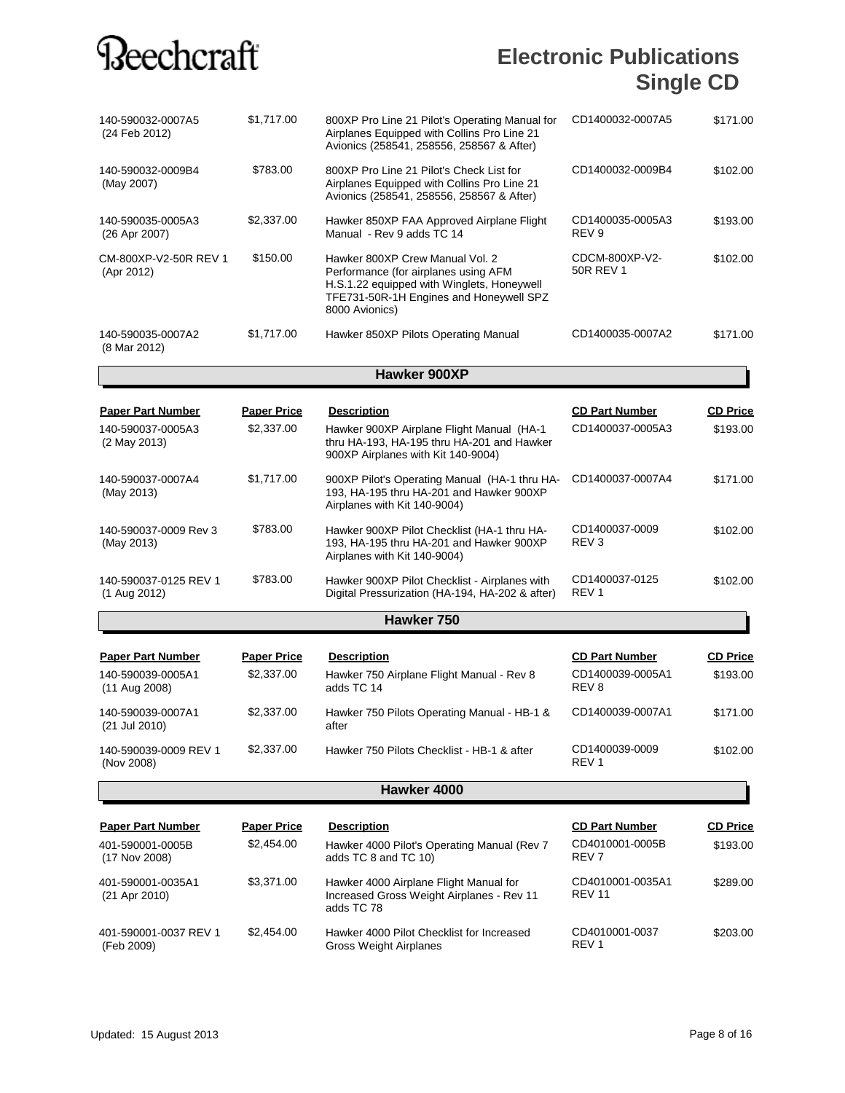### **Electronic Publications Single CD**

| 140-590032-0007A5<br>(24 Feb 2012)  | \$1,717.00         | 800XP Pro Line 21 Pilot's Operating Manual for<br>Airplanes Equipped with Collins Pro Line 21<br>Avionics (258541, 258556, 258567 & After)                                         | CD1400032-0007A5                     | \$171.00        |
|-------------------------------------|--------------------|------------------------------------------------------------------------------------------------------------------------------------------------------------------------------------|--------------------------------------|-----------------|
| 140-590032-0009B4<br>(May 2007)     | \$783.00           | 800XP Pro Line 21 Pilot's Check List for<br>Airplanes Equipped with Collins Pro Line 21<br>Avionics (258541, 258556, 258567 & After)                                               | CD1400032-0009B4                     | \$102.00        |
| 140-590035-0005A3<br>(26 Apr 2007)  | \$2,337.00         | Hawker 850XP FAA Approved Airplane Flight<br>Manual - Rev 9 adds TC 14                                                                                                             | CD1400035-0005A3<br>REV <sub>9</sub> | \$193.00        |
| CM-800XP-V2-50R REV 1<br>(Apr 2012) | \$150.00           | Hawker 800XP Crew Manual Vol. 2<br>Performance (for airplanes using AFM<br>H.S.1.22 equipped with Winglets, Honeywell<br>TFE731-50R-1H Engines and Honeywell SPZ<br>8000 Avionics) | CDCM-800XP-V2-<br>50R REV 1          | \$102.00        |
| 140-590035-0007A2<br>(8 Mar 2012)   | \$1,717.00         | Hawker 850XP Pilots Operating Manual                                                                                                                                               | CD1400035-0007A2                     | \$171.00        |
|                                     |                    | Hawker 900XP                                                                                                                                                                       |                                      |                 |
| <b>Paper Part Number</b>            | <b>Paper Price</b> | <b>Description</b>                                                                                                                                                                 | <b>CD Part Number</b>                | <b>CD Price</b> |
| 140-590037-0005A3<br>(2 May 2013)   | \$2,337.00         | Hawker 900XP Airplane Flight Manual (HA-1)<br>thru HA-193, HA-195 thru HA-201 and Hawker<br>900XP Airplanes with Kit 140-9004)                                                     | CD1400037-0005A3                     | \$193.00        |

| 140-590037-0007A4<br>(May 2013)       | \$1.717.00 | 900XP Pilot's Operating Manual (HA-1 thru HA-<br>193, HA-195 thru HA-201 and Hawker 900XP<br>Airplanes with Kit 140-9004) | CD1400037-0007A4                   | \$171.00 |
|---------------------------------------|------------|---------------------------------------------------------------------------------------------------------------------------|------------------------------------|----------|
| 140-590037-0009 Rev 3<br>(May 2013)   | \$783.00   | Hawker 900XP Pilot Checklist (HA-1 thru HA-<br>193, HA-195 thru HA-201 and Hawker 900XP<br>Airplanes with Kit 140-9004)   | CD1400037-0009<br>REV <sub>3</sub> | \$102.00 |
| 140-590037-0125 REV 1<br>(1 Aug 2012) | \$783.00   | Hawker 900XP Pilot Checklist - Airplanes with<br>Digital Pressurization (HA-194, HA-202 & after)                          | CD1400037-0125<br>REV <sub>1</sub> | \$102.00 |

#### **Hawker 750**

| <b>Paper Part Number</b>            | <b>Paper Price</b> | <b>Description</b>                                      | <b>CD Part Number</b>              | <b>CD Price</b> |
|-------------------------------------|--------------------|---------------------------------------------------------|------------------------------------|-----------------|
| 140-590039-0005A1<br>(11 Aug 2008)  | \$2,337,00         | Hawker 750 Airplane Flight Manual - Rev 8<br>adds TC 14 | CD1400039-0005A1<br>REV 8          | \$193.00        |
| 140-590039-0007A1<br>(21 Jul 2010)  | \$2,337,00         | Hawker 750 Pilots Operating Manual - HB-1 &<br>after    | CD1400039-0007A1                   | \$171.00        |
| 140-590039-0009 REV 1<br>(Nov 2008) | \$2,337,00         | Hawker 750 Pilots Checklist - HB-1 & after              | CD1400039-0009<br>REV <sub>1</sub> | \$102.00        |

#### **Hawker 4000**

| <b>Paper Part Number</b>            | <b>Paper Price</b> | <b>Description</b>                                                                                | <b>CD Part Number</b>               | <b>CD Price</b> |
|-------------------------------------|--------------------|---------------------------------------------------------------------------------------------------|-------------------------------------|-----------------|
| 401-590001-0005B<br>(17 Nov 2008)   | \$2,454.00         | Hawker 4000 Pilot's Operating Manual (Rev 7)<br>adds TC 8 and TC 10)                              | CD4010001-0005B<br>REV <sub>7</sub> | \$193.00        |
| 401-590001-0035A1<br>(21 Apr 2010)  | \$3.371.00         | Hawker 4000 Airplane Flight Manual for<br>Increased Gross Weight Airplanes - Rev 11<br>adds TC 78 | CD4010001-0035A1<br><b>REV 11</b>   | \$289.00        |
| 401-590001-0037 REV 1<br>(Feb 2009) | \$2.454.00         | Hawker 4000 Pilot Checklist for Increased<br>Gross Weight Airplanes                               | CD4010001-0037<br>REV <sub>1</sub>  | \$203.00        |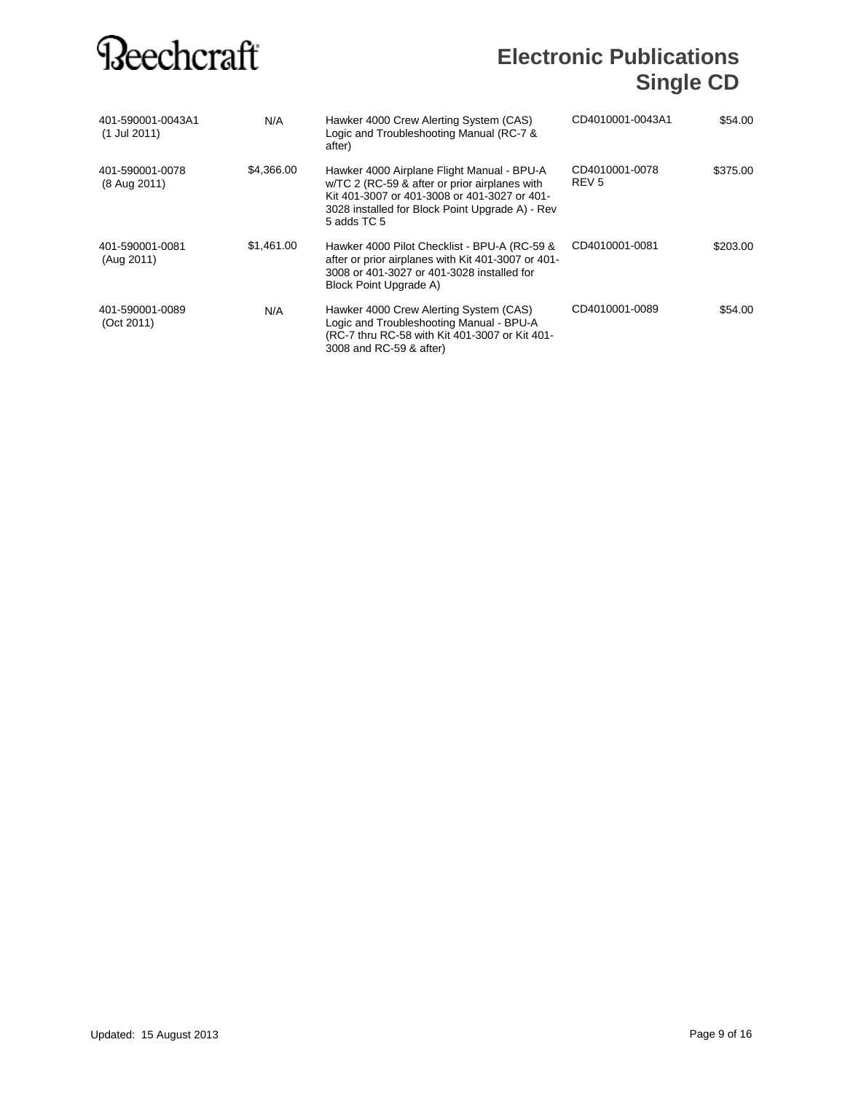| 401-590001-0043A1<br>(1 Jul 2011) | N/A        | Hawker 4000 Crew Alerting System (CAS)<br>Logic and Troubleshooting Manual (RC-7 &<br>after)                                                                                                                  | CD4010001-0043A1                   | \$54.00  |
|-----------------------------------|------------|---------------------------------------------------------------------------------------------------------------------------------------------------------------------------------------------------------------|------------------------------------|----------|
| 401-590001-0078<br>(8 Aug 2011)   | \$4,366.00 | Hawker 4000 Airplane Flight Manual - BPU-A<br>w/TC 2 (RC-59 & after or prior airplanes with<br>Kit 401-3007 or 401-3008 or 401-3027 or 401-<br>3028 installed for Block Point Upgrade A) - Rev<br>5 adds TC 5 | CD4010001-0078<br>REV <sub>5</sub> | \$375.00 |
| 401-590001-0081<br>(Aug 2011)     | \$1,461.00 | Hawker 4000 Pilot Checklist - BPU-A (RC-59 &<br>after or prior airplanes with Kit 401-3007 or 401-<br>3008 or 401-3027 or 401-3028 installed for<br>Block Point Upgrade A)                                    | CD4010001-0081                     | \$203.00 |
| 401-590001-0089<br>(Oct 2011)     | N/A        | Hawker 4000 Crew Alerting System (CAS)<br>Logic and Troubleshooting Manual - BPU-A<br>(RC-7 thru RC-58 with Kit 401-3007 or Kit 401-<br>3008 and RC-59 & after)                                               | CD4010001-0089                     | \$54.00  |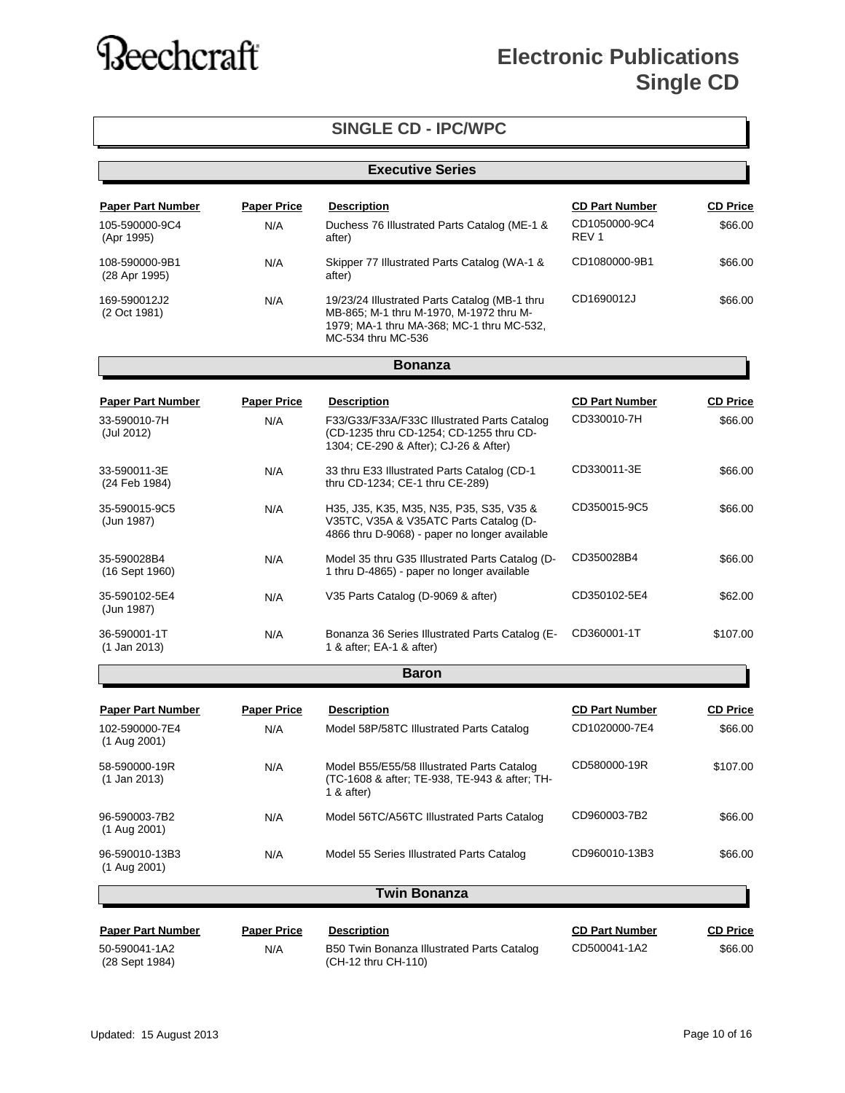| <b>SINGLE CD - IPC/WPC</b>      |                         |                                                                                                                                                             |                                   |                 |
|---------------------------------|-------------------------|-------------------------------------------------------------------------------------------------------------------------------------------------------------|-----------------------------------|-----------------|
|                                 | <b>Executive Series</b> |                                                                                                                                                             |                                   |                 |
| <b>Paper Part Number</b>        | <b>Paper Price</b>      | <b>Description</b>                                                                                                                                          | <b>CD Part Number</b>             | <b>CD Price</b> |
| 105-590000-9C4<br>(Apr 1995)    | N/A                     | Duchess 76 Illustrated Parts Catalog (ME-1 &<br>after)                                                                                                      | CD1050000-9C4<br>REV <sub>1</sub> | \$66.00         |
| 108-590000-9B1<br>(28 Apr 1995) | N/A                     | Skipper 77 Illustrated Parts Catalog (WA-1 &<br>after)                                                                                                      | CD1080000-9B1                     | \$66.00         |
| 169-590012J2<br>(2 Oct 1981)    | N/A                     | 19/23/24 Illustrated Parts Catalog (MB-1 thru<br>MB-865; M-1 thru M-1970, M-1972 thru M-<br>1979; MA-1 thru MA-368; MC-1 thru MC-532,<br>MC-534 thru MC-536 | CD1690012J                        | \$66.00         |
|                                 |                         | <b>Bonanza</b>                                                                                                                                              |                                   |                 |
| <b>Paper Part Number</b>        | <b>Paper Price</b>      | <b>Description</b>                                                                                                                                          | <b>CD Part Number</b>             | <b>CD Price</b> |
| 33-590010-7H<br>(Jul 2012)      | N/A                     | F33/G33/F33A/F33C Illustrated Parts Catalog<br>(CD-1235 thru CD-1254; CD-1255 thru CD-<br>1304; CE-290 & After); CJ-26 & After)                             | CD330010-7H                       | \$66.00         |
| 33-590011-3E<br>(24 Feb 1984)   | N/A                     | 33 thru E33 Illustrated Parts Catalog (CD-1<br>thru CD-1234; CE-1 thru CE-289)                                                                              | CD330011-3E                       | \$66.00         |
| 35-590015-9C5<br>(Jun 1987)     | N/A                     | H35, J35, K35, M35, N35, P35, S35, V35 &<br>V35TC, V35A & V35ATC Parts Catalog (D-<br>4866 thru D-9068) - paper no longer available                         | CD350015-9C5                      | \$66.00         |
| 35-590028B4<br>(16 Sept 1960)   | N/A                     | Model 35 thru G35 Illustrated Parts Catalog (D-<br>1 thru D-4865) - paper no longer available                                                               | CD350028B4                        | \$66.00         |
| 35-590102-5E4<br>(Jun 1987)     | N/A                     | V35 Parts Catalog (D-9069 & after)                                                                                                                          | CD350102-5E4                      | \$62.00         |
| 36-590001-1T<br>(1 Jan 2013)    | N/A                     | Bonanza 36 Series Illustrated Parts Catalog (E-<br>1 & after; EA-1 & after)                                                                                 | CD360001-1T                       | \$107.00        |
|                                 |                         | <b>Baron</b>                                                                                                                                                |                                   |                 |
| <b>Paper Part Number</b>        | <b>Paper Price</b>      | <b>Description</b>                                                                                                                                          | <b>CD Part Number</b>             | <b>CD Price</b> |
| 102-590000-7E4<br>(1 Aug 2001)  | N/A                     | Model 58P/58TC Illustrated Parts Catalog                                                                                                                    | CD1020000-7E4                     | \$66.00         |
| 58-590000-19R<br>$(1$ Jan 2013) | N/A                     | Model B55/E55/58 Illustrated Parts Catalog<br>(TC-1608 & after; TE-938, TE-943 & after; TH-<br>1 $&$ after)                                                 | CD580000-19R                      | \$107.00        |
| 96-590003-7B2<br>(1 Aug 2001)   | N/A                     | Model 56TC/A56TC Illustrated Parts Catalog                                                                                                                  | CD960003-7B2                      | \$66.00         |
| 96-590010-13B3<br>(1 Aug 2001)  | N/A                     | Model 55 Series Illustrated Parts Catalog                                                                                                                   | CD960010-13B3                     | \$66.00         |
|                                 |                         | <b>Twin Bonanza</b>                                                                                                                                         |                                   |                 |
| <b>Paper Part Number</b>        | <b>Paper Price</b>      | <b>Description</b>                                                                                                                                          | <b>CD Part Number</b>             | <b>CD Price</b> |
| 50-590041-1A2<br>(28 Sept 1984) | N/A                     | B50 Twin Bonanza Illustrated Parts Catalog<br>(CH-12 thru CH-110)                                                                                           | CD500041-1A2                      | \$66.00         |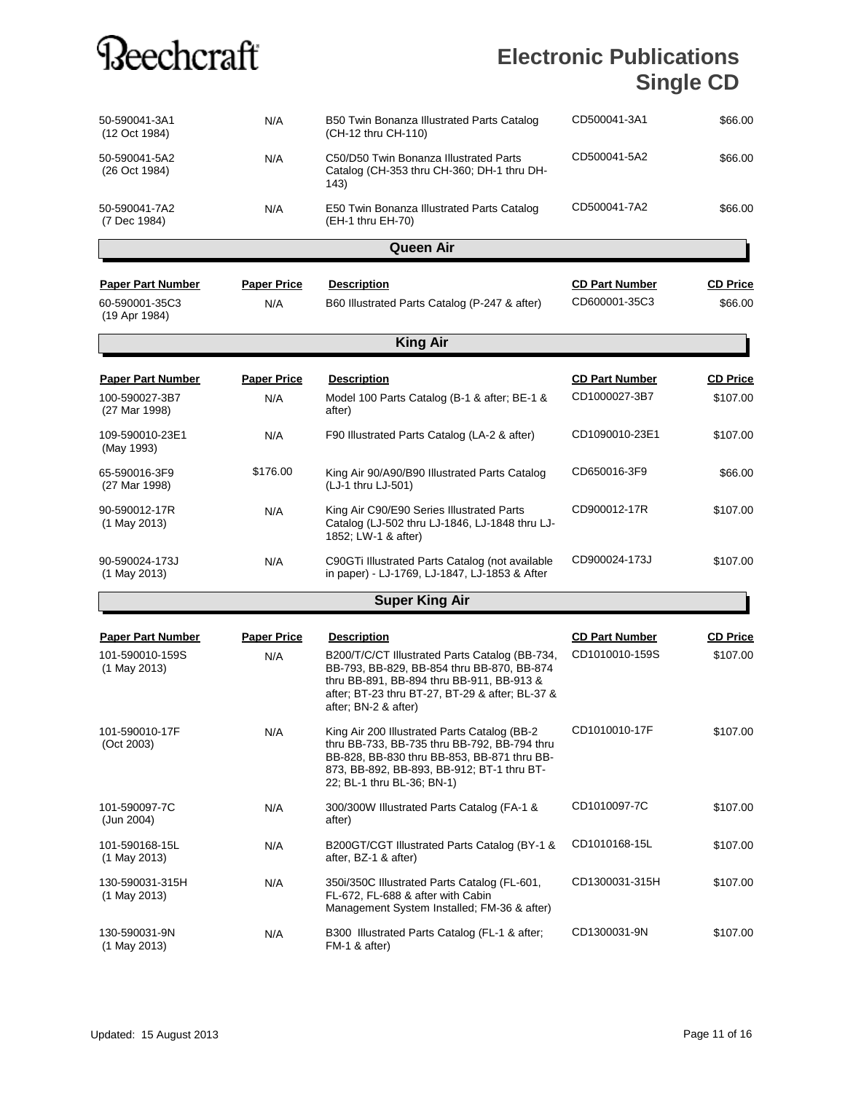| 50-590041-3A1<br>(12 Oct 1984)                                | N/A                       | B50 Twin Bonanza Illustrated Parts Catalog<br>(CH-12 thru CH-110)                                                                                                                                                                          | CD500041-3A1                            | \$66.00                     |
|---------------------------------------------------------------|---------------------------|--------------------------------------------------------------------------------------------------------------------------------------------------------------------------------------------------------------------------------------------|-----------------------------------------|-----------------------------|
| 50-590041-5A2<br>(26 Oct 1984)                                | N/A                       | C50/D50 Twin Bonanza Illustrated Parts<br>Catalog (CH-353 thru CH-360; DH-1 thru DH-<br>143)                                                                                                                                               | CD500041-5A2                            | \$66.00                     |
| 50-590041-7A2<br>(7 Dec 1984)                                 | N/A                       | E50 Twin Bonanza Illustrated Parts Catalog<br>(EH-1 thru EH-70)                                                                                                                                                                            | CD500041-7A2                            | \$66.00                     |
|                                                               |                           | <b>Queen Air</b>                                                                                                                                                                                                                           |                                         |                             |
| <b>Paper Part Number</b><br>60-590001-35C3<br>(19 Apr 1984)   | <b>Paper Price</b><br>N/A | <b>Description</b><br>B60 Illustrated Parts Catalog (P-247 & after)                                                                                                                                                                        | <b>CD Part Number</b><br>CD600001-35C3  | <b>CD Price</b><br>\$66.00  |
|                                                               |                           | <b>King Air</b>                                                                                                                                                                                                                            |                                         |                             |
| <b>Paper Part Number</b><br>100-590027-3B7<br>(27 Mar 1998)   | <b>Paper Price</b><br>N/A | <b>Description</b><br>Model 100 Parts Catalog (B-1 & after; BE-1 &<br>after)                                                                                                                                                               | <b>CD Part Number</b><br>CD1000027-3B7  | <b>CD Price</b><br>\$107.00 |
| 109-590010-23E1<br>(May 1993)                                 | N/A                       | F90 Illustrated Parts Catalog (LA-2 & after)                                                                                                                                                                                               | CD1090010-23E1                          | \$107.00                    |
| 65-590016-3F9<br>(27 Mar 1998)                                | \$176.00                  | King Air 90/A90/B90 Illustrated Parts Catalog<br>(LJ-1 thru LJ-501)                                                                                                                                                                        | CD650016-3F9                            | \$66.00                     |
| 90-590012-17R<br>$(1$ May 2013)                               | N/A                       | King Air C90/E90 Series Illustrated Parts<br>Catalog (LJ-502 thru LJ-1846, LJ-1848 thru LJ-<br>1852; LW-1 & after)                                                                                                                         | CD900012-17R                            | \$107.00                    |
| 90-590024-173J<br>$(1$ May 2013)                              | N/A                       | C90GTi Illustrated Parts Catalog (not available<br>in paper) - LJ-1769, LJ-1847, LJ-1853 & After                                                                                                                                           | CD900024-173J                           | \$107.00                    |
|                                                               |                           | <b>Super King Air</b>                                                                                                                                                                                                                      |                                         |                             |
| <b>Paper Part Number</b><br>101-590010-159S<br>$(1$ May 2013) | <b>Paper Price</b><br>N/A | <b>Description</b><br>B200/T/C/CT Illustrated Parts Catalog (BB-734,<br>BB-793, BB-829, BB-854 thru BB-870, BB-874<br>thru BB-891, BB-894 thru BB-911, BB-913 &<br>after; BT-23 thru BT-27, BT-29 & after; BL-37 &<br>after; BN-2 & after) | <b>CD Part Number</b><br>CD1010010-159S | <b>CD Price</b><br>\$107.00 |
| 101-590010-17F<br>(Oct 2003)                                  | N/A                       | King Air 200 Illustrated Parts Catalog (BB-2<br>thru BB-733, BB-735 thru BB-792, BB-794 thru<br>BB-828, BB-830 thru BB-853, BB-871 thru BB-<br>873, BB-892, BB-893, BB-912; BT-1 thru BT-<br>22; BL-1 thru BL-36; BN-1)                    | CD1010010-17F                           | \$107.00                    |
| 101-590097-7C<br>(Jun 2004)                                   | N/A                       | 300/300W Illustrated Parts Catalog (FA-1 &<br>after)                                                                                                                                                                                       | CD1010097-7C                            | \$107.00                    |
| 101-590168-15L<br>(1 May 2013)                                | N/A                       | B200GT/CGT Illustrated Parts Catalog (BY-1 &<br>after, BZ-1 & after)                                                                                                                                                                       | CD1010168-15L                           | \$107.00                    |
| 130-590031-315H<br>$(1$ May 2013)                             | N/A                       | 350i/350C Illustrated Parts Catalog (FL-601,<br>FL-672. FL-688 & after with Cabin<br>Management System Installed; FM-36 & after)                                                                                                           | CD1300031-315H                          | \$107.00                    |
| 130-590031-9N<br>(1 May 2013)                                 | N/A                       | B300 Illustrated Parts Catalog (FL-1 & after;<br>FM-1 & after)                                                                                                                                                                             | CD1300031-9N                            | \$107.00                    |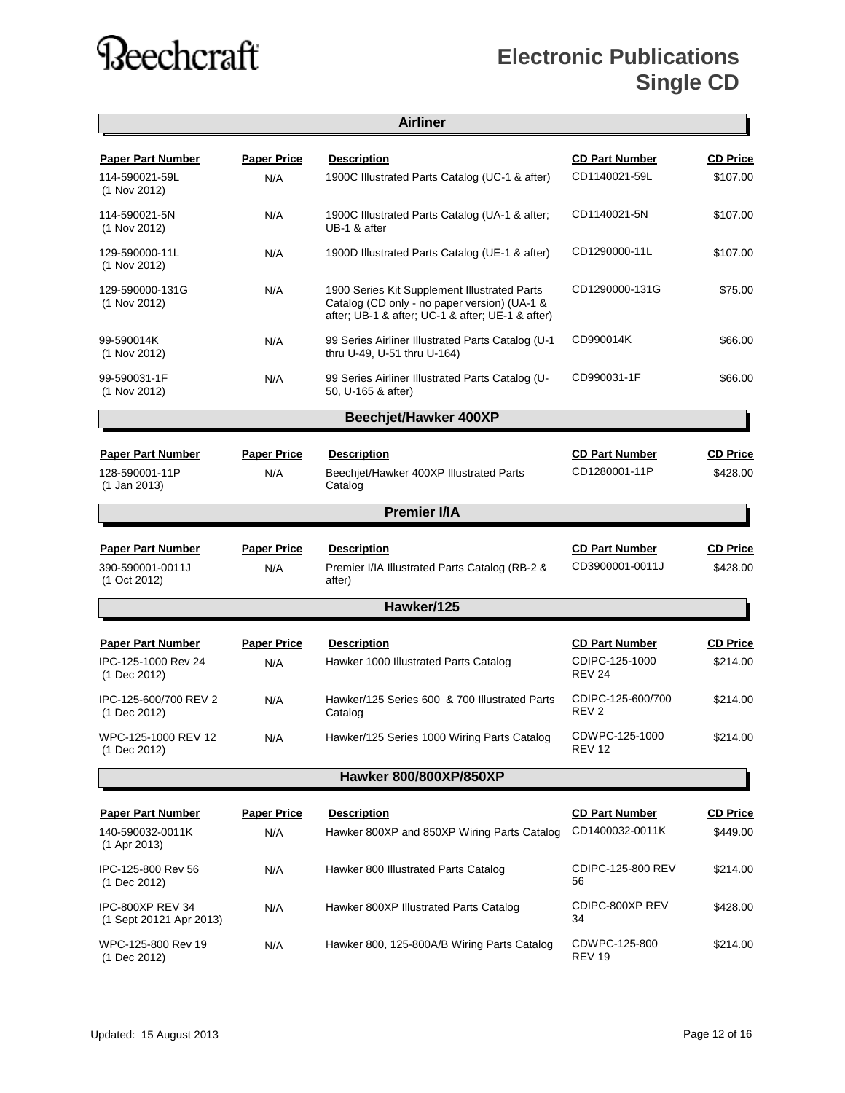### **Electronic Publications Single CD**

 $\overline{\phantom{a}}$ 

|                                             |                    | <b>Airliner</b>                                                                                                                                  |                                       |                 |
|---------------------------------------------|--------------------|--------------------------------------------------------------------------------------------------------------------------------------------------|---------------------------------------|-----------------|
| <b>Paper Part Number</b>                    | <b>Paper Price</b> | <b>Description</b>                                                                                                                               | <b>CD Part Number</b>                 | <b>CD Price</b> |
| 114-590021-59L<br>$(1$ Nov 2012)            | N/A                | 1900C Illustrated Parts Catalog (UC-1 & after)                                                                                                   | CD1140021-59L                         | \$107.00        |
| 114-590021-5N<br>(1 Nov 2012)               | N/A                | 1900C Illustrated Parts Catalog (UA-1 & after;<br>UB-1 & after                                                                                   | CD1140021-5N                          | \$107.00        |
| 129-590000-11L<br>$(1$ Nov 2012)            | N/A                | 1900D Illustrated Parts Catalog (UE-1 & after)                                                                                                   | CD1290000-11L                         | \$107.00        |
| 129-590000-131G<br>(1 Nov 2012)             | N/A                | 1900 Series Kit Supplement Illustrated Parts<br>Catalog (CD only - no paper version) (UA-1 &<br>after; UB-1 & after; UC-1 & after; UE-1 & after) | CD1290000-131G                        | \$75.00         |
| 99-590014K<br>(1 Nov 2012)                  | N/A                | 99 Series Airliner Illustrated Parts Catalog (U-1<br>thru U-49, U-51 thru U-164)                                                                 | CD990014K                             | \$66.00         |
| 99-590031-1F<br>(1 Nov 2012)                | N/A                | 99 Series Airliner Illustrated Parts Catalog (U-<br>50, U-165 & after)                                                                           | CD990031-1F                           | \$66.00         |
|                                             |                    | <b>Beechjet/Hawker 400XP</b>                                                                                                                     |                                       |                 |
| <b>Paper Part Number</b>                    | <b>Paper Price</b> | <b>Description</b>                                                                                                                               | <b>CD Part Number</b>                 | <b>CD Price</b> |
| 128-590001-11P<br>$(1$ Jan 2013)            | N/A                | Beechjet/Hawker 400XP Illustrated Parts<br>Catalog                                                                                               | CD1280001-11P                         | \$428.00        |
|                                             |                    | <b>Premier I/IA</b>                                                                                                                              |                                       |                 |
| <b>Paper Part Number</b>                    | <b>Paper Price</b> | <b>Description</b>                                                                                                                               | <b>CD Part Number</b>                 | <b>CD Price</b> |
| 390-590001-0011J<br>(1 Oct 2012)            | N/A                | Premier I/IA Illustrated Parts Catalog (RB-2 &<br>after)                                                                                         | CD3900001-0011J                       | \$428.00        |
|                                             |                    | Hawker/125                                                                                                                                       |                                       |                 |
| <b>Paper Part Number</b>                    | <b>Paper Price</b> | <b>Description</b>                                                                                                                               | <b>CD Part Number</b>                 | <b>CD Price</b> |
| IPC-125-1000 Rev 24<br>(1 Dec 2012)         | N/A                | Hawker 1000 Illustrated Parts Catalog                                                                                                            | CDIPC-125-1000<br><b>REV 24</b>       | \$214.00        |
| IPC-125-600/700 REV 2<br>(1 Dec 2012)       | N/A                | Hawker/125 Series 600 & 700 Illustrated Parts<br>Catalog                                                                                         | CDIPC-125-600/700<br>REV <sub>2</sub> | \$214.00        |
| WPC-125-1000 REV 12<br>(1 Dec 2012)         | N/A                | Hawker/125 Series 1000 Wiring Parts Catalog                                                                                                      | CDWPC-125-1000<br><b>REV 12</b>       | \$214.00        |
|                                             |                    | Hawker 800/800XP/850XP                                                                                                                           |                                       |                 |
| <b>Paper Part Number</b>                    | <b>Paper Price</b> | <b>Description</b>                                                                                                                               | <b>CD Part Number</b>                 | <b>CD Price</b> |
| 140-590032-0011K<br>(1 Apr 2013)            | N/A                | Hawker 800XP and 850XP Wiring Parts Catalog                                                                                                      | CD1400032-0011K                       | \$449.00        |
| IPC-125-800 Rev 56<br>(1 Dec 2012)          | N/A                | Hawker 800 Illustrated Parts Catalog                                                                                                             | CDIPC-125-800 REV<br>56               | \$214.00        |
| IPC-800XP REV 34<br>(1 Sept 20121 Apr 2013) | N/A                | Hawker 800XP Illustrated Parts Catalog                                                                                                           | CDIPC-800XP REV<br>34                 | \$428.00        |
| WPC-125-800 Rev 19<br>(1 Dec 2012)          | N/A                | Hawker 800, 125-800A/B Wiring Parts Catalog                                                                                                      | CDWPC-125-800<br><b>REV 19</b>        | \$214.00        |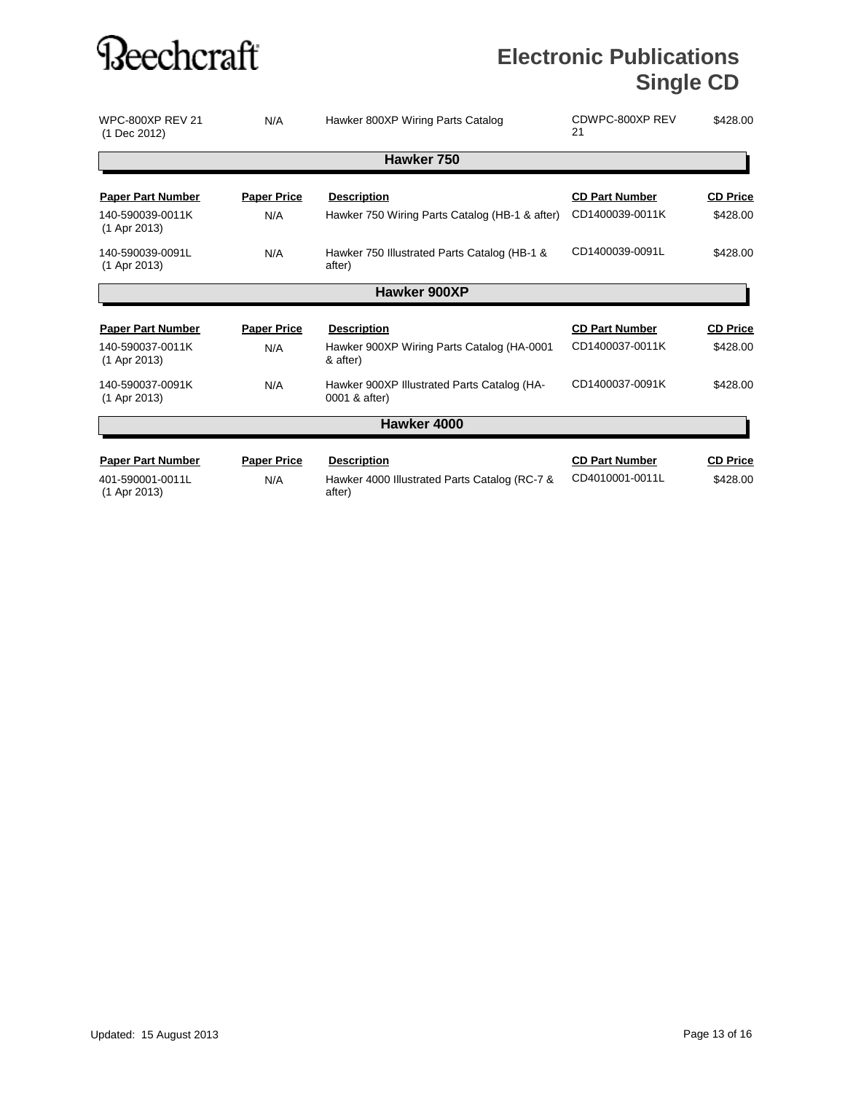| <b>WPC-800XP REV 21</b><br>(1 Dec 2012) | N/A                | Hawker 800XP Wiring Parts Catalog                            | CDWPC-800XP REV<br>21 | \$428.00        |
|-----------------------------------------|--------------------|--------------------------------------------------------------|-----------------------|-----------------|
|                                         |                    | Hawker 750                                                   |                       |                 |
| <b>Paper Part Number</b>                | <b>Paper Price</b> | <b>Description</b>                                           | <b>CD Part Number</b> | <b>CD Price</b> |
| 140-590039-0011K<br>$(1$ Apr 2013)      | N/A                | Hawker 750 Wiring Parts Catalog (HB-1 & after)               | CD1400039-0011K       | \$428.00        |
| 140-590039-0091L<br>(1 Apr 2013)        | N/A                | Hawker 750 Illustrated Parts Catalog (HB-1 &<br>after)       | CD1400039-0091L       | \$428.00        |
|                                         |                    | Hawker 900XP                                                 |                       |                 |
| <b>Paper Part Number</b>                | <b>Paper Price</b> | <b>Description</b>                                           | <b>CD Part Number</b> | <b>CD Price</b> |
| 140-590037-0011K                        | N/A                | Hawker 900XP Wiring Parts Catalog (HA-0001                   | CD1400037-0011K       | \$428.00        |
| (1 Apr 2013)                            |                    | & after)                                                     |                       |                 |
| 140-590037-0091K<br>(1 Apr 2013)        | N/A                | Hawker 900XP Illustrated Parts Catalog (HA-<br>0001 & after) | CD1400037-0091K       | \$428.00        |
|                                         |                    | Hawker 4000                                                  |                       |                 |
| <b>Paper Part Number</b>                | <b>Paper Price</b> | <b>Description</b>                                           | <b>CD Part Number</b> | <b>CD Price</b> |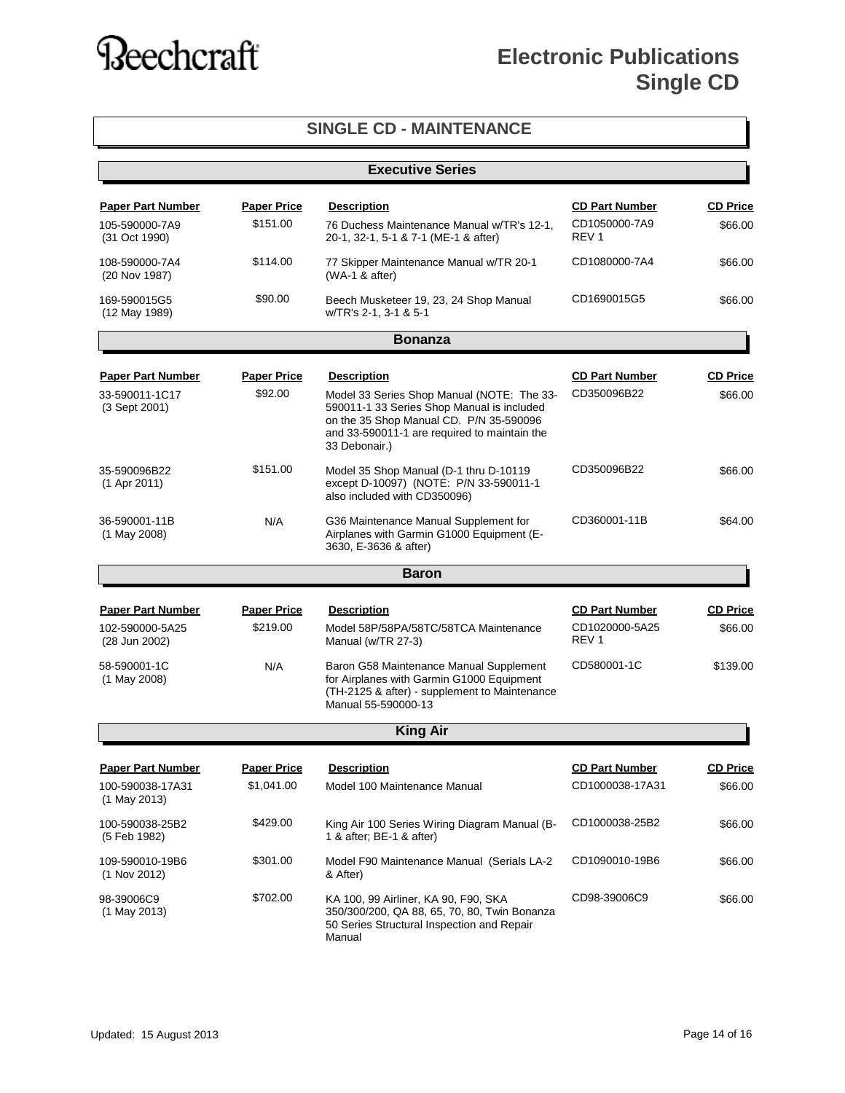| <b>SINGLE CD - MAINTENANCE</b>     |                         |                                                                                                                                                                                                      |                                    |                 |
|------------------------------------|-------------------------|------------------------------------------------------------------------------------------------------------------------------------------------------------------------------------------------------|------------------------------------|-----------------|
|                                    | <b>Executive Series</b> |                                                                                                                                                                                                      |                                    |                 |
| <b>Paper Part Number</b>           | <b>Paper Price</b>      | <b>Description</b>                                                                                                                                                                                   | <b>CD Part Number</b>              | <b>CD Price</b> |
| 105-590000-7A9<br>(31 Oct 1990)    | \$151.00                | 76 Duchess Maintenance Manual w/TR's 12-1,<br>20-1, 32-1, 5-1 & 7-1 (ME-1 & after)                                                                                                                   | CD1050000-7A9<br>REV <sub>1</sub>  | \$66.00         |
| 108-590000-7A4<br>(20 Nov 1987)    | \$114.00                | 77 Skipper Maintenance Manual w/TR 20-1<br>$(WA-1 & after)$                                                                                                                                          | CD1080000-7A4                      | \$66.00         |
| 169-590015G5<br>(12 May 1989)      | \$90.00                 | Beech Musketeer 19, 23, 24 Shop Manual<br>w/TR's 2-1, 3-1 & 5-1                                                                                                                                      | CD1690015G5                        | \$66.00         |
|                                    |                         | <b>Bonanza</b>                                                                                                                                                                                       |                                    |                 |
| <b>Paper Part Number</b>           | <b>Paper Price</b>      | <b>Description</b>                                                                                                                                                                                   | <b>CD Part Number</b>              | <b>CD Price</b> |
| 33-590011-1C17<br>(3 Sept 2001)    | \$92.00                 | Model 33 Series Shop Manual (NOTE: The 33-<br>590011-1 33 Series Shop Manual is included<br>on the 35 Shop Manual CD. P/N 35-590096<br>and 33-590011-1 are required to maintain the<br>33 Debonair.) | CD350096B22                        | \$66.00         |
| 35-590096B22<br>$(1$ Apr 2011)     | \$151.00                | Model 35 Shop Manual (D-1 thru D-10119<br>except D-10097) (NOTE: P/N 33-590011-1<br>also included with CD350096)                                                                                     | CD350096B22                        | \$66.00         |
| 36-590001-11B<br>(1 May 2008)      | N/A                     | G36 Maintenance Manual Supplement for<br>Airplanes with Garmin G1000 Equipment (E-<br>3630, E-3636 & after)                                                                                          | CD360001-11B                       | \$64.00         |
|                                    |                         | <b>Baron</b>                                                                                                                                                                                         |                                    |                 |
| <b>Paper Part Number</b>           | <b>Paper Price</b>      | <b>Description</b>                                                                                                                                                                                   | <b>CD Part Number</b>              | <b>CD Price</b> |
| 102-590000-5A25<br>(28 Jun 2002)   | \$219.00                | Model 58P/58PA/58TC/58TCA Maintenance<br>Manual (w/TR 27-3)                                                                                                                                          | CD1020000-5A25<br>REV <sub>1</sub> | \$66.00         |
| 58-590001-1C<br>(1 May 2008)       | N/A                     | Baron G58 Maintenance Manual Supplement<br>for Airplanes with Garmin G1000 Equipment<br>(TH-2125 & after) - supplement to Maintenance<br>Manual 55-590000-13                                         | CD580001-1C                        | \$139.00        |
|                                    |                         | <b>King Air</b>                                                                                                                                                                                      |                                    |                 |
| <b>Paper Part Number</b>           | <b>Paper Price</b>      | <b>Description</b>                                                                                                                                                                                   | <b>CD Part Number</b>              | <b>CD Price</b> |
| 100-590038-17A31<br>$(1$ May 2013) | \$1,041.00              | Model 100 Maintenance Manual                                                                                                                                                                         | CD1000038-17A31                    | \$66.00         |
| 100-590038-25B2<br>(5 Feb 1982)    | \$429.00                | King Air 100 Series Wiring Diagram Manual (B-<br>1 & after; BE-1 & after)                                                                                                                            | CD1000038-25B2                     | \$66.00         |
| 109-590010-19B6<br>(1 Nov 2012)    | \$301.00                | Model F90 Maintenance Manual (Serials LA-2<br>& After)                                                                                                                                               | CD1090010-19B6                     | \$66.00         |
| 98-39006C9<br>$(1$ May 2013)       | \$702.00                | KA 100, 99 Airliner, KA 90, F90, SKA<br>350/300/200, QA 88, 65, 70, 80, Twin Bonanza<br>50 Series Structural Inspection and Repair<br>Manual                                                         | CD98-39006C9                       | \$66.00         |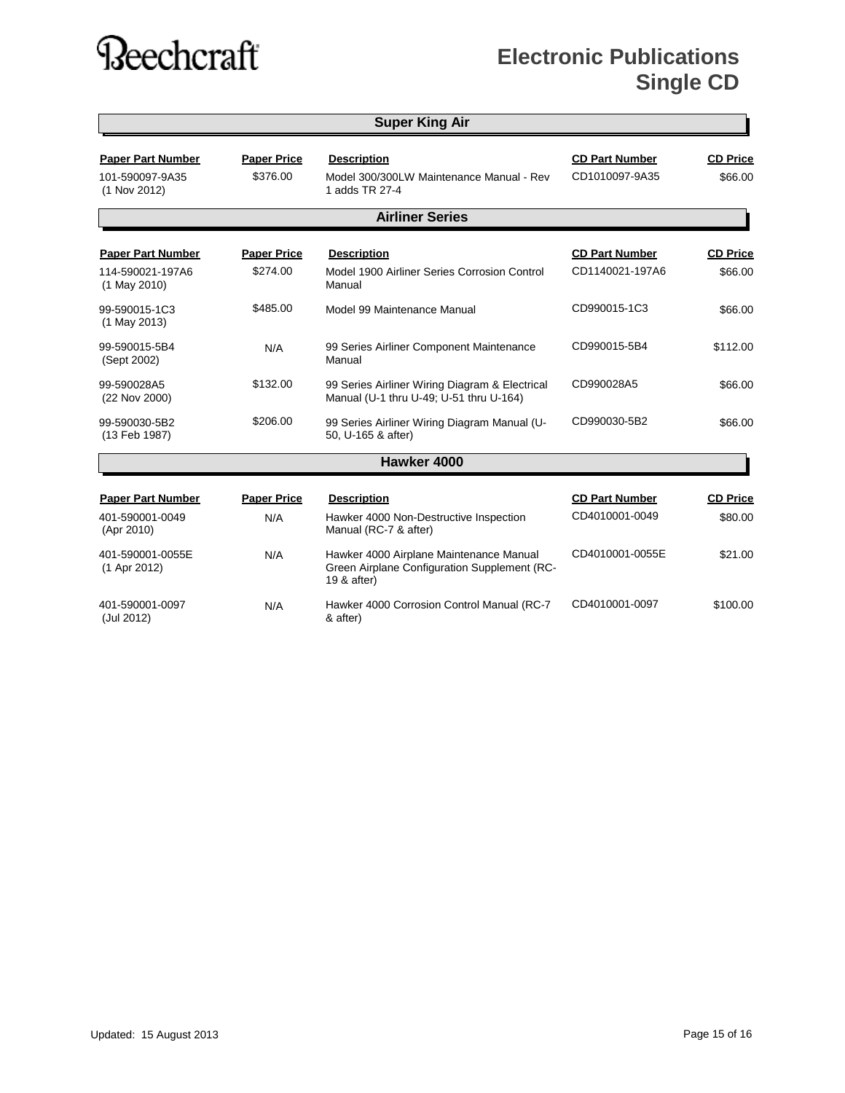| <b>Super King Air</b>                                        |                                |                                                                                                        |                                          |                            |
|--------------------------------------------------------------|--------------------------------|--------------------------------------------------------------------------------------------------------|------------------------------------------|----------------------------|
| <b>Paper Part Number</b><br>101-590097-9A35<br>(1 Nov 2012)  | <b>Paper Price</b><br>\$376.00 | <b>Description</b><br>Model 300/300LW Maintenance Manual - Rev<br>1 adds TR 27-4                       | <b>CD Part Number</b><br>CD1010097-9A35  | <b>CD Price</b><br>\$66.00 |
|                                                              |                                | <b>Airliner Series</b>                                                                                 |                                          |                            |
| <b>Paper Part Number</b><br>114-590021-197A6<br>(1 May 2010) | <b>Paper Price</b><br>\$274.00 | <b>Description</b><br>Model 1900 Airliner Series Corrosion Control<br>Manual                           | <b>CD Part Number</b><br>CD1140021-197A6 | <b>CD Price</b><br>\$66.00 |
| 99-590015-1C3<br>(1 May 2013)                                | \$485.00                       | Model 99 Maintenance Manual                                                                            | CD990015-1C3                             | \$66.00                    |
| 99-590015-5B4<br>(Sept 2002)                                 | N/A                            | 99 Series Airliner Component Maintenance<br>Manual                                                     | CD990015-5B4                             | \$112.00                   |
| 99-590028A5<br>(22 Nov 2000)                                 | \$132.00                       | 99 Series Airliner Wiring Diagram & Electrical<br>Manual (U-1 thru U-49; U-51 thru U-164)              | CD990028A5                               | \$66.00                    |
| 99-590030-5B2<br>(13 Feb 1987)                               | \$206.00                       | 99 Series Airliner Wiring Diagram Manual (U-<br>50, U-165 & after)                                     | CD990030-5B2                             | \$66.00                    |
|                                                              |                                | Hawker 4000                                                                                            |                                          |                            |
| <b>Paper Part Number</b>                                     | <b>Paper Price</b>             | <b>Description</b>                                                                                     | <b>CD Part Number</b>                    | <b>CD Price</b>            |
| 401-590001-0049<br>(Apr 2010)                                | N/A                            | Hawker 4000 Non-Destructive Inspection<br>Manual (RC-7 & after)                                        | CD4010001-0049                           | \$80.00                    |
| 401-590001-0055E<br>(1 Apr 2012)                             | N/A                            | Hawker 4000 Airplane Maintenance Manual<br>Green Airplane Configuration Supplement (RC-<br>19 & after) | CD4010001-0055E                          | \$21.00                    |
| 401-590001-0097<br>(Jul 2012)                                | N/A                            | Hawker 4000 Corrosion Control Manual (RC-7<br>& after)                                                 | CD4010001-0097                           | \$100.00                   |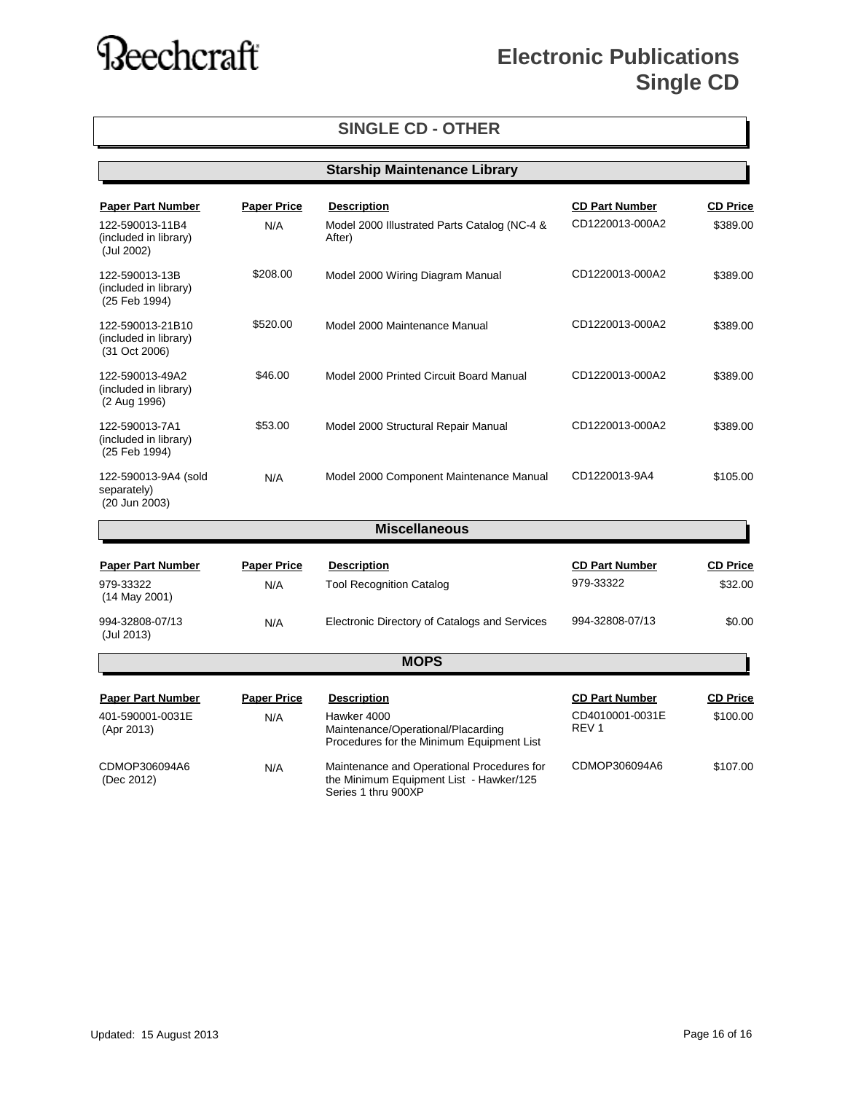### **Electronic Publications Single CD**

#### **SINGLE CD - OTHER**

|                                                                                    |                           | <b>Starship Maintenance Library</b>                                                                                  |                                                              |                             |
|------------------------------------------------------------------------------------|---------------------------|----------------------------------------------------------------------------------------------------------------------|--------------------------------------------------------------|-----------------------------|
| <b>Paper Part Number</b><br>122-590013-11B4<br>(included in library)<br>(Jul 2002) | <b>Paper Price</b><br>N/A | <b>Description</b><br>Model 2000 Illustrated Parts Catalog (NC-4 &<br>After)                                         | <b>CD Part Number</b><br>CD1220013-000A2                     | <b>CD Price</b><br>\$389.00 |
| 122-590013-13B<br>(included in library)<br>(25 Feb 1994)                           | \$208.00                  | Model 2000 Wiring Diagram Manual                                                                                     | CD1220013-000A2                                              | \$389.00                    |
| 122-590013-21B10<br>(included in library)<br>(31 Oct 2006)                         | \$520.00                  | Model 2000 Maintenance Manual                                                                                        | CD1220013-000A2                                              | \$389.00                    |
| 122-590013-49A2<br>(included in library)<br>(2 Aug 1996)                           | \$46.00                   | Model 2000 Printed Circuit Board Manual                                                                              | CD1220013-000A2                                              | \$389.00                    |
| 122-590013-7A1<br>(included in library)<br>(25 Feb 1994)                           | \$53.00                   | Model 2000 Structural Repair Manual                                                                                  | CD1220013-000A2                                              | \$389.00                    |
| 122-590013-9A4 (sold<br>separately)<br>(20 Jun 2003)                               | N/A                       | Model 2000 Component Maintenance Manual                                                                              | CD1220013-9A4                                                | \$105.00                    |
|                                                                                    |                           | <b>Miscellaneous</b>                                                                                                 |                                                              |                             |
| <b>Paper Part Number</b><br>979-33322<br>$(14$ May 2001)                           | <b>Paper Price</b><br>N/A | <b>Description</b><br><b>Tool Recognition Catalog</b>                                                                | <b>CD Part Number</b><br>979-33322                           | <b>CD Price</b><br>\$32.00  |
| 994-32808-07/13<br>(Jul 2013)                                                      | N/A                       | Electronic Directory of Catalogs and Services                                                                        | 994-32808-07/13                                              | \$0.00                      |
|                                                                                    |                           | <b>MOPS</b>                                                                                                          |                                                              |                             |
| <b>Paper Part Number</b><br>401-590001-0031E<br>(Apr 2013)                         | <b>Paper Price</b><br>N/A | <b>Description</b><br>Hawker 4000<br>Maintenance/Operational/Placarding<br>Procedures for the Minimum Equipment List | <b>CD Part Number</b><br>CD4010001-0031E<br>REV <sub>1</sub> | <b>CD Price</b><br>\$100.00 |
| CDMOP306094A6<br>(Dec 2012)                                                        | N/A                       | Maintenance and Operational Procedures for<br>the Minimum Equipment List - Hawker/125<br>Series 1 thru 900XP         | CDMOP306094A6                                                | \$107.00                    |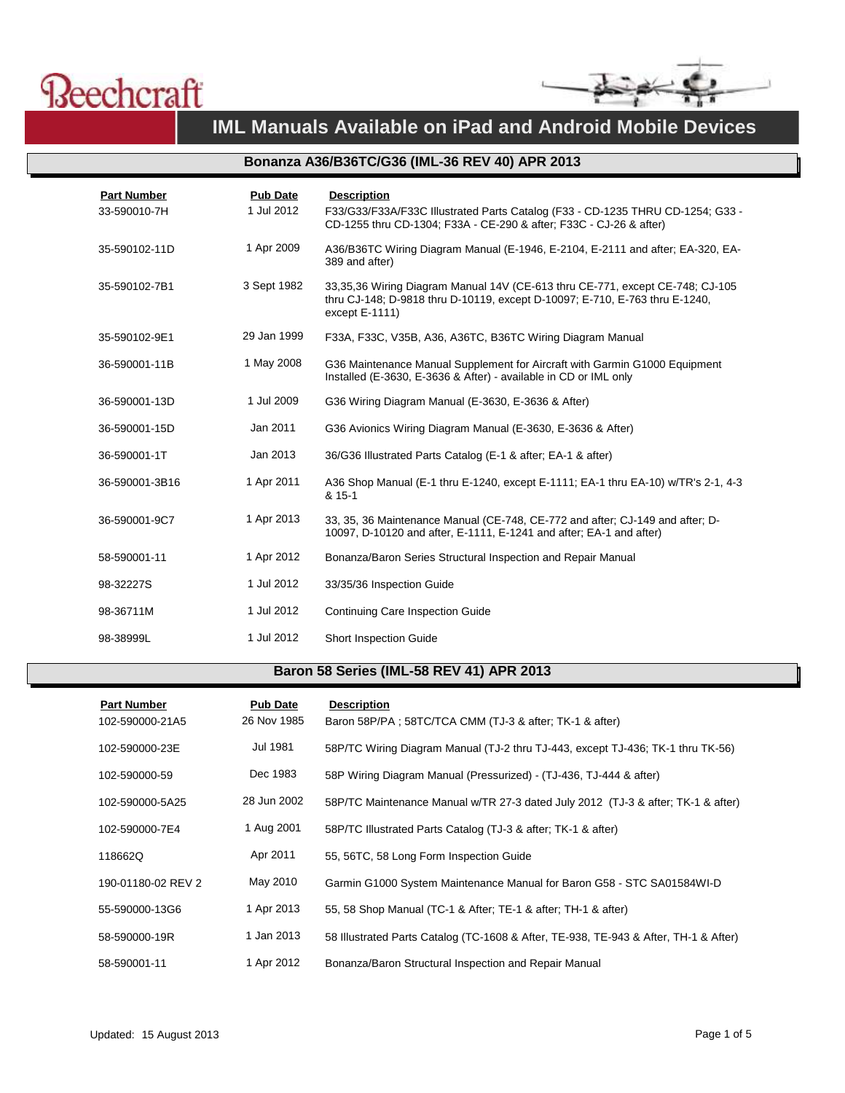



#### **IML Manuals Available on iPad and Android Mobile Devices**

#### **Bonanza A36/B36TC/G36 (IML-36 REV 40) APR 2013**

| <b>Part Number</b><br>33-590010-7H | <b>Pub Date</b><br>1 Jul 2012 | <b>Description</b><br>F33/G33/F33A/F33C Illustrated Parts Catalog (F33 - CD-1235 THRU CD-1254; G33 -<br>CD-1255 thru CD-1304; F33A - CE-290 & after; F33C - CJ-26 & after)        |
|------------------------------------|-------------------------------|-----------------------------------------------------------------------------------------------------------------------------------------------------------------------------------|
| 35-590102-11D                      | 1 Apr 2009                    | A36/B36TC Wiring Diagram Manual (E-1946, E-2104, E-2111 and after; EA-320, EA-<br>389 and after)                                                                                  |
| 35-590102-7B1                      | 3 Sept 1982                   | 33,35,36 Wiring Diagram Manual 14V (CE-613 thru CE-771, except CE-748; CJ-105<br>thru CJ-148; D-9818 thru D-10119, except D-10097; E-710, E-763 thru E-1240,<br>except $E-1111$ ) |
| 35-590102-9E1                      | 29 Jan 1999                   | F33A, F33C, V35B, A36, A36TC, B36TC Wiring Diagram Manual                                                                                                                         |
| 36-590001-11B                      | 1 May 2008                    | G36 Maintenance Manual Supplement for Aircraft with Garmin G1000 Equipment<br>Installed (E-3630, E-3636 & After) - available in CD or IML only                                    |
| 36-590001-13D                      | 1 Jul 2009                    | G36 Wiring Diagram Manual (E-3630, E-3636 & After)                                                                                                                                |
| 36-590001-15D                      | Jan 2011                      | G36 Avionics Wiring Diagram Manual (E-3630, E-3636 & After)                                                                                                                       |
| 36-590001-1T                       | Jan 2013                      | 36/G36 Illustrated Parts Catalog (E-1 & after; EA-1 & after)                                                                                                                      |
| 36-590001-3B16                     | 1 Apr 2011                    | A36 Shop Manual (E-1 thru E-1240, except E-1111; EA-1 thru EA-10) w/TR's 2-1, 4-3<br>& 15-1                                                                                       |
| 36-590001-9C7                      | 1 Apr 2013                    | 33, 35, 36 Maintenance Manual (CE-748, CE-772 and after; CJ-149 and after; D-<br>10097, D-10120 and after, E-1111, E-1241 and after; EA-1 and after)                              |
| 58-590001-11                       | 1 Apr 2012                    | Bonanza/Baron Series Structural Inspection and Repair Manual                                                                                                                      |
| 98-32227S                          | 1 Jul 2012                    | 33/35/36 Inspection Guide                                                                                                                                                         |
| 98-36711M                          | 1 Jul 2012                    | <b>Continuing Care Inspection Guide</b>                                                                                                                                           |
| 98-38999L                          | 1 Jul 2012                    | <b>Short Inspection Guide</b>                                                                                                                                                     |

#### **Baron 58 Series (IML-58 REV 41) APR 2013**

| <b>Part Number</b><br>102-590000-21A5 | <b>Pub Date</b><br>26 Nov 1985 | <b>Description</b><br>Baron 58P/PA; 58TC/TCA CMM (TJ-3 & after; TK-1 & after)        |
|---------------------------------------|--------------------------------|--------------------------------------------------------------------------------------|
| 102-590000-23E                        | Jul 1981                       | 58P/TC Wiring Diagram Manual (TJ-2 thru TJ-443, except TJ-436; TK-1 thru TK-56)      |
| 102-590000-59                         | Dec 1983                       | 58P Wiring Diagram Manual (Pressurized) - (TJ-436, TJ-444 & after)                   |
| 102-590000-5A25                       | 28 Jun 2002                    | 58P/TC Maintenance Manual w/TR 27-3 dated July 2012 (TJ-3 & after; TK-1 & after)     |
| 102-590000-7E4                        | 1 Aug 2001                     | 58P/TC Illustrated Parts Catalog (TJ-3 & after; TK-1 & after)                        |
| 118662Q                               | Apr 2011                       | 55, 56TC, 58 Long Form Inspection Guide                                              |
| 190-01180-02 REV 2                    | May 2010                       | Garmin G1000 System Maintenance Manual for Baron G58 - STC SA01584WI-D               |
| 55-590000-13G6                        | 1 Apr 2013                     | 55, 58 Shop Manual (TC-1 & After: TE-1 & after: TH-1 & after)                        |
| 58-590000-19R                         | 1 Jan 2013                     | 58 Illustrated Parts Catalog (TC-1608 & After, TE-938, TE-943 & After, TH-1 & After) |
| 58-590001-11                          | 1 Apr 2012                     | Bonanza/Baron Structural Inspection and Repair Manual                                |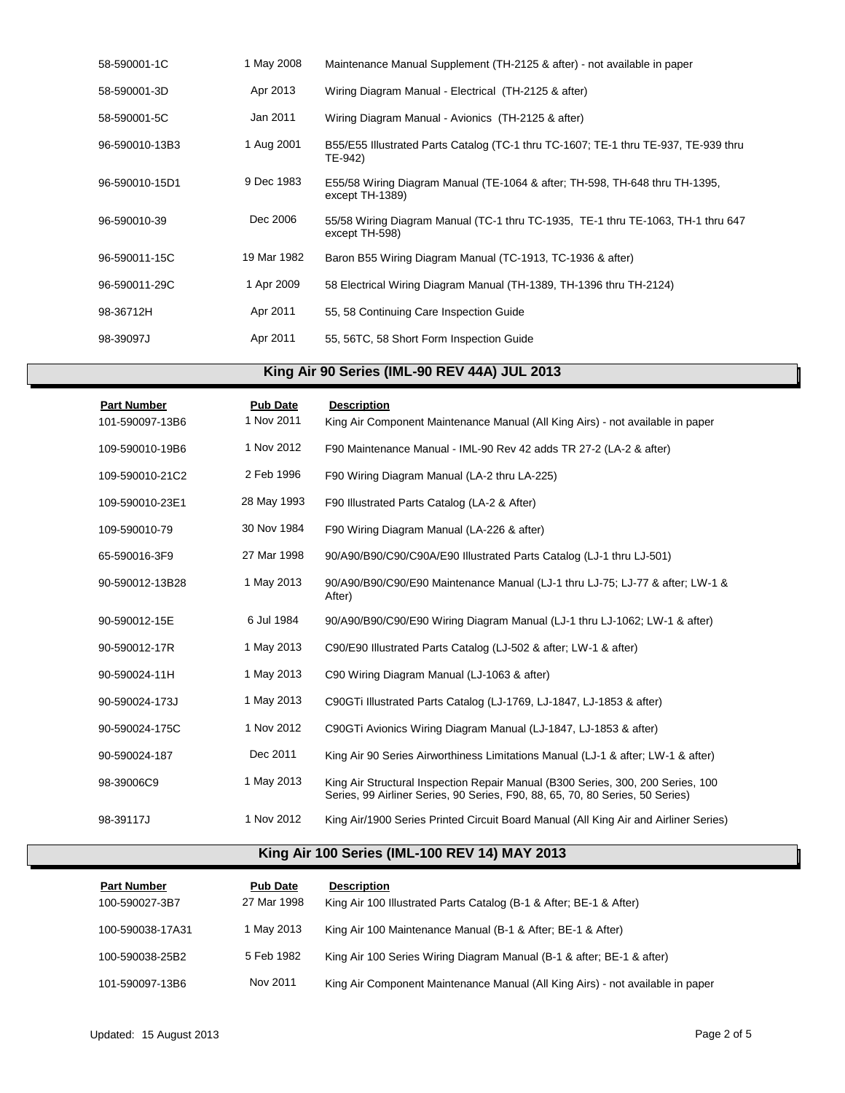| 58-590001-1C   | 1 May 2008  | Maintenance Manual Supplement (TH-2125 & after) - not available in paper                           |
|----------------|-------------|----------------------------------------------------------------------------------------------------|
| 58-590001-3D   | Apr 2013    | Wiring Diagram Manual - Electrical (TH-2125 & after)                                               |
| 58-590001-5C   | Jan 2011    | Wiring Diagram Manual - Avionics (TH-2125 & after)                                                 |
| 96-590010-13B3 | 1 Aug 2001  | B55/E55 Illustrated Parts Catalog (TC-1 thru TC-1607; TE-1 thru TE-937, TE-939 thru<br>TE-942)     |
| 96-590010-15D1 | 9 Dec 1983  | E55/58 Wiring Diagram Manual (TE-1064 & after; TH-598, TH-648 thru TH-1395,<br>except TH-1389)     |
| 96-590010-39   | Dec 2006    | 55/58 Wiring Diagram Manual (TC-1 thru TC-1935, TE-1 thru TE-1063, TH-1 thru 647<br>except TH-598) |
| 96-590011-15C  | 19 Mar 1982 | Baron B55 Wiring Diagram Manual (TC-1913, TC-1936 & after)                                         |
| 96-590011-29C  | 1 Apr 2009  | 58 Electrical Wiring Diagram Manual (TH-1389, TH-1396 thru TH-2124)                                |
| 98-36712H      | Apr 2011    | 55, 58 Continuing Care Inspection Guide                                                            |
| 98-39097J      | Apr 2011    | 55, 56TC, 58 Short Form Inspection Guide                                                           |

#### **King Air 90 Series (IML-90 REV 44A) JUL 2013**

| <b>Part Number</b><br>101-590097-13B6 | <b>Pub Date</b><br>1 Nov 2011 | <b>Description</b><br>King Air Component Maintenance Manual (All King Airs) - not available in paper                                                             |
|---------------------------------------|-------------------------------|------------------------------------------------------------------------------------------------------------------------------------------------------------------|
| 109-590010-19B6                       | 1 Nov 2012                    | F90 Maintenance Manual - IML-90 Rev 42 adds TR 27-2 (LA-2 & after)                                                                                               |
| 109-590010-21C2                       | 2 Feb 1996                    | F90 Wiring Diagram Manual (LA-2 thru LA-225)                                                                                                                     |
| 109-590010-23E1                       | 28 May 1993                   | F90 Illustrated Parts Catalog (LA-2 & After)                                                                                                                     |
| 109-590010-79                         | 30 Nov 1984                   | F90 Wiring Diagram Manual (LA-226 & after)                                                                                                                       |
| 65-590016-3F9                         | 27 Mar 1998                   | 90/A90/B90/C90/C90A/E90 Illustrated Parts Catalog (LJ-1 thru LJ-501)                                                                                             |
| 90-590012-13B28                       | 1 May 2013                    | 90/A90/B90/C90/E90 Maintenance Manual (LJ-1 thru LJ-75; LJ-77 & after; LW-1 &<br>After)                                                                          |
| 90-590012-15E                         | 6 Jul 1984                    | 90/A90/B90/C90/E90 Wiring Diagram Manual (LJ-1 thru LJ-1062; LW-1 & after)                                                                                       |
| 90-590012-17R                         | 1 May 2013                    | C90/E90 Illustrated Parts Catalog (LJ-502 & after: LW-1 & after)                                                                                                 |
| 90-590024-11H                         | 1 May 2013                    | C90 Wiring Diagram Manual (LJ-1063 & after)                                                                                                                      |
| 90-590024-173J                        | 1 May 2013                    | C90GTi Illustrated Parts Catalog (LJ-1769, LJ-1847, LJ-1853 & after)                                                                                             |
| 90-590024-175C                        | 1 Nov 2012                    | C90GTi Avionics Wiring Diagram Manual (LJ-1847, LJ-1853 & after)                                                                                                 |
| 90-590024-187                         | Dec 2011                      | King Air 90 Series Airworthiness Limitations Manual (LJ-1 & after; LW-1 & after)                                                                                 |
| 98-39006C9                            | 1 May 2013                    | King Air Structural Inspection Repair Manual (B300 Series, 300, 200 Series, 100<br>Series, 99 Airliner Series, 90 Series, F90, 88, 65, 70, 80 Series, 50 Series) |
| 98-39117J                             | 1 Nov 2012                    | King Air/1900 Series Printed Circuit Board Manual (All King Air and Airliner Series)                                                                             |

#### **King Air 100 Series (IML-100 REV 14) MAY 2013**

| <b>Part Number</b><br>100-590027-3B7 | <b>Pub Date</b><br>27 Mar 1998 | <b>Description</b><br>King Air 100 Illustrated Parts Catalog (B-1 & After: BE-1 & After) |
|--------------------------------------|--------------------------------|------------------------------------------------------------------------------------------|
| 100-590038-17A31                     | 1 May 2013                     | King Air 100 Maintenance Manual (B-1 & After: BE-1 & After)                              |
| 100-590038-25B2                      | 5 Feb 1982                     | King Air 100 Series Wiring Diagram Manual (B-1 & after; BE-1 & after)                    |
| 101-590097-13B6                      | Nov 2011                       | King Air Component Maintenance Manual (All King Airs) - not available in paper           |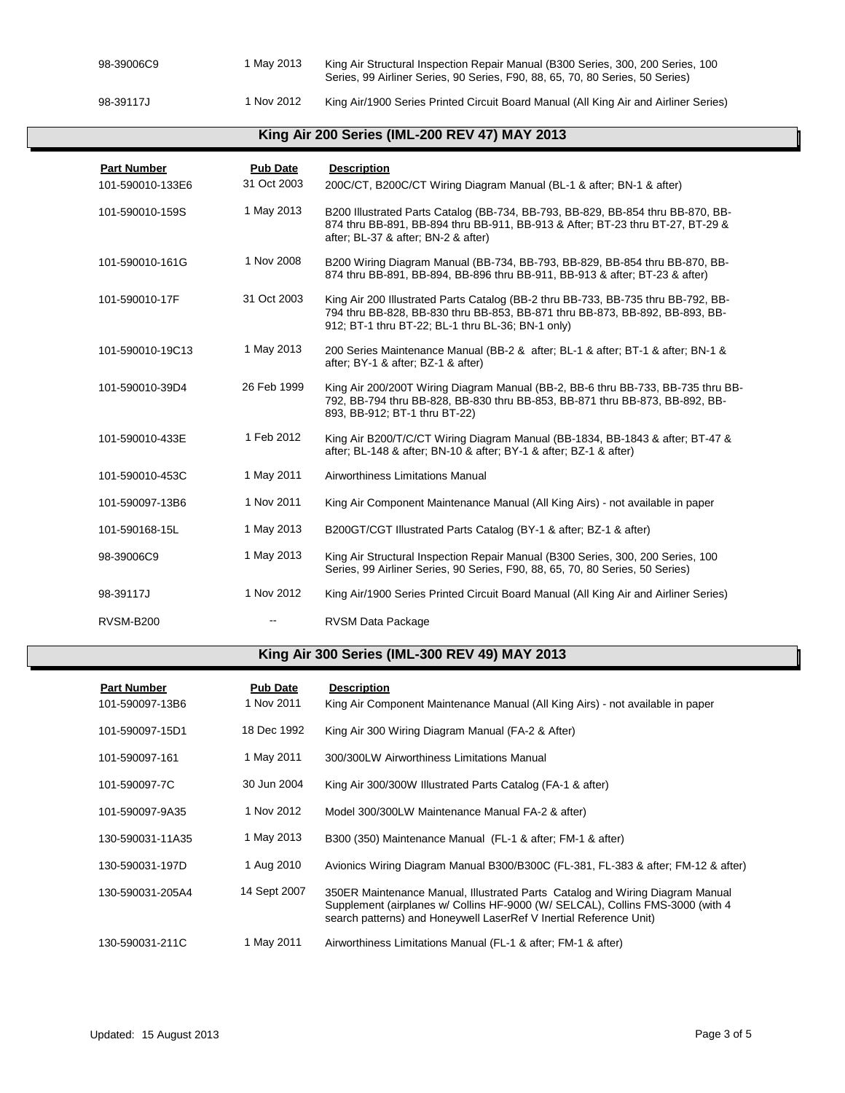| 98-39006C9 | 1 Mav 2013 | King Air Structural Inspection Repair Manual (B300 Series, 300, 200 Series, 100<br>Series, 99 Airliner Series, 90 Series, F90, 88, 65, 70, 80 Series, 50 Series) |
|------------|------------|------------------------------------------------------------------------------------------------------------------------------------------------------------------|
| 98-39117J  | 1 Nov 2012 | King Air/1900 Series Printed Circuit Board Manual (All King Air and Airliner Series)                                                                             |

#### **King Air 200 Series (IML-200 REV 47) MAY 2013**

| <b>Part Number</b> | <b>Pub Date</b> | <b>Description</b>                                                                                                                                                                                                     |
|--------------------|-----------------|------------------------------------------------------------------------------------------------------------------------------------------------------------------------------------------------------------------------|
| 101-590010-133E6   | 31 Oct 2003     | 200C/CT, B200C/CT Wiring Diagram Manual (BL-1 & after; BN-1 & after)                                                                                                                                                   |
| 101-590010-159S    | 1 May 2013      | B200 Illustrated Parts Catalog (BB-734, BB-793, BB-829, BB-854 thru BB-870, BB-<br>874 thru BB-891, BB-894 thru BB-911, BB-913 & After; BT-23 thru BT-27, BT-29 &<br>after; BL-37 & after; BN-2 & after)               |
| 101-590010-161G    | 1 Nov 2008      | B200 Wiring Diagram Manual (BB-734, BB-793, BB-829, BB-854 thru BB-870, BB-<br>874 thru BB-891, BB-894, BB-896 thru BB-911, BB-913 & after; BT-23 & after)                                                             |
| 101-590010-17F     | 31 Oct 2003     | King Air 200 Illustrated Parts Catalog (BB-2 thru BB-733, BB-735 thru BB-792, BB-<br>794 thru BB-828, BB-830 thru BB-853, BB-871 thru BB-873, BB-892, BB-893, BB-<br>912; BT-1 thru BT-22; BL-1 thru BL-36; BN-1 only) |
| 101-590010-19C13   | 1 May 2013      | 200 Series Maintenance Manual (BB-2 & after; BL-1 & after; BT-1 & after; BN-1 &<br>after; BY-1 & after; BZ-1 & after)                                                                                                  |
| 101-590010-39D4    | 26 Feb 1999     | King Air 200/200T Wiring Diagram Manual (BB-2, BB-6 thru BB-733, BB-735 thru BB-<br>792, BB-794 thru BB-828, BB-830 thru BB-853, BB-871 thru BB-873, BB-892, BB-<br>893, BB-912; BT-1 thru BT-22)                      |
| 101-590010-433E    | 1 Feb 2012      | King Air B200/T/C/CT Wiring Diagram Manual (BB-1834, BB-1843 & after; BT-47 &<br>after; BL-148 & after; BN-10 & after; BY-1 & after; BZ-1 & after)                                                                     |
| 101-590010-453C    | 1 May 2011      | Airworthiness Limitations Manual                                                                                                                                                                                       |
| 101-590097-13B6    | 1 Nov 2011      | King Air Component Maintenance Manual (All King Airs) - not available in paper                                                                                                                                         |
| 101-590168-15L     | 1 May 2013      | B200GT/CGT Illustrated Parts Catalog (BY-1 & after; BZ-1 & after)                                                                                                                                                      |
| 98-39006C9         | 1 May 2013      | King Air Structural Inspection Repair Manual (B300 Series, 300, 200 Series, 100<br>Series, 99 Airliner Series, 90 Series, F90, 88, 65, 70, 80 Series, 50 Series)                                                       |
| 98-39117J          | 1 Nov 2012      | King Air/1900 Series Printed Circuit Board Manual (All King Air and Airliner Series)                                                                                                                                   |
| <b>RVSM-B200</b>   |                 | <b>RVSM Data Package</b>                                                                                                                                                                                               |

#### **King Air 300 Series (IML-300 REV 49) MAY 2013**

| <b>Part Number</b><br>101-590097-13B6 | <b>Pub Date</b><br>1 Nov 2011 | <b>Description</b><br>King Air Component Maintenance Manual (All King Airs) - not available in paper                                                                                                                                  |
|---------------------------------------|-------------------------------|---------------------------------------------------------------------------------------------------------------------------------------------------------------------------------------------------------------------------------------|
| 101-590097-15D1                       | 18 Dec 1992                   | King Air 300 Wiring Diagram Manual (FA-2 & After)                                                                                                                                                                                     |
| 101-590097-161                        | 1 May 2011                    | 300/300LW Airworthiness Limitations Manual                                                                                                                                                                                            |
| 101-590097-7C                         | 30 Jun 2004                   | King Air 300/300W Illustrated Parts Catalog (FA-1 & after)                                                                                                                                                                            |
| 101-590097-9A35                       | 1 Nov 2012                    | Model 300/300LW Maintenance Manual FA-2 & after)                                                                                                                                                                                      |
| 130-590031-11A35                      | 1 May 2013                    | B300 (350) Maintenance Manual (FL-1 & after: FM-1 & after)                                                                                                                                                                            |
| 130-590031-197D                       | 1 Aug 2010                    | Avionics Wiring Diagram Manual B300/B300C (FL-381, FL-383 & after; FM-12 & after)                                                                                                                                                     |
| 130-590031-205A4                      | 14 Sept 2007                  | 350ER Maintenance Manual, Illustrated Parts Catalog and Wiring Diagram Manual<br>Supplement (airplanes w/ Collins HF-9000 (W/ SELCAL), Collins FMS-3000 (with 4<br>search patterns) and Honeywell LaserRef V Inertial Reference Unit) |
| 130-590031-211C                       | 1 May 2011                    | Airworthiness Limitations Manual (FL-1 & after: FM-1 & after)                                                                                                                                                                         |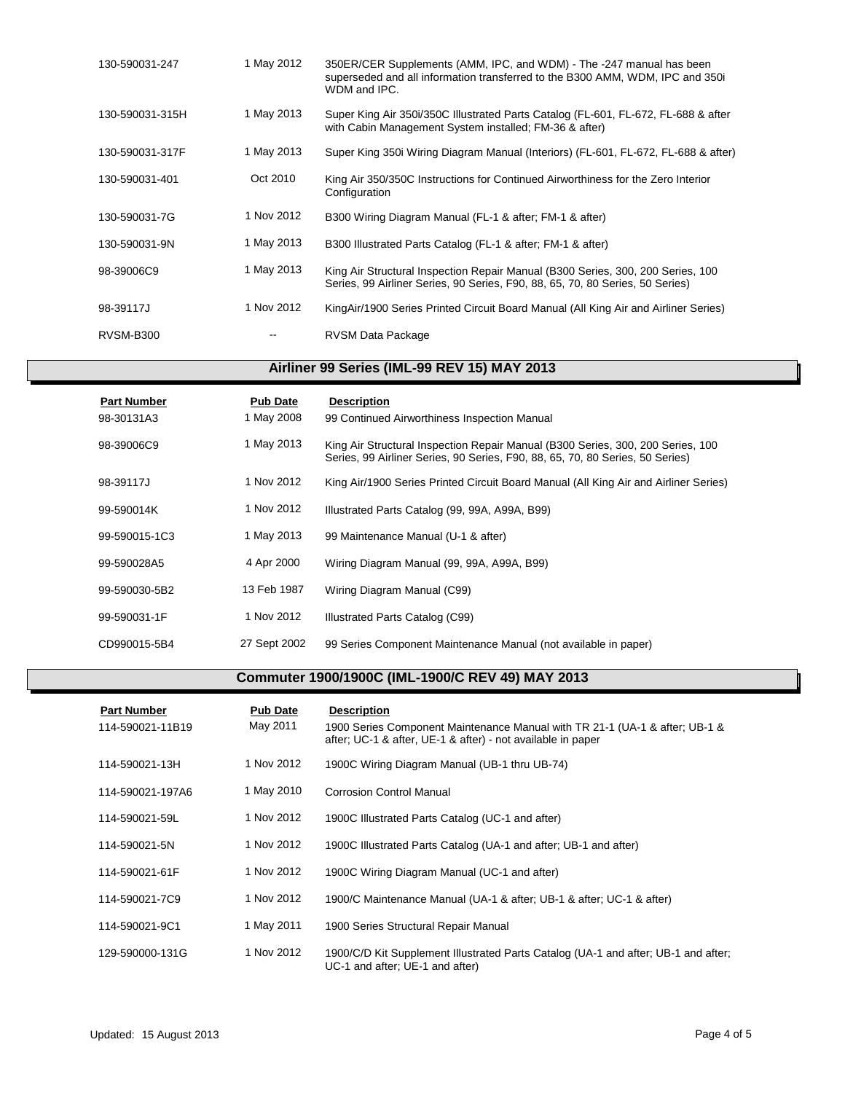| 130-590031-247   | 1 May 2012 | 350ER/CER Supplements (AMM, IPC, and WDM) - The -247 manual has been<br>superseded and all information transferred to the B300 AMM, WDM, IPC and 350 i<br>WDM and IPC. |
|------------------|------------|------------------------------------------------------------------------------------------------------------------------------------------------------------------------|
| 130-590031-315H  | 1 May 2013 | Super King Air 350i/350C Illustrated Parts Catalog (FL-601, FL-672, FL-688 & after<br>with Cabin Management System installed; FM-36 & after)                           |
| 130-590031-317F  | 1 May 2013 | Super King 350i Wiring Diagram Manual (Interiors) (FL-601, FL-672, FL-688 & after)                                                                                     |
| 130-590031-401   | Oct 2010   | King Air 350/350C Instructions for Continued Airworthiness for the Zero Interior<br>Configuration                                                                      |
| 130-590031-7G    | 1 Nov 2012 | B300 Wiring Diagram Manual (FL-1 & after; FM-1 & after)                                                                                                                |
| 130-590031-9N    | 1 May 2013 | B300 Illustrated Parts Catalog (FL-1 & after; FM-1 & after)                                                                                                            |
| 98-39006C9       | 1 May 2013 | King Air Structural Inspection Repair Manual (B300 Series, 300, 200 Series, 100<br>Series, 99 Airliner Series, 90 Series, F90, 88, 65, 70, 80 Series, 50 Series)       |
| 98-39117J        | 1 Nov 2012 | King Air/1900 Series Printed Circuit Board Manual (All King Air and Airliner Series)                                                                                   |
| <b>RVSM-B300</b> |            | RVSM Data Package                                                                                                                                                      |

#### **Airliner 99 Series (IML-99 REV 15) MAY 2013**

| <b>Part Number</b><br>98-30131A3 | <b>Pub Date</b><br>1 May 2008 | <b>Description</b><br>99 Continued Airworthiness Inspection Manual                                                                                               |
|----------------------------------|-------------------------------|------------------------------------------------------------------------------------------------------------------------------------------------------------------|
| 98-39006C9                       | 1 May 2013                    | King Air Structural Inspection Repair Manual (B300 Series, 300, 200 Series, 100<br>Series, 99 Airliner Series, 90 Series, F90, 88, 65, 70, 80 Series, 50 Series) |
| 98-39117J                        | 1 Nov 2012                    | King Air/1900 Series Printed Circuit Board Manual (All King Air and Airliner Series)                                                                             |
| 99-590014K                       | 1 Nov 2012                    | Illustrated Parts Catalog (99, 99A, A99A, B99)                                                                                                                   |
| 99-590015-1C3                    | 1 May 2013                    | 99 Maintenance Manual (U-1 & after)                                                                                                                              |
| 99-590028A5                      | 4 Apr 2000                    | Wiring Diagram Manual (99, 99A, A99A, B99)                                                                                                                       |
| 99-590030-5B2                    | 13 Feb 1987                   | Wiring Diagram Manual (C99)                                                                                                                                      |
| 99-590031-1F                     | 1 Nov 2012                    | Illustrated Parts Catalog (C99)                                                                                                                                  |
| CD990015-5B4                     | 27 Sept 2002                  | 99 Series Component Maintenance Manual (not available in paper)                                                                                                  |

#### **Commuter 1900/1900C (IML-1900/C REV 49) MAY 2013**

| <b>Part Number</b><br>114-590021-11B19 | <b>Pub Date</b><br>May 2011 | <b>Description</b><br>1900 Series Component Maintenance Manual with TR 21-1 (UA-1 & after: UB-1 &<br>after; UC-1 & after, UE-1 & after) - not available in paper |
|----------------------------------------|-----------------------------|------------------------------------------------------------------------------------------------------------------------------------------------------------------|
| 114-590021-13H                         | 1 Nov 2012                  | 1900C Wiring Diagram Manual (UB-1 thru UB-74)                                                                                                                    |
| 114-590021-197A6                       | 1 May 2010                  | <b>Corrosion Control Manual</b>                                                                                                                                  |
| 114-590021-59L                         | 1 Nov 2012                  | 1900C Illustrated Parts Catalog (UC-1 and after)                                                                                                                 |
| 114-590021-5N                          | 1 Nov 2012                  | 1900C Illustrated Parts Catalog (UA-1 and after; UB-1 and after)                                                                                                 |
| 114-590021-61F                         | 1 Nov 2012                  | 1900C Wiring Diagram Manual (UC-1 and after)                                                                                                                     |
| 114-590021-7C9                         | 1 Nov 2012                  | 1900/C Maintenance Manual (UA-1 & after: UB-1 & after: UC-1 & after)                                                                                             |
| 114-590021-9C1                         | 1 May 2011                  | 1900 Series Structural Repair Manual                                                                                                                             |
| 129-590000-131G                        | 1 Nov 2012                  | 1900/C/D Kit Supplement Illustrated Parts Catalog (UA-1 and after; UB-1 and after;<br>UC-1 and after; UE-1 and after)                                            |